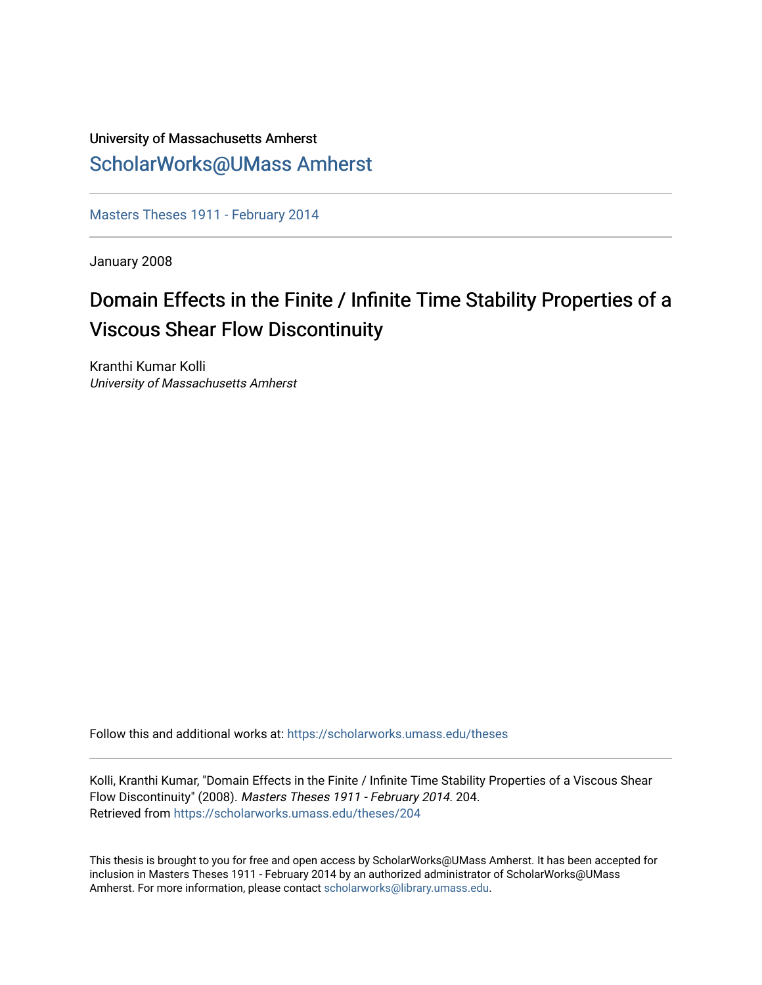## University of Massachusetts Amherst [ScholarWorks@UMass Amherst](https://scholarworks.umass.edu/)

[Masters Theses 1911 - February 2014](https://scholarworks.umass.edu/theses) 

January 2008

# Domain Effects in the Finite / Infinite Time Stability Properties of a Viscous Shear Flow Discontinuity

Kranthi Kumar Kolli University of Massachusetts Amherst

Follow this and additional works at: [https://scholarworks.umass.edu/theses](https://scholarworks.umass.edu/theses?utm_source=scholarworks.umass.edu%2Ftheses%2F204&utm_medium=PDF&utm_campaign=PDFCoverPages) 

Kolli, Kranthi Kumar, "Domain Effects in the Finite / Infinite Time Stability Properties of a Viscous Shear Flow Discontinuity" (2008). Masters Theses 1911 - February 2014. 204. Retrieved from [https://scholarworks.umass.edu/theses/204](https://scholarworks.umass.edu/theses/204?utm_source=scholarworks.umass.edu%2Ftheses%2F204&utm_medium=PDF&utm_campaign=PDFCoverPages)

This thesis is brought to you for free and open access by ScholarWorks@UMass Amherst. It has been accepted for inclusion in Masters Theses 1911 - February 2014 by an authorized administrator of ScholarWorks@UMass Amherst. For more information, please contact [scholarworks@library.umass.edu](mailto:scholarworks@library.umass.edu).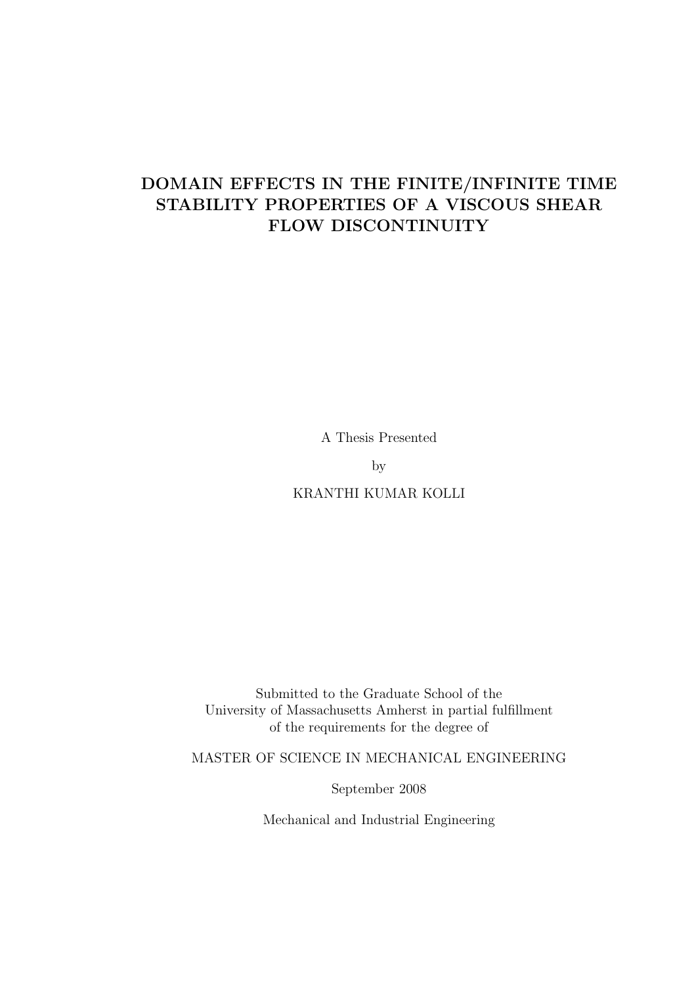## DOMAIN EFFECTS IN THE FINITE/INFINITE TIME STABILITY PROPERTIES OF A VISCOUS SHEAR FLOW DISCONTINUITY

A Thesis Presented

by

KRANTHI KUMAR KOLLI

Submitted to the Graduate School of the University of Massachusetts Amherst in partial fulfillment of the requirements for the degree of

MASTER OF SCIENCE IN MECHANICAL ENGINEERING

September 2008

Mechanical and Industrial Engineering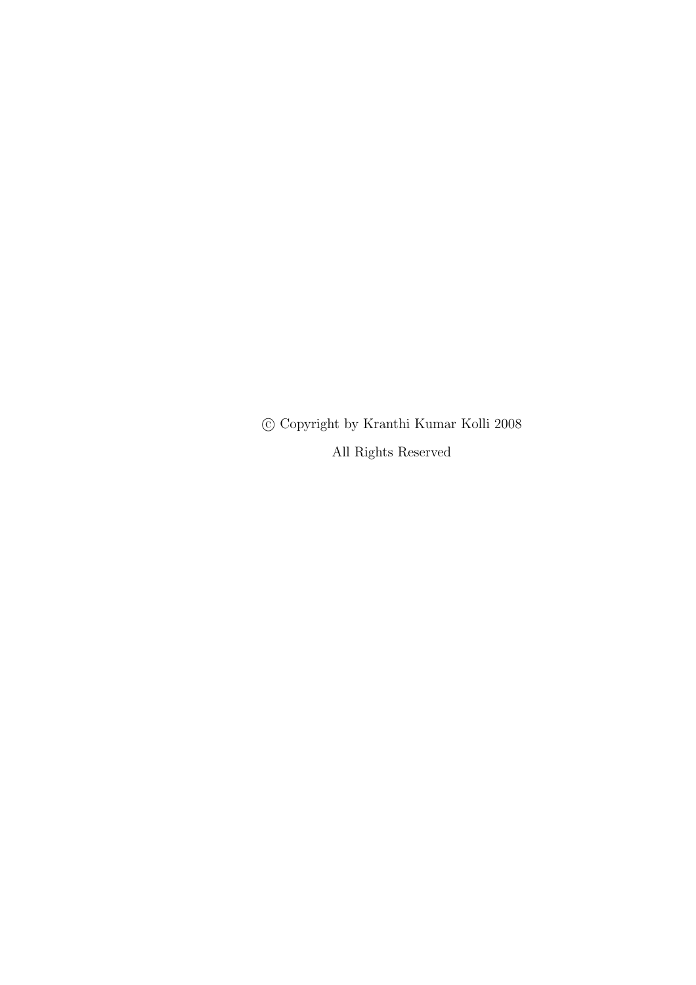°c Copyright by Kranthi Kumar Kolli 2008 All Rights Reserved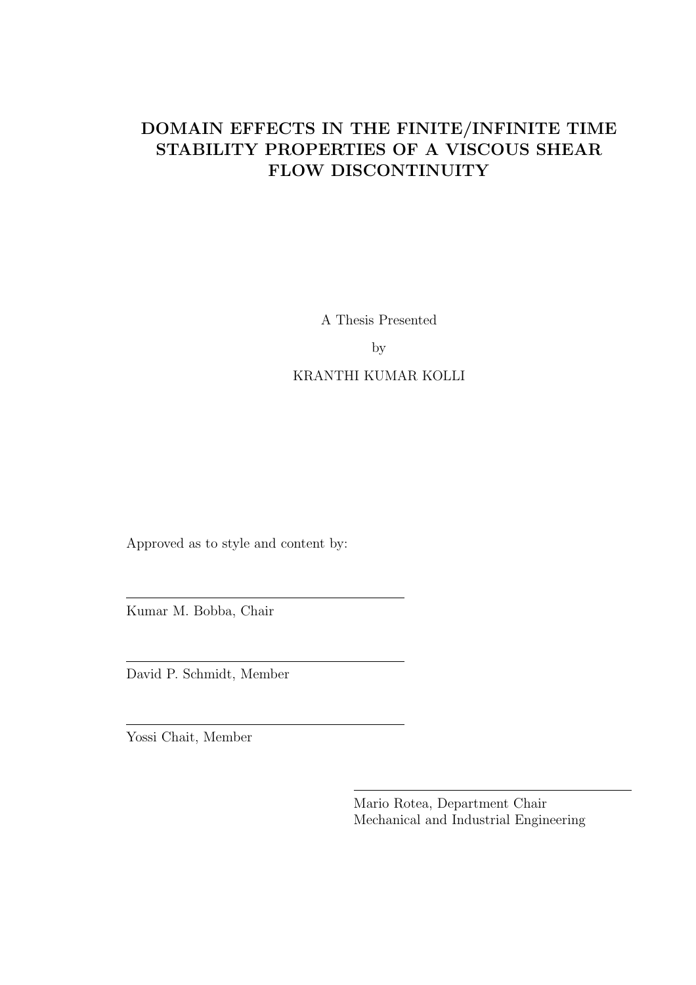## DOMAIN EFFECTS IN THE FINITE/INFINITE TIME STABILITY PROPERTIES OF A VISCOUS SHEAR FLOW DISCONTINUITY

A Thesis Presented

by

## KRANTHI KUMAR KOLLI

Approved as to style and content by:

Kumar M. Bobba, Chair

David P. Schmidt, Member

Yossi Chait, Member

Mario Rotea, Department Chair Mechanical and Industrial Engineering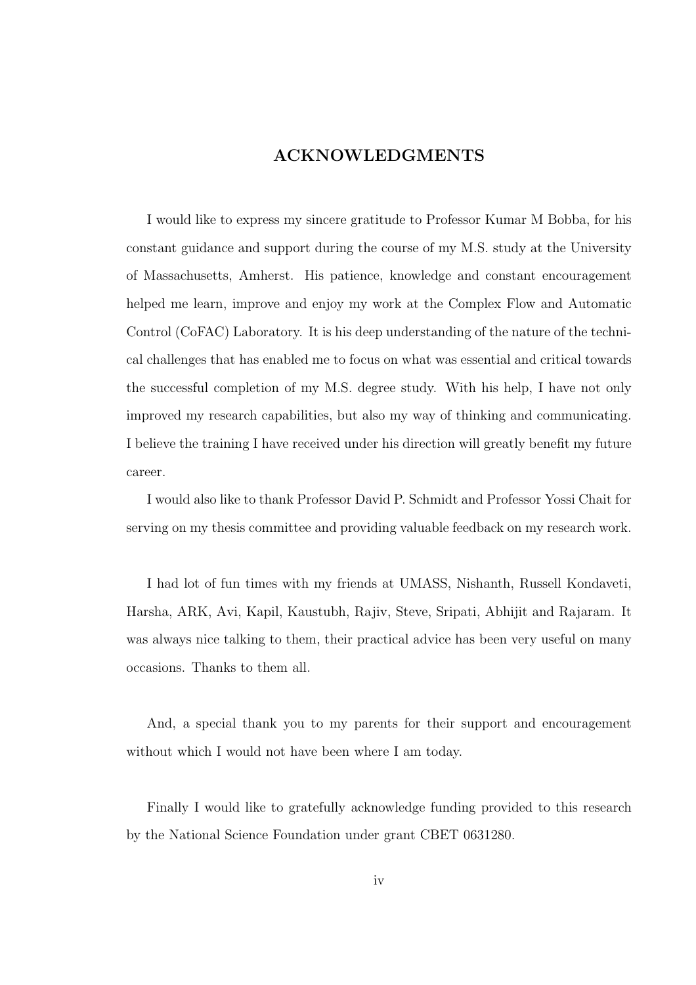## ACKNOWLEDGMENTS

I would like to express my sincere gratitude to Professor Kumar M Bobba, for his constant guidance and support during the course of my M.S. study at the University of Massachusetts, Amherst. His patience, knowledge and constant encouragement helped me learn, improve and enjoy my work at the Complex Flow and Automatic Control (CoFAC) Laboratory. It is his deep understanding of the nature of the technical challenges that has enabled me to focus on what was essential and critical towards the successful completion of my M.S. degree study. With his help, I have not only improved my research capabilities, but also my way of thinking and communicating. I believe the training I have received under his direction will greatly benefit my future career.

I would also like to thank Professor David P. Schmidt and Professor Yossi Chait for serving on my thesis committee and providing valuable feedback on my research work.

I had lot of fun times with my friends at UMASS, Nishanth, Russell Kondaveti, Harsha, ARK, Avi, Kapil, Kaustubh, Rajiv, Steve, Sripati, Abhijit and Rajaram. It was always nice talking to them, their practical advice has been very useful on many occasions. Thanks to them all.

And, a special thank you to my parents for their support and encouragement without which I would not have been where I am today.

Finally I would like to gratefully acknowledge funding provided to this research by the National Science Foundation under grant CBET 0631280.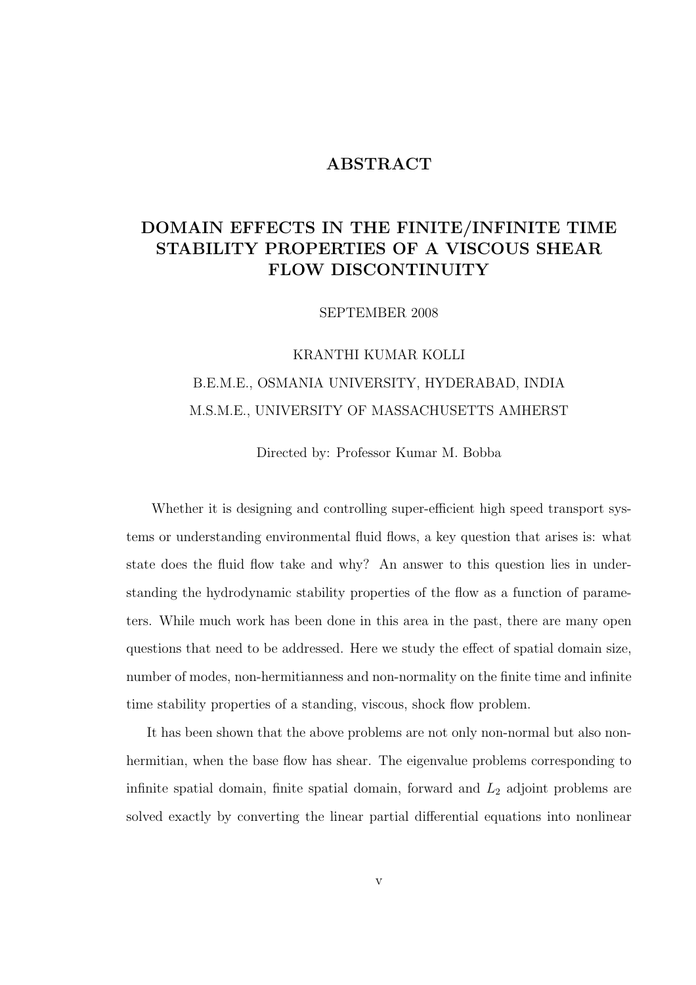### ABSTRACT

## DOMAIN EFFECTS IN THE FINITE/INFINITE TIME STABILITY PROPERTIES OF A VISCOUS SHEAR FLOW DISCONTINUITY

SEPTEMBER 2008

# KRANTHI KUMAR KOLLI B.E.M.E., OSMANIA UNIVERSITY, HYDERABAD, INDIA M.S.M.E., UNIVERSITY OF MASSACHUSETTS AMHERST

Directed by: Professor Kumar M. Bobba

Whether it is designing and controlling super-efficient high speed transport systems or understanding environmental fluid flows, a key question that arises is: what state does the fluid flow take and why? An answer to this question lies in understanding the hydrodynamic stability properties of the flow as a function of parameters. While much work has been done in this area in the past, there are many open questions that need to be addressed. Here we study the effect of spatial domain size, number of modes, non-hermitianness and non-normality on the finite time and infinite time stability properties of a standing, viscous, shock flow problem.

It has been shown that the above problems are not only non-normal but also nonhermitian, when the base flow has shear. The eigenvalue problems corresponding to infinite spatial domain, finite spatial domain, forward and  $L_2$  adjoint problems are solved exactly by converting the linear partial differential equations into nonlinear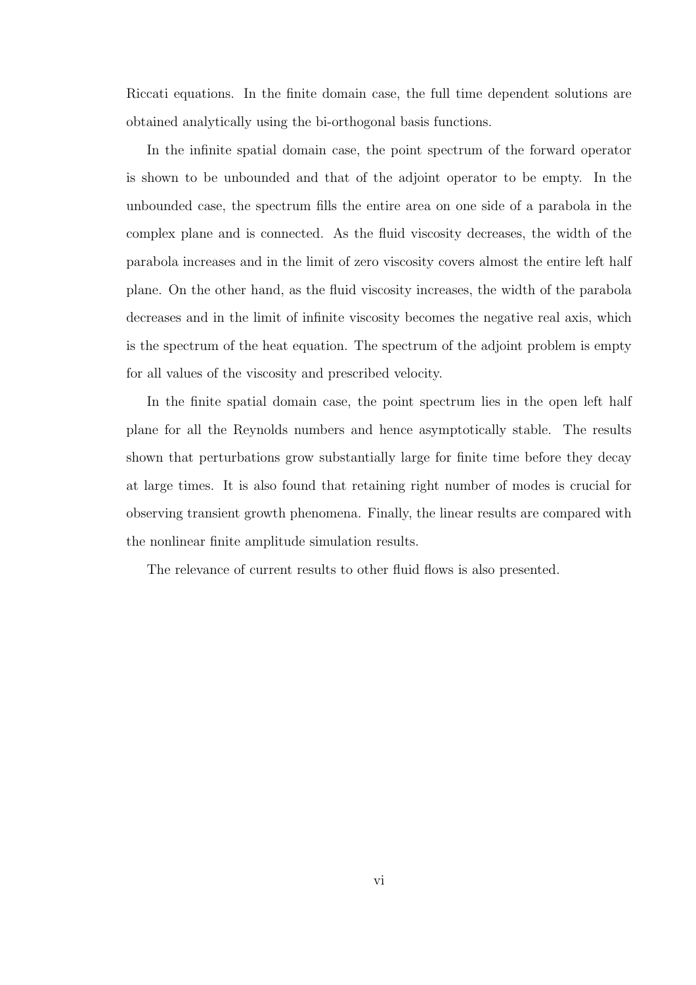Riccati equations. In the finite domain case, the full time dependent solutions are obtained analytically using the bi-orthogonal basis functions.

In the infinite spatial domain case, the point spectrum of the forward operator is shown to be unbounded and that of the adjoint operator to be empty. In the unbounded case, the spectrum fills the entire area on one side of a parabola in the complex plane and is connected. As the fluid viscosity decreases, the width of the parabola increases and in the limit of zero viscosity covers almost the entire left half plane. On the other hand, as the fluid viscosity increases, the width of the parabola decreases and in the limit of infinite viscosity becomes the negative real axis, which is the spectrum of the heat equation. The spectrum of the adjoint problem is empty for all values of the viscosity and prescribed velocity.

In the finite spatial domain case, the point spectrum lies in the open left half plane for all the Reynolds numbers and hence asymptotically stable. The results shown that perturbations grow substantially large for finite time before they decay at large times. It is also found that retaining right number of modes is crucial for observing transient growth phenomena. Finally, the linear results are compared with the nonlinear finite amplitude simulation results.

The relevance of current results to other fluid flows is also presented.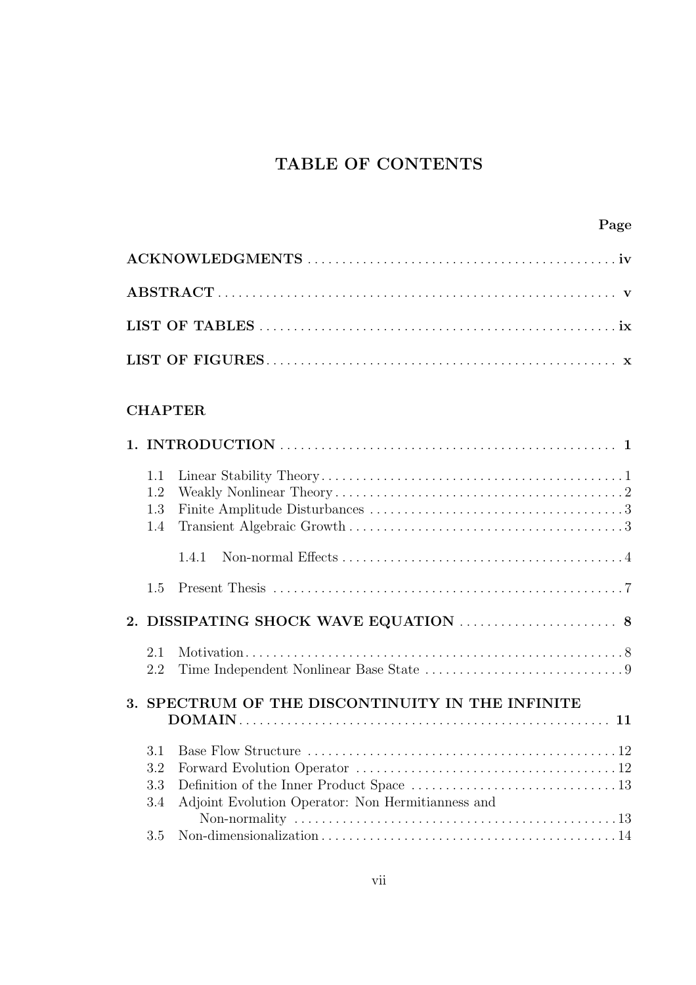## TABLE OF CONTENTS

| Page                                                                                 |
|--------------------------------------------------------------------------------------|
|                                                                                      |
|                                                                                      |
|                                                                                      |
|                                                                                      |
| <b>CHAPTER</b>                                                                       |
|                                                                                      |
| 1.1<br>1.2<br>1.3<br>1.4                                                             |
| 1.4.1                                                                                |
| 1.5                                                                                  |
|                                                                                      |
| 2.1<br>2.2                                                                           |
| 3. SPECTRUM OF THE DISCONTINUITY IN THE INFINITE                                     |
| 3.1<br>3.2<br>3.3<br>Adjoint Evolution Operator: Non Hermitianness and<br>3.4<br>3.5 |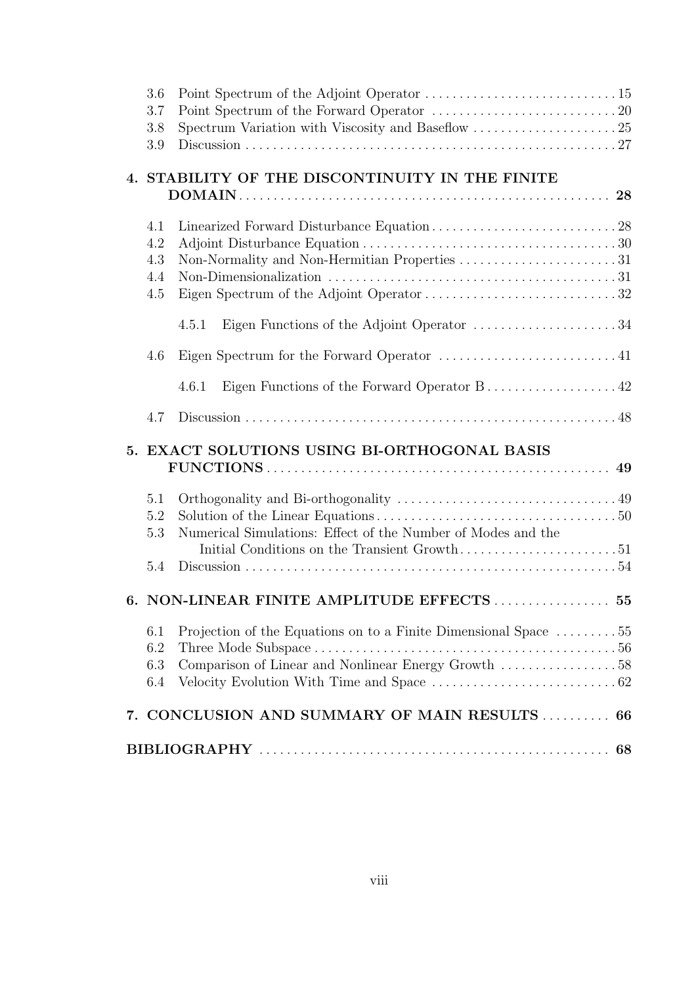| 3.6        |                                                                 |  |
|------------|-----------------------------------------------------------------|--|
| 3.7        |                                                                 |  |
| 3.8        | Spectrum Variation with Viscosity and Baseflow 25               |  |
| 3.9        |                                                                 |  |
|            |                                                                 |  |
|            | 4. STABILITY OF THE DISCONTINUITY IN THE FINITE                 |  |
|            |                                                                 |  |
|            |                                                                 |  |
| 4.1        |                                                                 |  |
| 4.2        |                                                                 |  |
| 4.3        |                                                                 |  |
| 4.4<br>4.5 |                                                                 |  |
|            |                                                                 |  |
|            | 4.5.1                                                           |  |
| 4.6        |                                                                 |  |
|            | 4.6.1                                                           |  |
| 4.7        |                                                                 |  |
|            | 5. EXACT SOLUTIONS USING BI-ORTHOGONAL BASIS                    |  |
|            |                                                                 |  |
|            |                                                                 |  |
| 5.1        |                                                                 |  |
| 5.2        |                                                                 |  |
| 5.3        | Numerical Simulations: Effect of the Number of Modes and the    |  |
|            |                                                                 |  |
| 5.4        |                                                                 |  |
|            | 6. NON-LINEAR FINITE AMPLITUDE EFFECTS 55                       |  |
|            |                                                                 |  |
| 6.1        | Projection of the Equations on to a Finite Dimensional Space 55 |  |
| 6.2        |                                                                 |  |
| 6.3        | Comparison of Linear and Nonlinear Energy Growth 58             |  |
| 6.4        |                                                                 |  |
|            | 7. CONCLUSION AND SUMMARY OF MAIN RESULTS  66                   |  |
|            |                                                                 |  |
|            |                                                                 |  |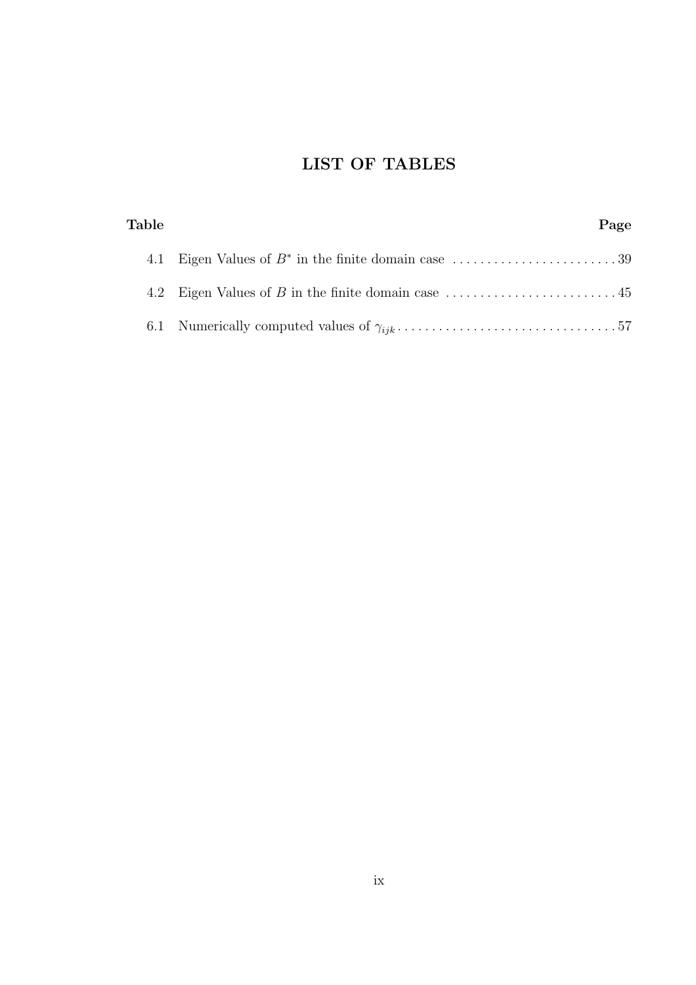## LIST OF TABLES

| Table | Page |
|-------|------|
| 4.1   |      |
|       |      |
|       |      |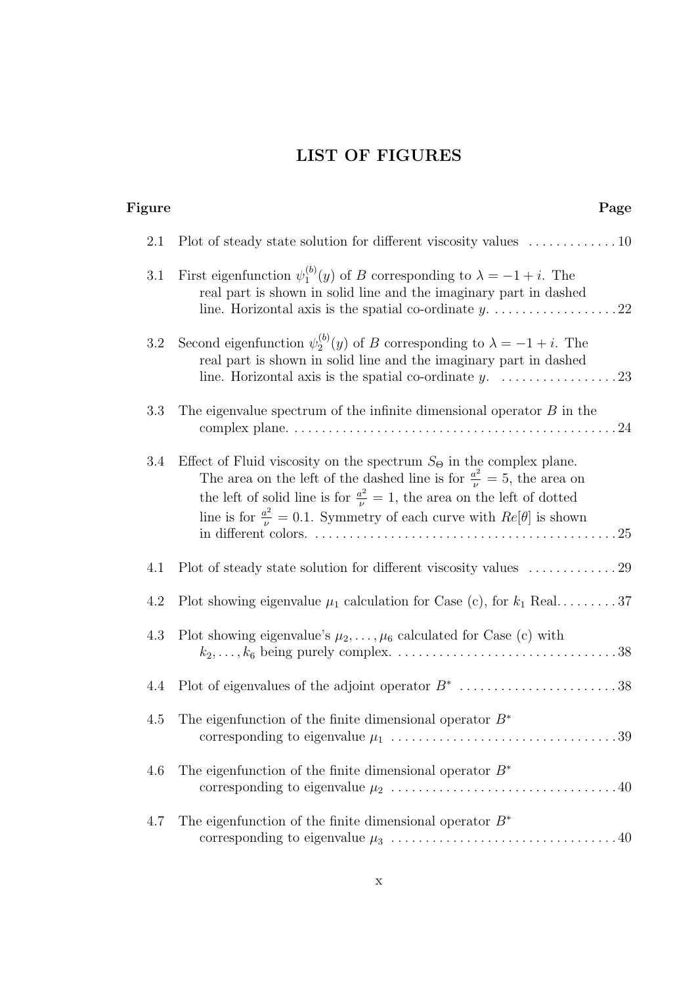## LIST OF FIGURES

#### Figure Page

| 2.1 | Plot of steady state solution for different viscosity values $\dots \dots \dots \dots 10$                                                                                                                                                                                                                                                             |
|-----|-------------------------------------------------------------------------------------------------------------------------------------------------------------------------------------------------------------------------------------------------------------------------------------------------------------------------------------------------------|
| 3.1 | First eigenfunction $\psi_1^{(b)}(y)$ of B corresponding to $\lambda = -1 + i$ . The<br>real part is shown in solid line and the imaginary part in dashed                                                                                                                                                                                             |
| 3.2 | Second eigenfunction $\psi_2^{(b)}(y)$ of B corresponding to $\lambda = -1 + i$ . The<br>real part is shown in solid line and the imaginary part in dashed                                                                                                                                                                                            |
| 3.3 | The eigenvalue spectrum of the infinite dimensional operator $B$ in the                                                                                                                                                                                                                                                                               |
| 3.4 | Effect of Fluid viscosity on the spectrum $S_{\Theta}$ in the complex plane.<br>The area on the left of the dashed line is for $\frac{a^2}{\nu} = 5$ , the area on<br>the left of solid line is for $\frac{a^2}{\nu} = 1$ , the area on the left of dotted<br>line is for $\frac{a^2}{\nu} = 0.1$ . Symmetry of each curve with $Re[\theta]$ is shown |
| 4.1 |                                                                                                                                                                                                                                                                                                                                                       |
| 4.2 | Plot showing eigenvalue $\mu_1$ calculation for Case (c), for $k_1$ Real37                                                                                                                                                                                                                                                                            |
| 4.3 | Plot showing eigenvalue's $\mu_2, \ldots, \mu_6$ calculated for Case (c) with                                                                                                                                                                                                                                                                         |
| 4.4 | Plot of eigenvalues of the adjoint operator $B^*$ 38                                                                                                                                                                                                                                                                                                  |
| 4.5 | The eigenfunction of the finite dimensional operator $B^*$                                                                                                                                                                                                                                                                                            |
| 4.6 | The eigenfunction of the finite dimensional operator $B^*$                                                                                                                                                                                                                                                                                            |
| 4.7 | The eigenfunction of the finite dimensional operator $B^*$                                                                                                                                                                                                                                                                                            |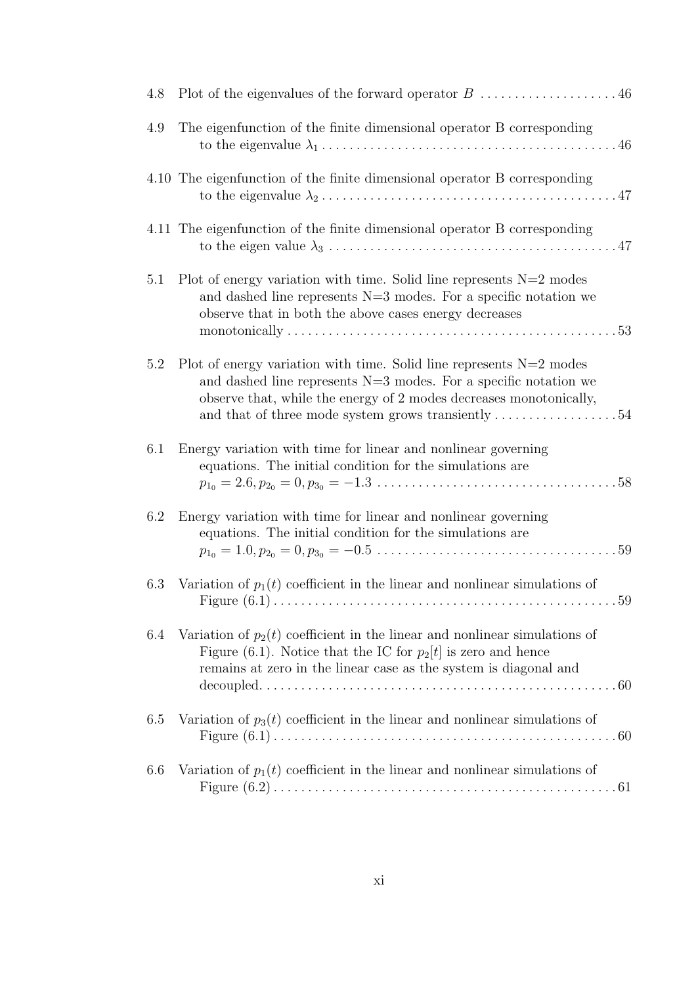| 4.8 |                                                                                                                                                                                                                                                                                                         |
|-----|---------------------------------------------------------------------------------------------------------------------------------------------------------------------------------------------------------------------------------------------------------------------------------------------------------|
| 4.9 | The eigenfunction of the finite dimensional operator B corresponding                                                                                                                                                                                                                                    |
|     | 4.10 The eigenfunction of the finite dimensional operator B corresponding                                                                                                                                                                                                                               |
|     | 4.11 The eigenfunction of the finite dimensional operator B corresponding                                                                                                                                                                                                                               |
| 5.1 | Plot of energy variation with time. Solid line represents $N=2$ modes<br>and dashed line represents $N=3$ modes. For a specific notation we<br>observe that in both the above cases energy decreases                                                                                                    |
| 5.2 | Plot of energy variation with time. Solid line represents $N=2$ modes<br>and dashed line represents $N=3$ modes. For a specific notation we<br>observe that, while the energy of 2 modes decreases monotonically,<br>and that of three mode system grows transiently $\dots \dots \dots \dots \dots 54$ |
| 6.1 | Energy variation with time for linear and nonlinear governing<br>equations. The initial condition for the simulations are                                                                                                                                                                               |
| 6.2 | Energy variation with time for linear and nonlinear governing<br>equations. The initial condition for the simulations are<br>$p_{1_0} = 1.0, p_{2_0} = 0, p_{3_0} = -0.5 \ldots \ldots \ldots \ldots \ldots \ldots \ldots \ldots \ldots \ldots 59$                                                      |
| 6.3 | Variation of $p_1(t)$ coefficient in the linear and nonlinear simulations of                                                                                                                                                                                                                            |
| 6.4 | Variation of $p_2(t)$ coefficient in the linear and nonlinear simulations of<br>Figure (6.1). Notice that the IC for $p_2[t]$ is zero and hence<br>remains at zero in the linear case as the system is diagonal and                                                                                     |
| 6.5 | Variation of $p_3(t)$ coefficient in the linear and nonlinear simulations of                                                                                                                                                                                                                            |
| 6.6 | Variation of $p_1(t)$ coefficient in the linear and nonlinear simulations of                                                                                                                                                                                                                            |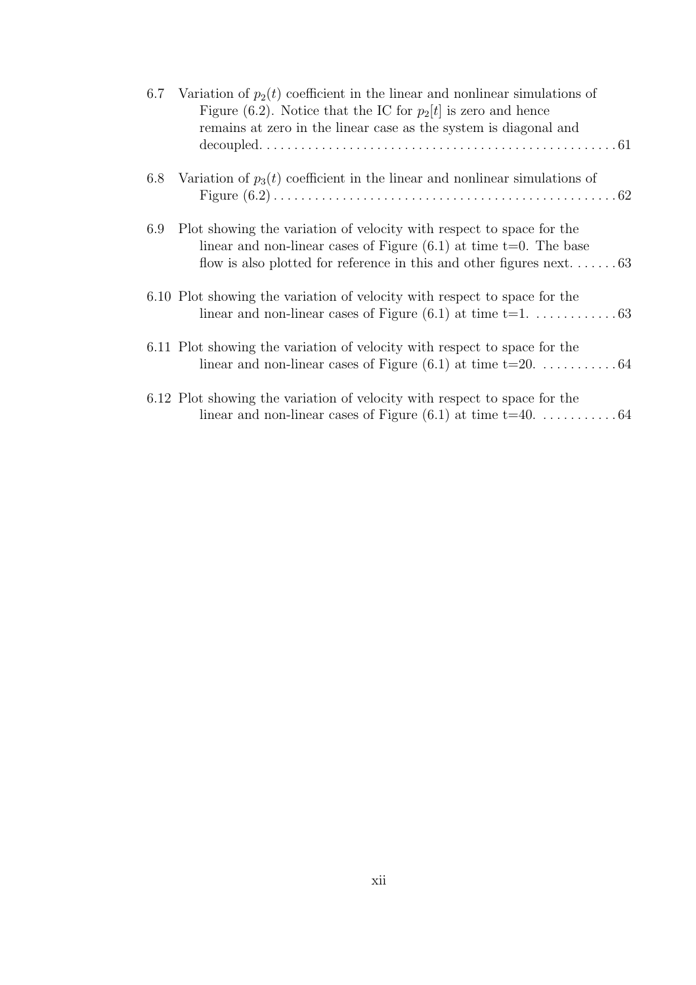|     | 6.7 Variation of $p_2(t)$ coefficient in the linear and nonlinear simulations of<br>Figure (6.2). Notice that the IC for $p_2[t]$ is zero and hence<br>remains at zero in the linear case as the system is diagonal and |
|-----|-------------------------------------------------------------------------------------------------------------------------------------------------------------------------------------------------------------------------|
|     | 6.8 Variation of $p_3(t)$ coefficient in the linear and nonlinear simulations of                                                                                                                                        |
| 6.9 | Plot showing the variation of velocity with respect to space for the<br>linear and non-linear cases of Figure $(6.1)$ at time t=0. The base                                                                             |
|     | 6.10 Plot showing the variation of velocity with respect to space for the                                                                                                                                               |
|     | 6.11 Plot showing the variation of velocity with respect to space for the                                                                                                                                               |
|     | 6.12 Plot showing the variation of velocity with respect to space for the                                                                                                                                               |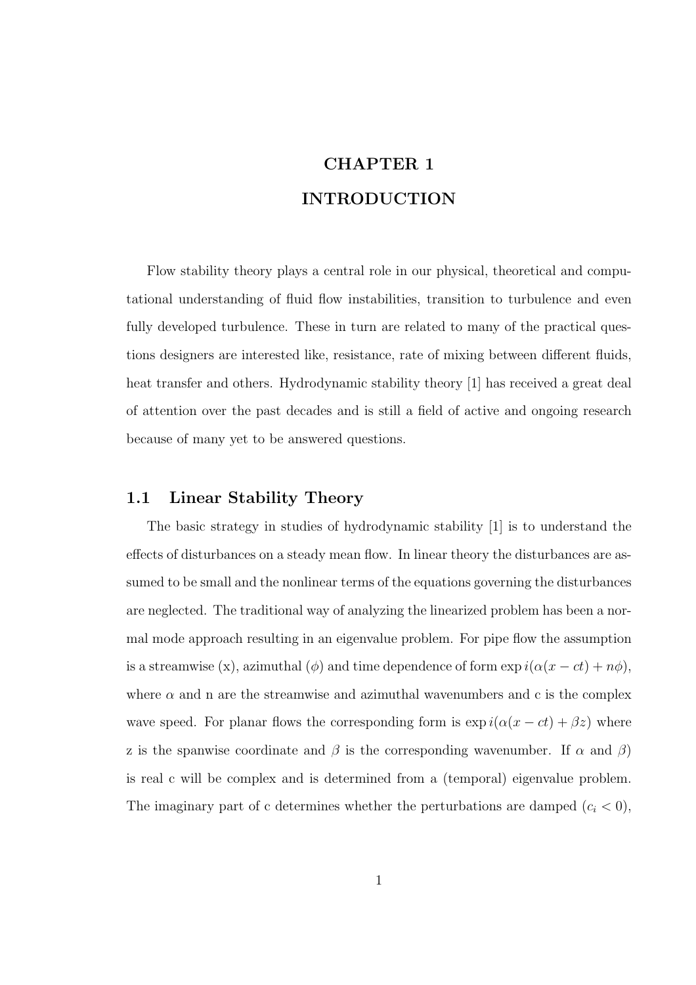# CHAPTER 1 INTRODUCTION

Flow stability theory plays a central role in our physical, theoretical and computational understanding of fluid flow instabilities, transition to turbulence and even fully developed turbulence. These in turn are related to many of the practical questions designers are interested like, resistance, rate of mixing between different fluids, heat transfer and others. Hydrodynamic stability theory [1] has received a great deal of attention over the past decades and is still a field of active and ongoing research because of many yet to be answered questions.

### 1.1 Linear Stability Theory

The basic strategy in studies of hydrodynamic stability [1] is to understand the effects of disturbances on a steady mean flow. In linear theory the disturbances are assumed to be small and the nonlinear terms of the equations governing the disturbances are neglected. The traditional way of analyzing the linearized problem has been a normal mode approach resulting in an eigenvalue problem. For pipe flow the assumption is a streamwise (x), azimuthal ( $\phi$ ) and time dependence of form  $\exp i(\alpha(x - ct) + n\phi)$ , where  $\alpha$  and n are the streamwise and azimuthal wavenumbers and c is the complex wave speed. For planar flows the corresponding form is  $\exp i(\alpha(x - ct) + \beta z)$  where z is the spanwise coordinate and  $\beta$  is the corresponding wavenumber. If  $\alpha$  and  $\beta$ ) is real c will be complex and is determined from a (temporal) eigenvalue problem. The imaginary part of c determines whether the perturbations are damped  $(c_i < 0)$ ,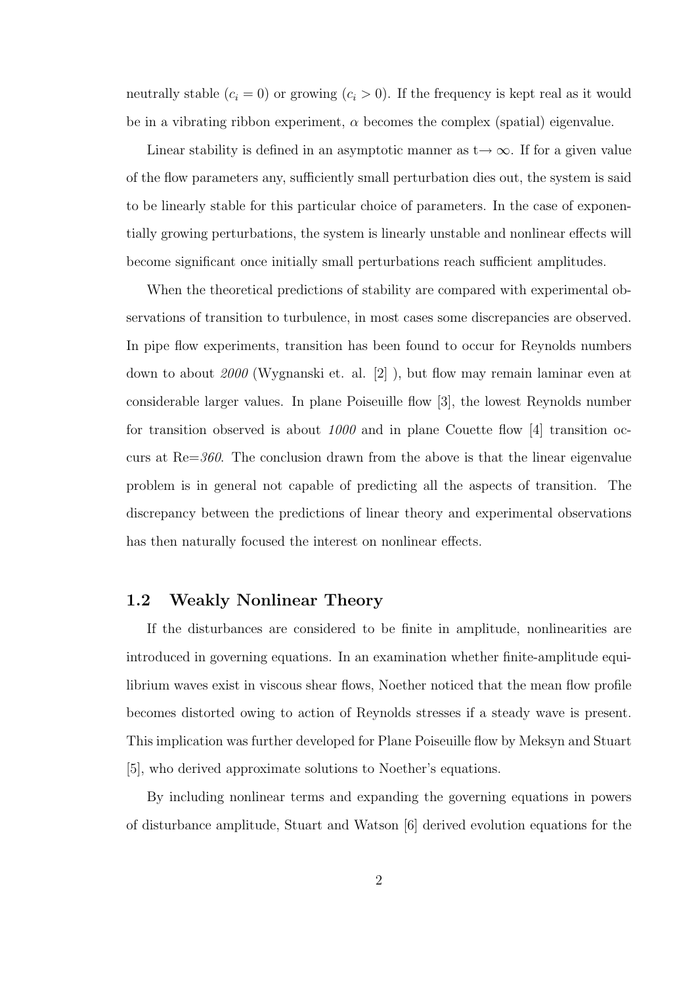neutrally stable  $(c_i = 0)$  or growing  $(c_i > 0)$ . If the frequency is kept real as it would be in a vibrating ribbon experiment,  $\alpha$  becomes the complex (spatial) eigenvalue.

Linear stability is defined in an asymptotic manner as  $t\rightarrow\infty$ . If for a given value of the flow parameters any, sufficiently small perturbation dies out, the system is said to be linearly stable for this particular choice of parameters. In the case of exponentially growing perturbations, the system is linearly unstable and nonlinear effects will become significant once initially small perturbations reach sufficient amplitudes.

When the theoretical predictions of stability are compared with experimental observations of transition to turbulence, in most cases some discrepancies are observed. In pipe flow experiments, transition has been found to occur for Reynolds numbers down to about 2000 (Wygnanski et. al. [2] ), but flow may remain laminar even at considerable larger values. In plane Poiseuille flow [3], the lowest Reynolds number for transition observed is about  $1000$  and in plane Couette flow [4] transition occurs at  $Re=360$ . The conclusion drawn from the above is that the linear eigenvalue problem is in general not capable of predicting all the aspects of transition. The discrepancy between the predictions of linear theory and experimental observations has then naturally focused the interest on nonlinear effects.

## 1.2 Weakly Nonlinear Theory

If the disturbances are considered to be finite in amplitude, nonlinearities are introduced in governing equations. In an examination whether finite-amplitude equilibrium waves exist in viscous shear flows, Noether noticed that the mean flow profile becomes distorted owing to action of Reynolds stresses if a steady wave is present. This implication was further developed for Plane Poiseuille flow by Meksyn and Stuart [5], who derived approximate solutions to Noether's equations.

By including nonlinear terms and expanding the governing equations in powers of disturbance amplitude, Stuart and Watson [6] derived evolution equations for the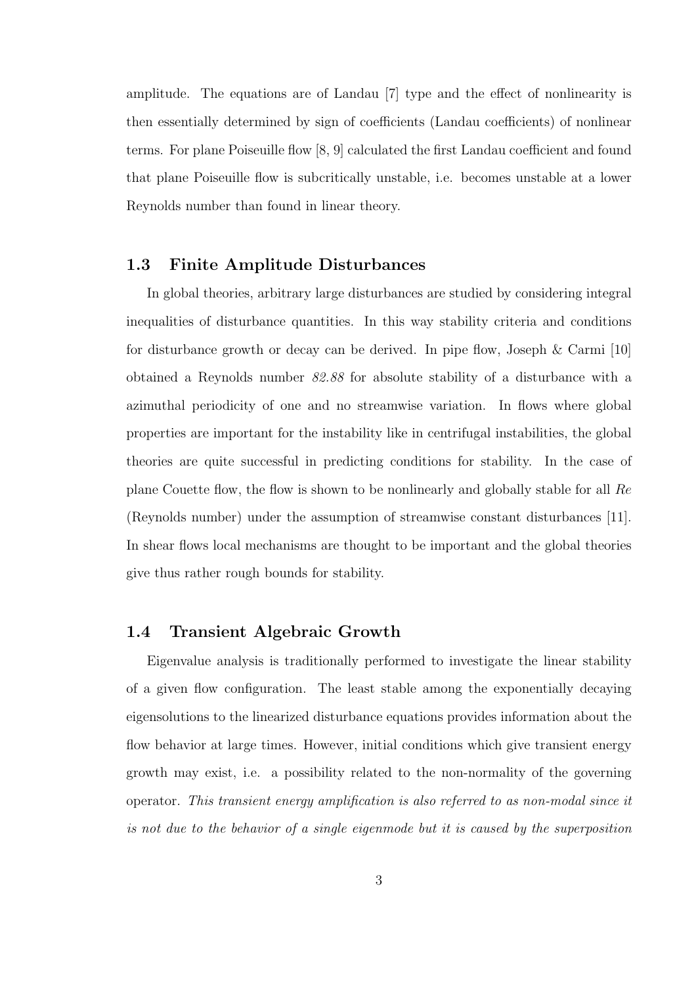amplitude. The equations are of Landau [7] type and the effect of nonlinearity is then essentially determined by sign of coefficients (Landau coefficients) of nonlinear terms. For plane Poiseuille flow [8, 9] calculated the first Landau coefficient and found that plane Poiseuille flow is subcritically unstable, i.e. becomes unstable at a lower Reynolds number than found in linear theory.

### 1.3 Finite Amplitude Disturbances

In global theories, arbitrary large disturbances are studied by considering integral inequalities of disturbance quantities. In this way stability criteria and conditions for disturbance growth or decay can be derived. In pipe flow, Joseph & Carmi [10] obtained a Reynolds number 82.88 for absolute stability of a disturbance with a azimuthal periodicity of one and no streamwise variation. In flows where global properties are important for the instability like in centrifugal instabilities, the global theories are quite successful in predicting conditions for stability. In the case of plane Couette flow, the flow is shown to be nonlinearly and globally stable for all Re (Reynolds number) under the assumption of streamwise constant disturbances [11]. In shear flows local mechanisms are thought to be important and the global theories give thus rather rough bounds for stability.

### 1.4 Transient Algebraic Growth

Eigenvalue analysis is traditionally performed to investigate the linear stability of a given flow configuration. The least stable among the exponentially decaying eigensolutions to the linearized disturbance equations provides information about the flow behavior at large times. However, initial conditions which give transient energy growth may exist, i.e. a possibility related to the non-normality of the governing operator. This transient energy amplification is also referred to as non-modal since it is not due to the behavior of a single eigenmode but it is caused by the superposition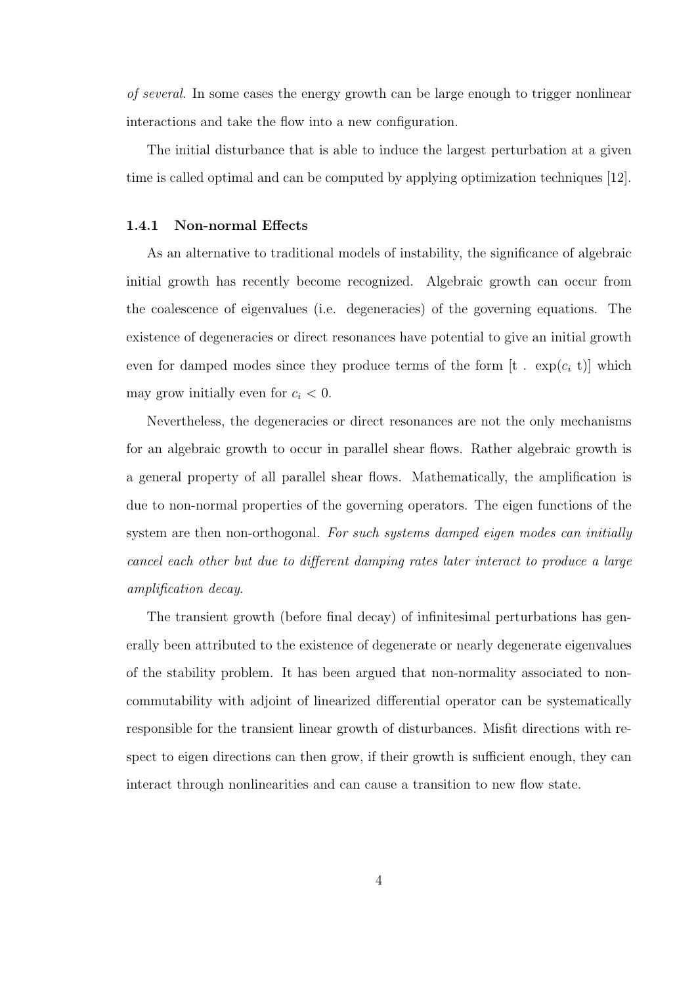of several. In some cases the energy growth can be large enough to trigger nonlinear interactions and take the flow into a new configuration.

The initial disturbance that is able to induce the largest perturbation at a given time is called optimal and can be computed by applying optimization techniques [12].

#### 1.4.1 Non-normal Effects

As an alternative to traditional models of instability, the significance of algebraic initial growth has recently become recognized. Algebraic growth can occur from the coalescence of eigenvalues (i.e. degeneracies) of the governing equations. The existence of degeneracies or direct resonances have potential to give an initial growth even for damped modes since they produce terms of the form  $[t \cdot exp(c_i t)]$  which may grow initially even for  $c_i < 0$ .

Nevertheless, the degeneracies or direct resonances are not the only mechanisms for an algebraic growth to occur in parallel shear flows. Rather algebraic growth is a general property of all parallel shear flows. Mathematically, the amplification is due to non-normal properties of the governing operators. The eigen functions of the system are then non-orthogonal. For such systems damped eigen modes can initially cancel each other but due to different damping rates later interact to produce a large amplification decay.

The transient growth (before final decay) of infinitesimal perturbations has generally been attributed to the existence of degenerate or nearly degenerate eigenvalues of the stability problem. It has been argued that non-normality associated to noncommutability with adjoint of linearized differential operator can be systematically responsible for the transient linear growth of disturbances. Misfit directions with respect to eigen directions can then grow, if their growth is sufficient enough, they can interact through nonlinearities and can cause a transition to new flow state.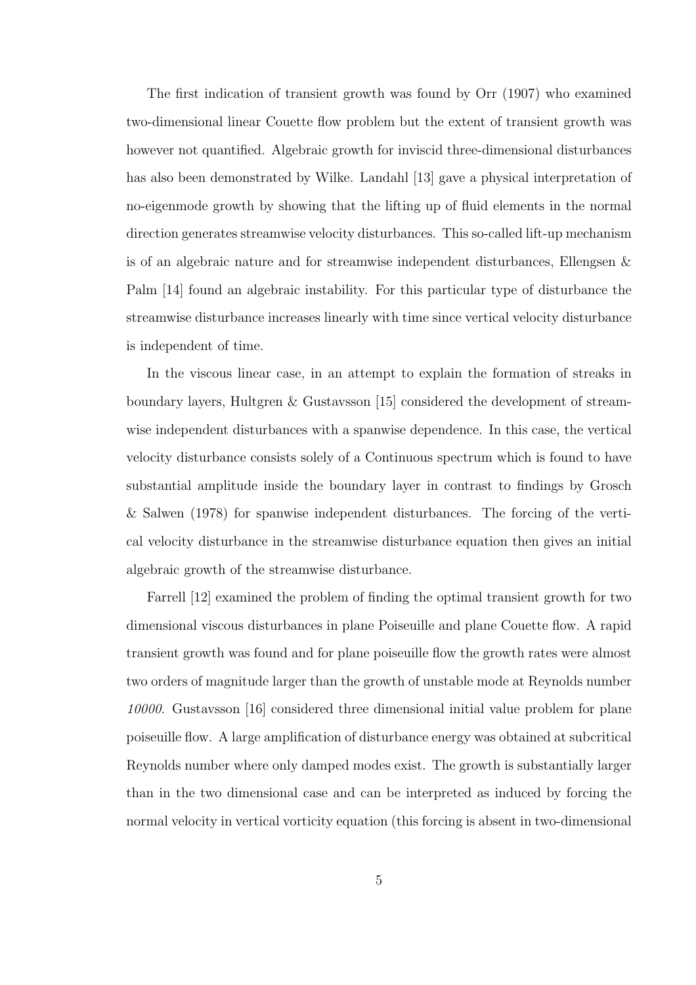The first indication of transient growth was found by Orr (1907) who examined two-dimensional linear Couette flow problem but the extent of transient growth was however not quantified. Algebraic growth for inviscid three-dimensional disturbances has also been demonstrated by Wilke. Landahl [13] gave a physical interpretation of no-eigenmode growth by showing that the lifting up of fluid elements in the normal direction generates streamwise velocity disturbances. This so-called lift-up mechanism is of an algebraic nature and for streamwise independent disturbances, Ellengsen & Palm [14] found an algebraic instability. For this particular type of disturbance the streamwise disturbance increases linearly with time since vertical velocity disturbance is independent of time.

In the viscous linear case, in an attempt to explain the formation of streaks in boundary layers, Hultgren & Gustavsson [15] considered the development of streamwise independent disturbances with a spanwise dependence. In this case, the vertical velocity disturbance consists solely of a Continuous spectrum which is found to have substantial amplitude inside the boundary layer in contrast to findings by Grosch & Salwen (1978) for spanwise independent disturbances. The forcing of the vertical velocity disturbance in the streamwise disturbance equation then gives an initial algebraic growth of the streamwise disturbance.

Farrell [12] examined the problem of finding the optimal transient growth for two dimensional viscous disturbances in plane Poiseuille and plane Couette flow. A rapid transient growth was found and for plane poiseuille flow the growth rates were almost two orders of magnitude larger than the growth of unstable mode at Reynolds number 10000. Gustavsson [16] considered three dimensional initial value problem for plane poiseuille flow. A large amplification of disturbance energy was obtained at subcritical Reynolds number where only damped modes exist. The growth is substantially larger than in the two dimensional case and can be interpreted as induced by forcing the normal velocity in vertical vorticity equation (this forcing is absent in two-dimensional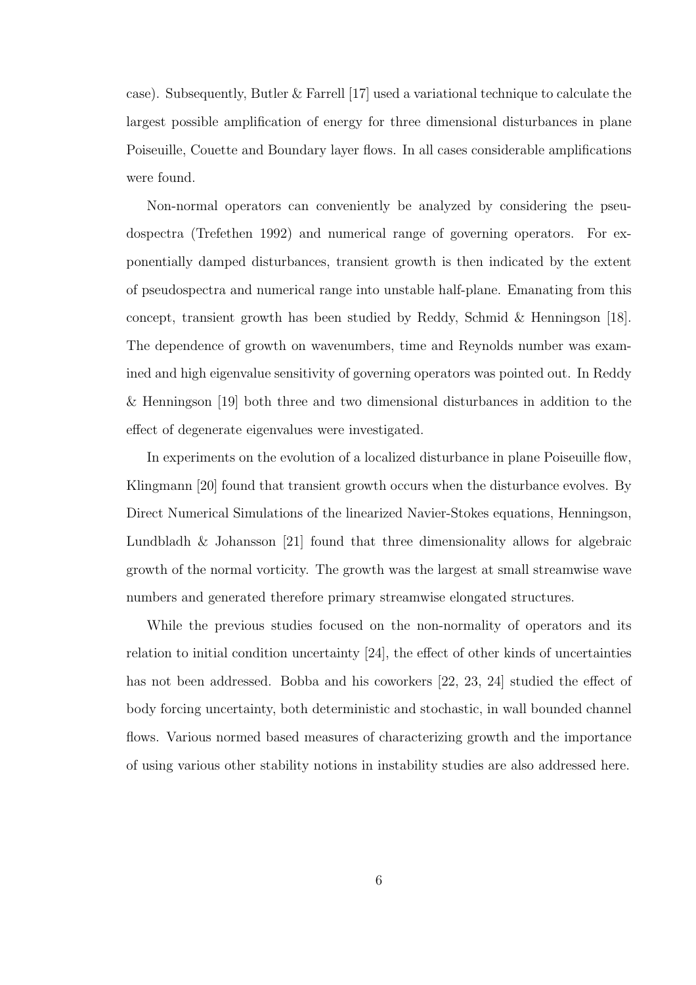case). Subsequently, Butler & Farrell [17] used a variational technique to calculate the largest possible amplification of energy for three dimensional disturbances in plane Poiseuille, Couette and Boundary layer flows. In all cases considerable amplifications were found.

Non-normal operators can conveniently be analyzed by considering the pseudospectra (Trefethen 1992) and numerical range of governing operators. For exponentially damped disturbances, transient growth is then indicated by the extent of pseudospectra and numerical range into unstable half-plane. Emanating from this concept, transient growth has been studied by Reddy, Schmid & Henningson [18]. The dependence of growth on wavenumbers, time and Reynolds number was examined and high eigenvalue sensitivity of governing operators was pointed out. In Reddy & Henningson [19] both three and two dimensional disturbances in addition to the effect of degenerate eigenvalues were investigated.

In experiments on the evolution of a localized disturbance in plane Poiseuille flow, Klingmann [20] found that transient growth occurs when the disturbance evolves. By Direct Numerical Simulations of the linearized Navier-Stokes equations, Henningson, Lundbladh & Johansson [21] found that three dimensionality allows for algebraic growth of the normal vorticity. The growth was the largest at small streamwise wave numbers and generated therefore primary streamwise elongated structures.

While the previous studies focused on the non-normality of operators and its relation to initial condition uncertainty [24], the effect of other kinds of uncertainties has not been addressed. Bobba and his coworkers [22, 23, 24] studied the effect of body forcing uncertainty, both deterministic and stochastic, in wall bounded channel flows. Various normed based measures of characterizing growth and the importance of using various other stability notions in instability studies are also addressed here.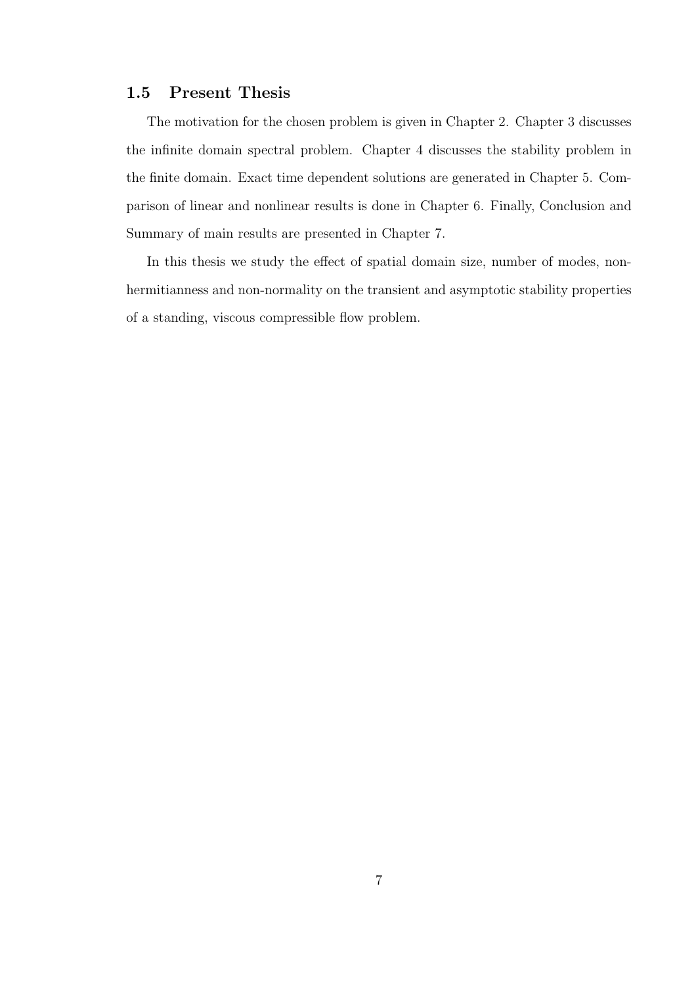### 1.5 Present Thesis

The motivation for the chosen problem is given in Chapter 2. Chapter 3 discusses the infinite domain spectral problem. Chapter 4 discusses the stability problem in the finite domain. Exact time dependent solutions are generated in Chapter 5. Comparison of linear and nonlinear results is done in Chapter 6. Finally, Conclusion and Summary of main results are presented in Chapter 7.

In this thesis we study the effect of spatial domain size, number of modes, nonhermitianness and non-normality on the transient and asymptotic stability properties of a standing, viscous compressible flow problem.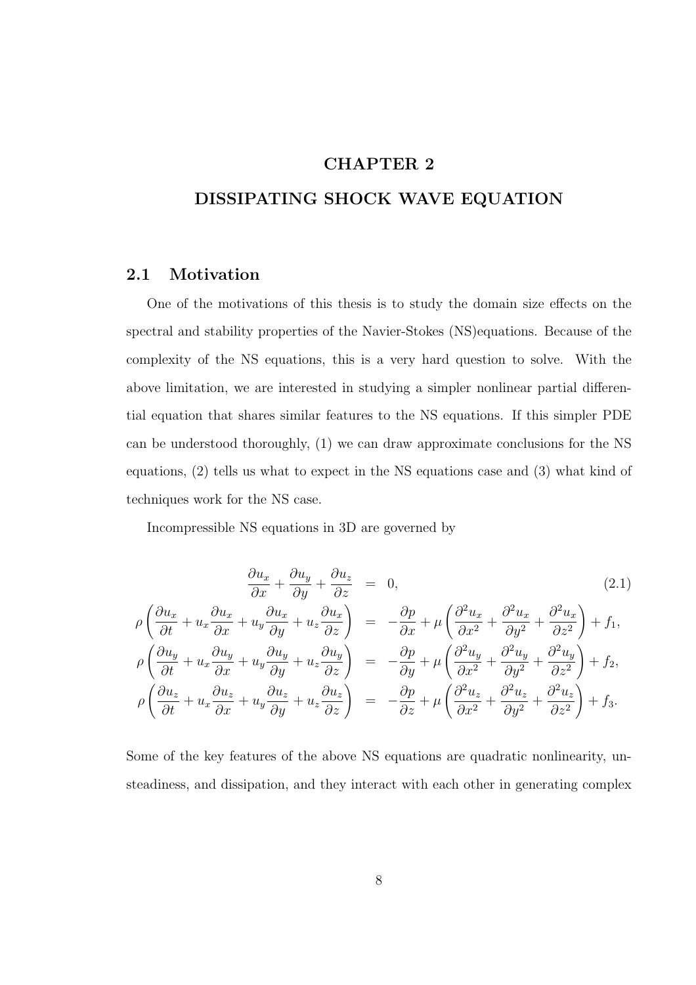## CHAPTER 2

## DISSIPATING SHOCK WAVE EQUATION

## 2.1 Motivation

One of the motivations of this thesis is to study the domain size effects on the spectral and stability properties of the Navier-Stokes (NS)equations. Because of the complexity of the NS equations, this is a very hard question to solve. With the above limitation, we are interested in studying a simpler nonlinear partial differential equation that shares similar features to the NS equations. If this simpler PDE can be understood thoroughly, (1) we can draw approximate conclusions for the NS equations, (2) tells us what to expect in the NS equations case and (3) what kind of techniques work for the NS case.

Incompressible NS equations in 3D are governed by

$$
\frac{\partial u_x}{\partial x} + \frac{\partial u_y}{\partial y} + \frac{\partial u_z}{\partial z} = 0, \qquad (2.1)
$$
\n
$$
\rho \left( \frac{\partial u_x}{\partial t} + u_x \frac{\partial u_x}{\partial x} + u_y \frac{\partial u_x}{\partial y} + u_z \frac{\partial u_x}{\partial z} \right) = -\frac{\partial p}{\partial x} + \mu \left( \frac{\partial^2 u_x}{\partial x^2} + \frac{\partial^2 u_x}{\partial y^2} + \frac{\partial^2 u_x}{\partial z^2} \right) + f_1,
$$
\n
$$
\rho \left( \frac{\partial u_y}{\partial t} + u_x \frac{\partial u_y}{\partial x} + u_y \frac{\partial u_y}{\partial y} + u_z \frac{\partial u_y}{\partial z} \right) = -\frac{\partial p}{\partial y} + \mu \left( \frac{\partial^2 u_y}{\partial x^2} + \frac{\partial^2 u_y}{\partial y^2} + \frac{\partial^2 u_y}{\partial z^2} \right) + f_2,
$$
\n
$$
\rho \left( \frac{\partial u_z}{\partial t} + u_x \frac{\partial u_z}{\partial x} + u_y \frac{\partial u_z}{\partial y} + u_z \frac{\partial u_z}{\partial z} \right) = -\frac{\partial p}{\partial z} + \mu \left( \frac{\partial^2 u_z}{\partial x^2} + \frac{\partial^2 u_z}{\partial y^2} + \frac{\partial^2 u_z}{\partial z^2} \right) + f_3.
$$
\n(2.1)

Some of the key features of the above NS equations are quadratic nonlinearity, unsteadiness, and dissipation, and they interact with each other in generating complex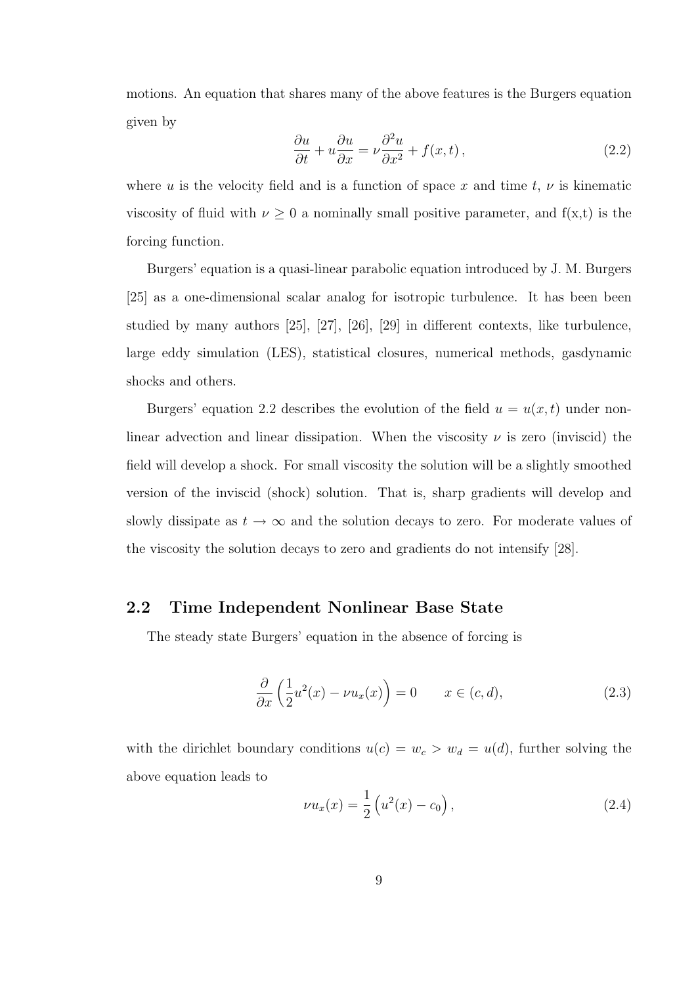motions. An equation that shares many of the above features is the Burgers equation given by

$$
\frac{\partial u}{\partial t} + u \frac{\partial u}{\partial x} = \nu \frac{\partial^2 u}{\partial x^2} + f(x, t), \qquad (2.2)
$$

where u is the velocity field and is a function of space x and time t,  $\nu$  is kinematic viscosity of fluid with  $\nu \geq 0$  a nominally small positive parameter, and  $f(x,t)$  is the forcing function.

Burgers' equation is a quasi-linear parabolic equation introduced by J. M. Burgers [25] as a one-dimensional scalar analog for isotropic turbulence. It has been been studied by many authors [25], [27], [26], [29] in different contexts, like turbulence, large eddy simulation (LES), statistical closures, numerical methods, gasdynamic shocks and others.

Burgers' equation 2.2 describes the evolution of the field  $u = u(x, t)$  under nonlinear advection and linear dissipation. When the viscosity  $\nu$  is zero (inviscid) the field will develop a shock. For small viscosity the solution will be a slightly smoothed version of the inviscid (shock) solution. That is, sharp gradients will develop and slowly dissipate as  $t \to \infty$  and the solution decays to zero. For moderate values of the viscosity the solution decays to zero and gradients do not intensify [28].

#### 2.2 Time Independent Nonlinear Base State

The steady state Burgers' equation in the absence of forcing is

$$
\frac{\partial}{\partial x}\left(\frac{1}{2}u^2(x) - \nu u_x(x)\right) = 0 \qquad x \in (c, d),\tag{2.3}
$$

with the dirichlet boundary conditions  $u(c) = w_c > w_d = u(d)$ , further solving the above equation leads to

$$
\nu u_x(x) = \frac{1}{2} \left( u^2(x) - c_0 \right), \tag{2.4}
$$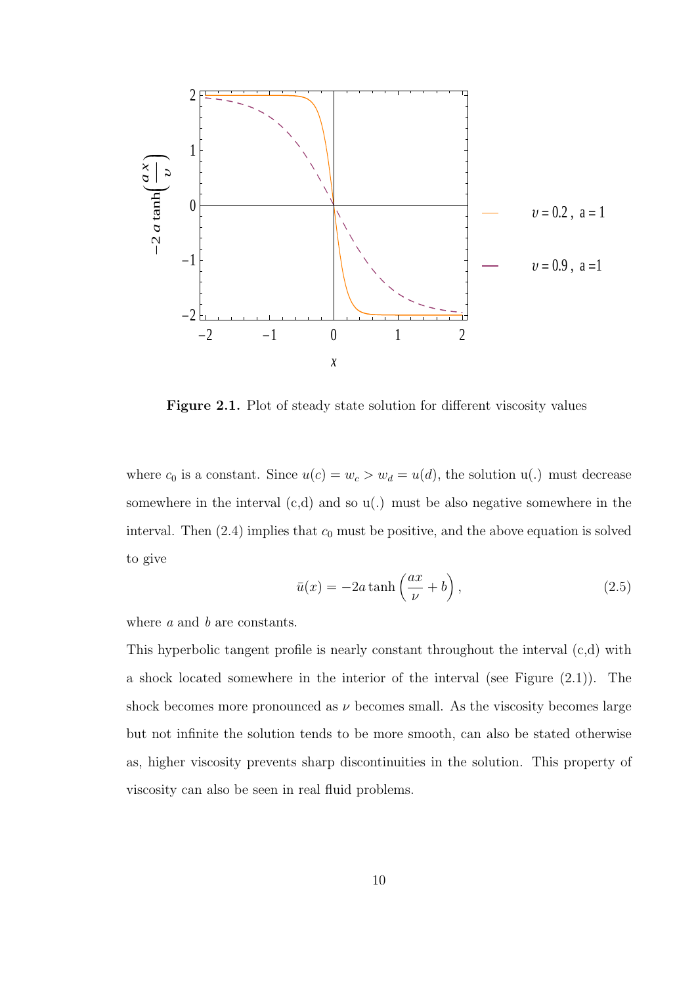

Figure 2.1. Plot of steady state solution for different viscosity values

where  $c_0$  is a constant. Since  $u(c) = w_c > w_d = u(d)$ , the solution  $u(.)$  must decrease somewhere in the interval  $(c,d)$  and so  $u(.)$  must be also negative somewhere in the interval. Then  $(2.4)$  implies that  $c_0$  must be positive, and the above equation is solved to give

$$
\bar{u}(x) = -2a \tanh\left(\frac{ax}{\nu} + b\right),\tag{2.5}
$$

where a and b are constants.

This hyperbolic tangent profile is nearly constant throughout the interval (c,d) with a shock located somewhere in the interior of the interval (see Figure (2.1)). The shock becomes more pronounced as  $\nu$  becomes small. As the viscosity becomes large but not infinite the solution tends to be more smooth, can also be stated otherwise as, higher viscosity prevents sharp discontinuities in the solution. This property of viscosity can also be seen in real fluid problems.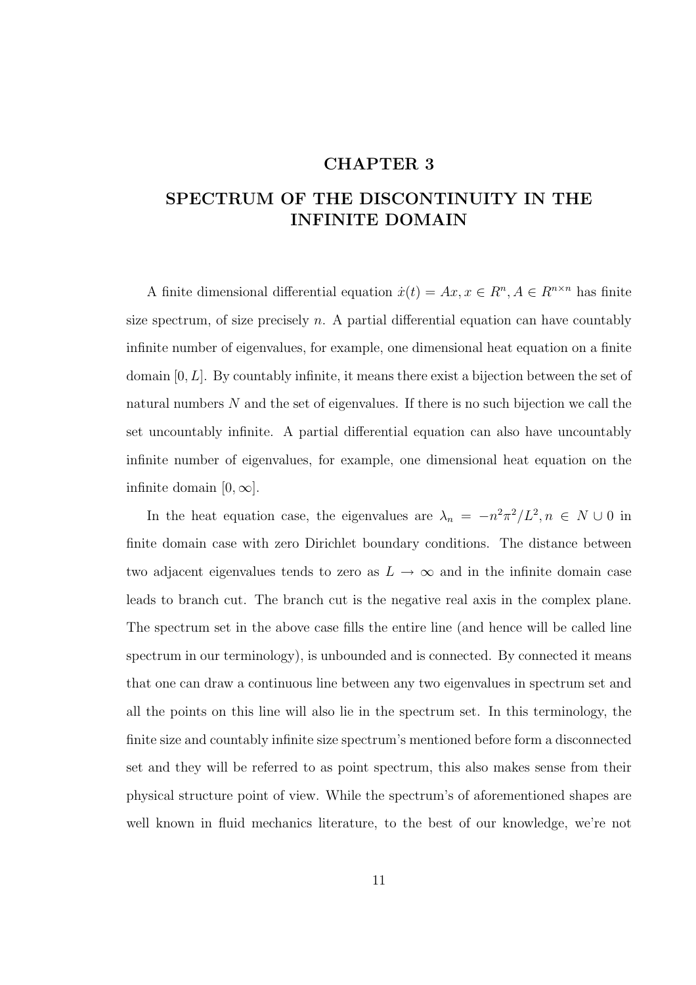## CHAPTER 3

## SPECTRUM OF THE DISCONTINUITY IN THE INFINITE DOMAIN

A finite dimensional differential equation  $\dot{x}(t) = Ax, x \in \mathbb{R}^n, A \in \mathbb{R}^{n \times n}$  has finite size spectrum, of size precisely  $n$ . A partial differential equation can have countably infinite number of eigenvalues, for example, one dimensional heat equation on a finite domain  $[0, L]$ . By countably infinite, it means there exist a bijection between the set of natural numbers  $N$  and the set of eigenvalues. If there is no such bijection we call the set uncountably infinite. A partial differential equation can also have uncountably infinite number of eigenvalues, for example, one dimensional heat equation on the infinite domain  $[0, \infty]$ .

In the heat equation case, the eigenvalues are  $\lambda_n = -n^2 \pi^2 / L^2, n \in N \cup 0$  in finite domain case with zero Dirichlet boundary conditions. The distance between two adjacent eigenvalues tends to zero as  $L \to \infty$  and in the infinite domain case leads to branch cut. The branch cut is the negative real axis in the complex plane. The spectrum set in the above case fills the entire line (and hence will be called line spectrum in our terminology), is unbounded and is connected. By connected it means that one can draw a continuous line between any two eigenvalues in spectrum set and all the points on this line will also lie in the spectrum set. In this terminology, the finite size and countably infinite size spectrum's mentioned before form a disconnected set and they will be referred to as point spectrum, this also makes sense from their physical structure point of view. While the spectrum's of aforementioned shapes are well known in fluid mechanics literature, to the best of our knowledge, we're not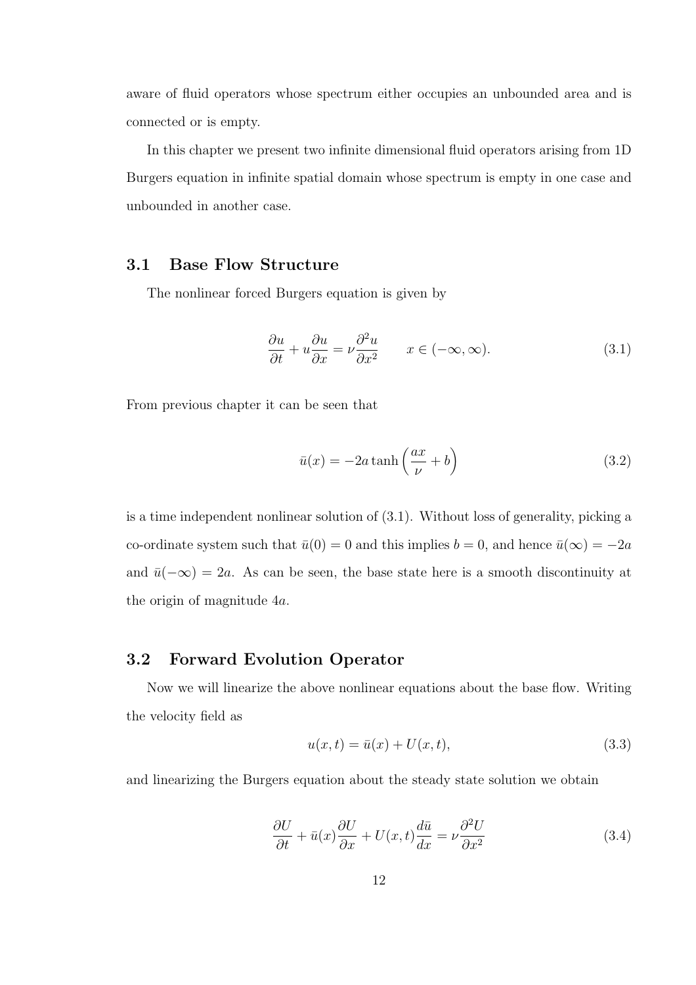aware of fluid operators whose spectrum either occupies an unbounded area and is connected or is empty.

In this chapter we present two infinite dimensional fluid operators arising from 1D Burgers equation in infinite spatial domain whose spectrum is empty in one case and unbounded in another case.

## 3.1 Base Flow Structure

The nonlinear forced Burgers equation is given by

$$
\frac{\partial u}{\partial t} + u \frac{\partial u}{\partial x} = \nu \frac{\partial^2 u}{\partial x^2} \qquad x \in (-\infty, \infty). \tag{3.1}
$$

From previous chapter it can be seen that

$$
\bar{u}(x) = -2a \tanh\left(\frac{ax}{\nu} + b\right) \tag{3.2}
$$

is a time independent nonlinear solution of (3.1). Without loss of generality, picking a co-ordinate system such that  $\bar{u}(0) = 0$  and this implies  $b = 0$ , and hence  $\bar{u}(\infty) = -2a$ and  $\bar{u}(-\infty) = 2a$ . As can be seen, the base state here is a smooth discontinuity at the origin of magnitude 4a.

#### 3.2 Forward Evolution Operator

Now we will linearize the above nonlinear equations about the base flow. Writing the velocity field as

$$
u(x,t) = \bar{u}(x) + U(x,t),
$$
\n(3.3)

and linearizing the Burgers equation about the steady state solution we obtain

$$
\frac{\partial U}{\partial t} + \bar{u}(x)\frac{\partial U}{\partial x} + U(x,t)\frac{d\bar{u}}{dx} = \nu \frac{\partial^2 U}{\partial x^2}
$$
(3.4)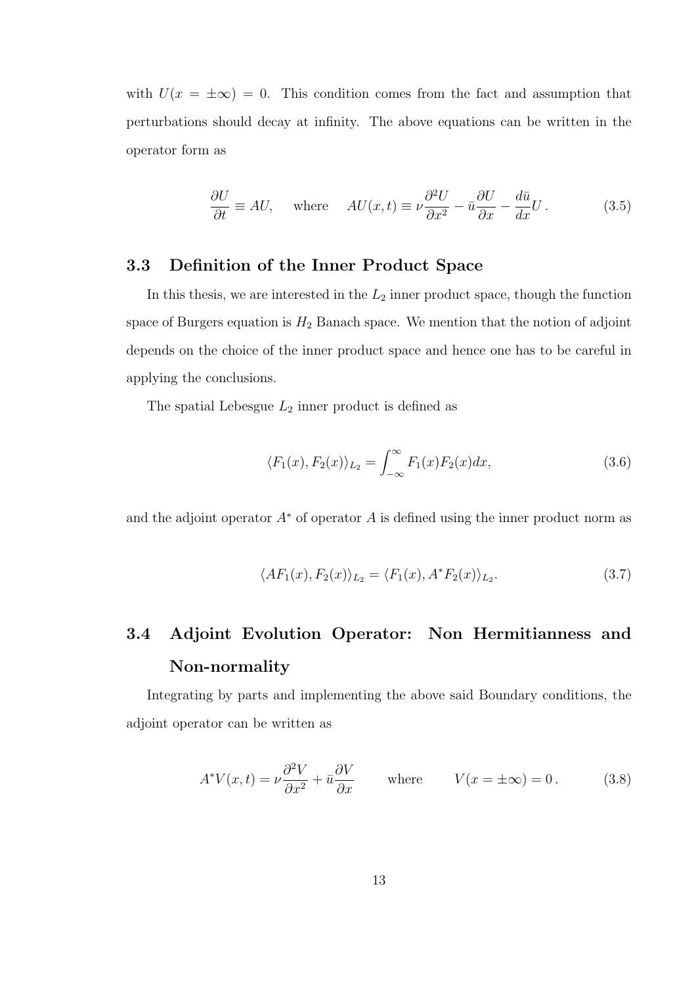with  $U(x = \pm \infty) = 0$ . This condition comes from the fact and assumption that perturbations should decay at infinity. The above equations can be written in the operator form as

$$
\frac{\partial U}{\partial t} \equiv AU, \quad \text{where} \quad AU(x,t) \equiv \nu \frac{\partial^2 U}{\partial x^2} - \bar{u} \frac{\partial U}{\partial x} - \frac{d\bar{u}}{dx}U. \tag{3.5}
$$

### 3.3 Definition of the Inner Product Space

In this thesis, we are interested in the  $L_2$  inner product space, though the function space of Burgers equation is  $H_2$  Banach space. We mention that the notion of adjoint depends on the choice of the inner product space and hence one has to be careful in applying the conclusions.

The spatial Lebesgue  $L_2$  inner product is defined as

$$
\langle F_1(x), F_2(x) \rangle_{L_2} = \int_{-\infty}^{\infty} F_1(x) F_2(x) dx, \qquad (3.6)
$$

and the adjoint operator  $A^*$  of operator A is defined using the inner product norm as

$$
\langle AF_1(x), F_2(x) \rangle_{L_2} = \langle F_1(x), A^* F_2(x) \rangle_{L_2}.
$$
\n(3.7)

# 3.4 Adjoint Evolution Operator: Non Hermitianness and Non-normality

Integrating by parts and implementing the above said Boundary conditions, the adjoint operator can be written as

$$
A^*V(x,t) = \nu \frac{\partial^2 V}{\partial x^2} + \bar{u} \frac{\partial V}{\partial x} \quad \text{where} \quad V(x = \pm \infty) = 0. \quad (3.8)
$$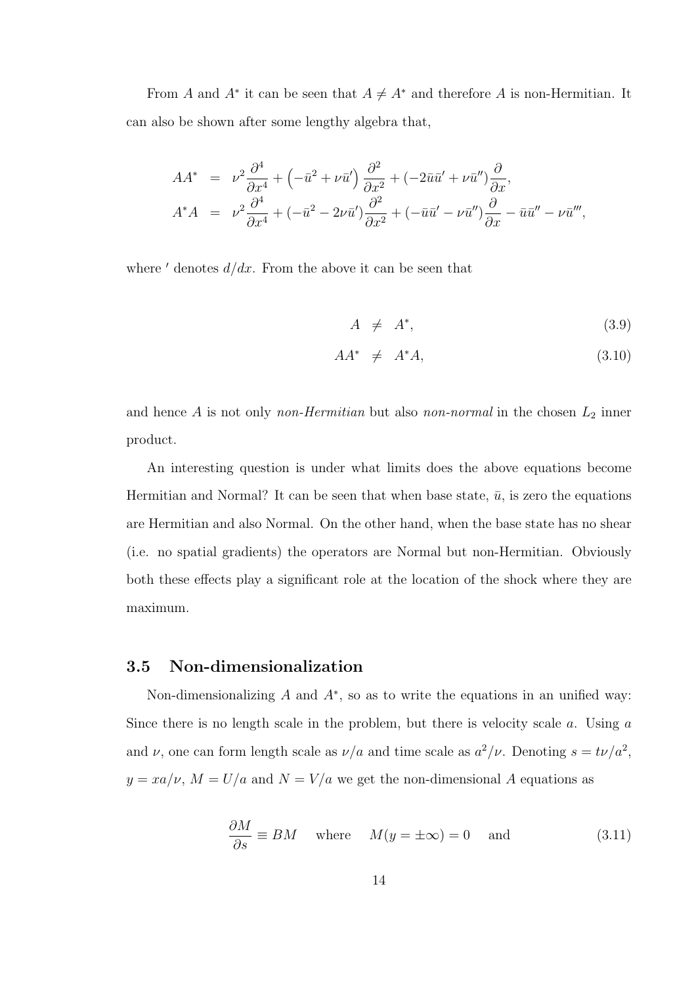From A and  $A^*$  it can be seen that  $A \neq A^*$  and therefore A is non-Hermitian. It can also be shown after some lengthy algebra that,

$$
AA^* = \nu^2 \frac{\partial^4}{\partial x^4} + \left(-\bar{u}^2 + \nu \bar{u}'\right) \frac{\partial^2}{\partial x^2} + \left(-2\bar{u}\bar{u}' + \nu \bar{u}''\right) \frac{\partial}{\partial x},
$$
  
\n
$$
A^*A = \nu^2 \frac{\partial^4}{\partial x^4} + \left(-\bar{u}^2 - 2\nu \bar{u}'\right) \frac{\partial^2}{\partial x^2} + \left(-\bar{u}\bar{u}' - \nu \bar{u}''\right) \frac{\partial}{\partial x} - \bar{u}\bar{u}'' - \nu \bar{u}''',
$$

where  $\prime$  denotes  $d/dx$ . From the above it can be seen that

$$
A \neq A^*, \tag{3.9}
$$

$$
AA^* \neq A^*A, \tag{3.10}
$$

and hence  $A$  is not only *non-Hermitian* but also *non-normal* in the chosen  $L_2$  inner product.

An interesting question is under what limits does the above equations become Hermitian and Normal? It can be seen that when base state,  $\bar{u}$ , is zero the equations are Hermitian and also Normal. On the other hand, when the base state has no shear (i.e. no spatial gradients) the operators are Normal but non-Hermitian. Obviously both these effects play a significant role at the location of the shock where they are maximum.

#### 3.5 Non-dimensionalization

Non-dimensionalizing  $A$  and  $A^*$ , so as to write the equations in an unified way: Since there is no length scale in the problem, but there is velocity scale  $a$ . Using  $a$ and  $\nu$ , one can form length scale as  $\nu/a$  and time scale as  $a^2/\nu$ . Denoting  $s = t\nu/a^2$ ,  $y = xa/\nu$ ,  $M = U/a$  and  $N = V/a$  we get the non-dimensional A equations as

$$
\frac{\partial M}{\partial s} \equiv BM \quad \text{where} \quad M(y = \pm \infty) = 0 \quad \text{and} \tag{3.11}
$$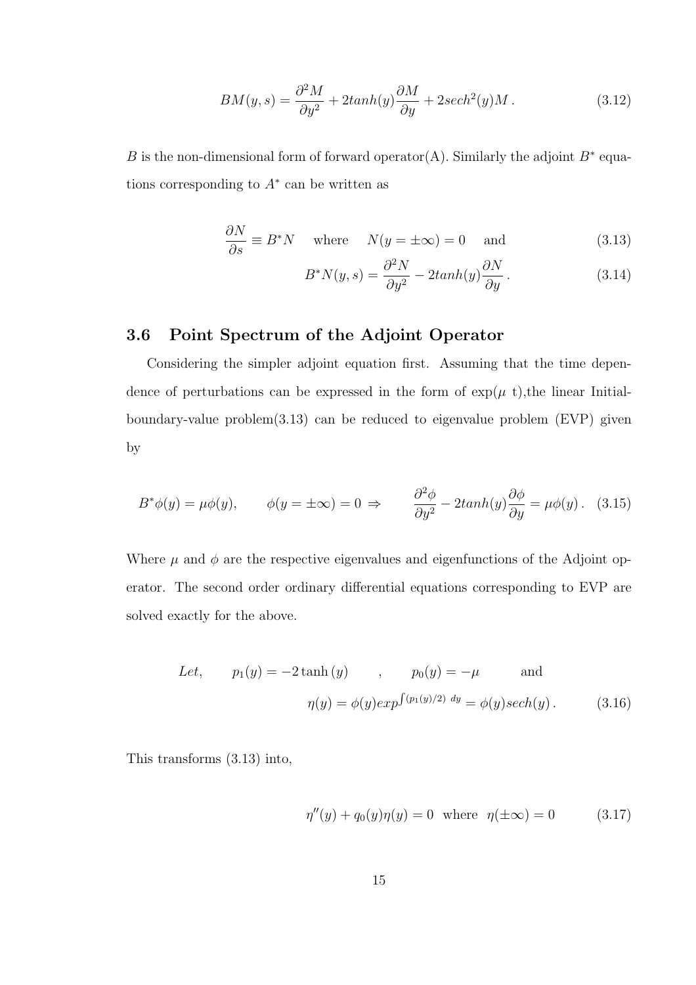$$
BM(y,s) = \frac{\partial^2 M}{\partial y^2} + 2tanh(y)\frac{\partial M}{\partial y} + 2sech^2(y)M.
$$
 (3.12)

B is the non-dimensional form of forward operator(A). Similarly the adjoint  $B^*$  equations corresponding to  $A^*$  can be written as

$$
\frac{\partial N}{\partial s} \equiv B^* N \quad \text{where} \quad N(y = \pm \infty) = 0 \quad \text{and} \tag{3.13}
$$

$$
B^*N(y,s) = \frac{\partial^2 N}{\partial y^2} - 2tanh(y)\frac{\partial N}{\partial y}.
$$
 (3.14)

### 3.6 Point Spectrum of the Adjoint Operator

Considering the simpler adjoint equation first. Assuming that the time dependence of perturbations can be expressed in the form of  $\exp(\mu t)$ , the linear Initialboundary-value problem(3.13) can be reduced to eigenvalue problem (EVP) given by

$$
B^*\phi(y) = \mu\phi(y), \qquad \phi(y = \pm\infty) = 0 \Rightarrow \qquad \frac{\partial^2\phi}{\partial y^2} - 2\tanh(y)\frac{\partial\phi}{\partial y} = \mu\phi(y). \tag{3.15}
$$

Where  $\mu$  and  $\phi$  are the respective eigenvalues and eigenfunctions of the Adjoint operator. The second order ordinary differential equations corresponding to EVP are solved exactly for the above.

Let, 
$$
p_1(y) = -2 \tanh(y)
$$
,  $p_0(y) = -\mu$  and  

$$
\eta(y) = \phi(y) exp^{\int (p_1(y)/2) dy} = \phi(y) sech(y).
$$
(3.16)

This transforms (3.13) into,

$$
\eta''(y) + q_0(y)\eta(y) = 0 \text{ where } \eta(\pm \infty) = 0 \quad (3.17)
$$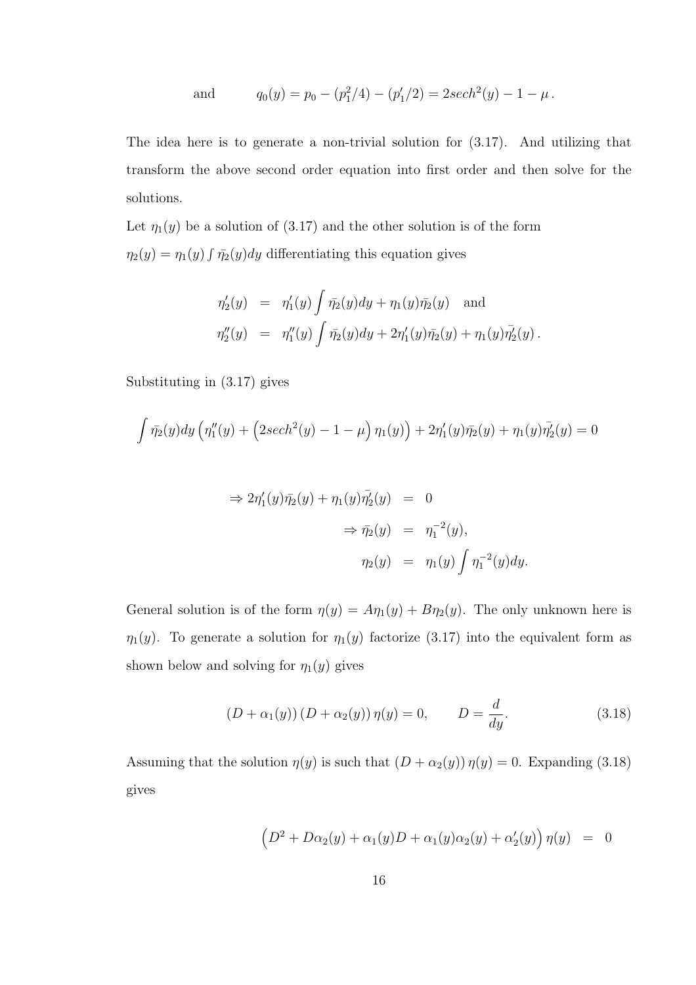and 
$$
q_0(y) = p_0 - (p_1^2/4) - (p_1'/2) = 2sech^2(y) - 1 - \mu
$$
.

The idea here is to generate a non-trivial solution for (3.17). And utilizing that transform the above second order equation into first order and then solve for the solutions.

Let  $\eta_1(y)$  be a solution of (3.17) and the other solution is of the form  $\eta_2(y) = \eta_1(y) \int \bar{\eta_2}(y) dy$  differentiating this equation gives

$$
\eta'_2(y) = \eta'_1(y) \int \bar{\eta_2}(y) dy + \eta_1(y) \bar{\eta_2}(y) \text{ and}
$$
  

$$
\eta''_2(y) = \eta''_1(y) \int \bar{\eta_2}(y) dy + 2\eta'_1(y) \bar{\eta_2}(y) + \eta_1(y) \bar{\eta'_2}(y).
$$

Substituting in (3.17) gives

$$
\int \bar{\eta_2}(y) dy \left( \eta_1''(y) + \left( 2sech^2(y) - 1 - \mu \right) \eta_1(y) \right) + 2\eta_1'(y)\bar{\eta_2}(y) + \eta_1(y)\bar{\eta_2}'(y) = 0
$$

$$
\Rightarrow 2\eta'_1(y)\overline{\eta_2}(y) + \eta_1(y)\overline{\eta'_2}(y) = 0
$$
  

$$
\Rightarrow \overline{\eta_2}(y) = \eta_1^{-2}(y),
$$
  

$$
\eta_2(y) = \eta_1(y)\int \eta_1^{-2}(y)dy.
$$

General solution is of the form  $\eta(y) = A\eta_1(y) + B\eta_2(y)$ . The only unknown here is  $\eta_1(y)$ . To generate a solution for  $\eta_1(y)$  factorize (3.17) into the equivalent form as shown below and solving for  $\eta_1(y)$  gives

$$
(D + \alpha_1(y)) (D + \alpha_2(y)) \eta(y) = 0, \qquad D = \frac{d}{dy}.
$$
 (3.18)

Assuming that the solution  $\eta(y)$  is such that  $(D + \alpha_2(y)) \eta(y) = 0$ . Expanding (3.18) gives

$$
(D2 + D\alpha2(y) + \alpha1(y)D + \alpha1(y)\alpha2(y) + \alpha'2(y)) \eta(y) = 0
$$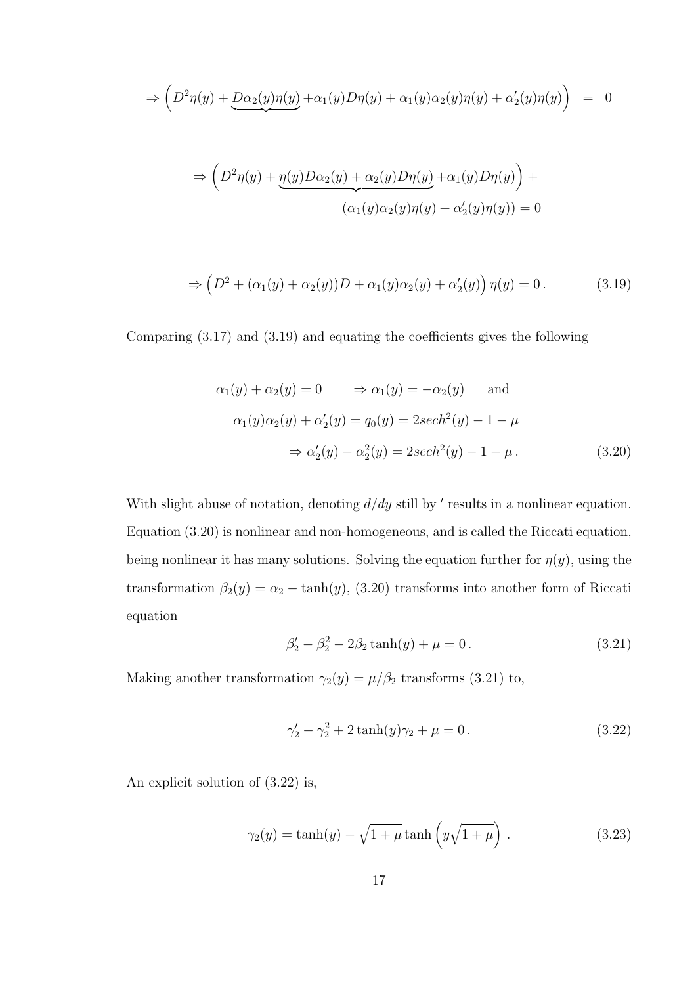$$
\Rightarrow \left( D^2 \eta(y) + \underline{D \alpha_2(y) \eta(y)} + \alpha_1(y) D \eta(y) + \alpha_1(y) \alpha_2(y) \eta(y) + \alpha_2'(y) \eta(y) \right) = 0
$$

$$
\Rightarrow \left(D^2 \eta(y) + \underbrace{\eta(y)D\alpha_2(y)}_{(\alpha_1(y)\alpha_2(y)\eta(y))} + \alpha_1(y)D\eta(y)\right) +
$$

$$
(\alpha_1(y)\alpha_2(y)\eta(y)) + \alpha_2'(y)\eta(y)) = 0
$$

$$
\Rightarrow \left(D^2 + (\alpha_1(y) + \alpha_2(y))D + \alpha_1(y)\alpha_2(y) + \alpha_2'(y)\right)\eta(y) = 0.
$$
 (3.19)

Comparing (3.17) and (3.19) and equating the coefficients gives the following

$$
\alpha_1(y) + \alpha_2(y) = 0 \Rightarrow \alpha_1(y) = -\alpha_2(y) \text{ and}
$$
  
\n
$$
\alpha_1(y)\alpha_2(y) + \alpha_2'(y) = q_0(y) = 2\operatorname{sech}^2(y) - 1 - \mu
$$
  
\n
$$
\Rightarrow \alpha_2'(y) - \alpha_2^2(y) = 2\operatorname{sech}^2(y) - 1 - \mu.
$$
\n(3.20)

With slight abuse of notation, denoting  $d/dy$  still by ' results in a nonlinear equation. Equation (3.20) is nonlinear and non-homogeneous, and is called the Riccati equation, being nonlinear it has many solutions. Solving the equation further for  $\eta(y)$ , using the transformation  $\beta_2(y) = \alpha_2 - \tanh(y)$ , (3.20) transforms into another form of Riccati equation

$$
\beta_2' - \beta_2^2 - 2\beta_2 \tanh(y) + \mu = 0. \tag{3.21}
$$

Making another transformation  $\gamma_2(y) = \mu/\beta_2$  transforms (3.21) to,

$$
\gamma_2' - \gamma_2^2 + 2\tanh(y)\gamma_2 + \mu = 0.
$$
\n(3.22)

An explicit solution of (3.22) is,

$$
\gamma_2(y) = \tanh(y) - \sqrt{1 + \mu} \tanh\left(y\sqrt{1 + \mu}\right). \tag{3.23}
$$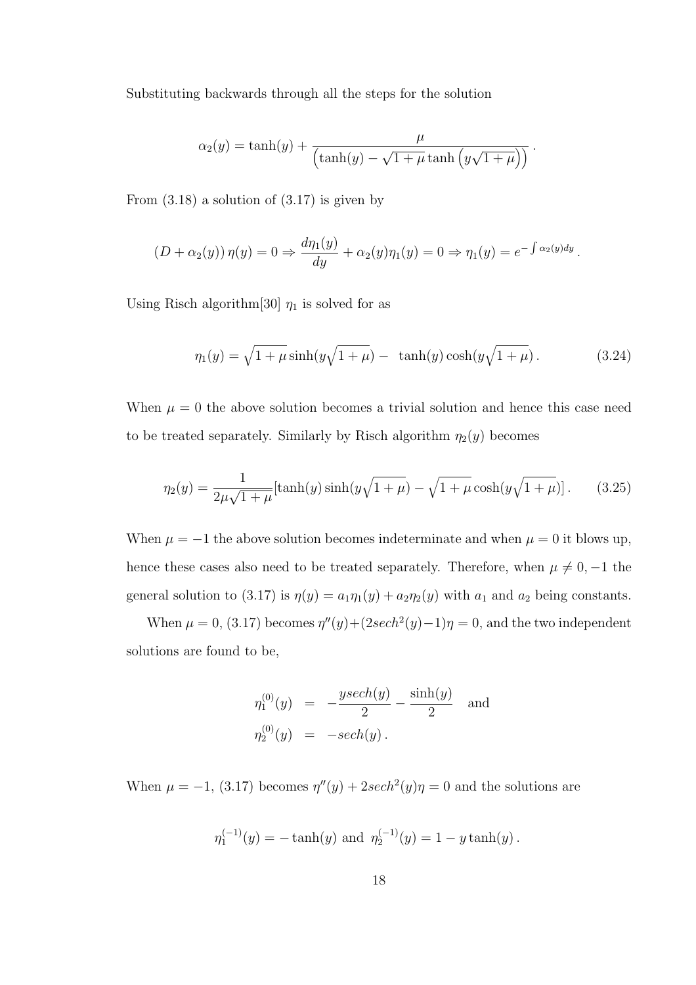Substituting backwards through all the steps for the solution

$$
\alpha_2(y) = \tanh(y) + \frac{\mu}{\left(\tanh(y) - \sqrt{1 + \mu} \tanh\left(y\sqrt{1 + \mu}\right)\right)}.
$$

From  $(3.18)$  a solution of  $(3.17)$  is given by

$$
(D + \alpha_2(y)) \eta(y) = 0 \Rightarrow \frac{d\eta_1(y)}{dy} + \alpha_2(y)\eta_1(y) = 0 \Rightarrow \eta_1(y) = e^{-\int \alpha_2(y)dy}.
$$

Using Risch algorithm[30]  $\eta_1$  is solved for as

$$
\eta_1(y) = \sqrt{1 + \mu} \sinh(y\sqrt{1 + \mu}) - \tanh(y)\cosh(y\sqrt{1 + \mu}).
$$
\n(3.24)

When  $\mu = 0$  the above solution becomes a trivial solution and hence this case need to be treated separately. Similarly by Risch algorithm  $\eta_2(y)$  becomes

$$
\eta_2(y) = \frac{1}{2\mu\sqrt{1+\mu}}[\tanh(y)\sinh(y\sqrt{1+\mu}) - \sqrt{1+\mu}\cosh(y\sqrt{1+\mu})].
$$
 (3.25)

When  $\mu = -1$  the above solution becomes indeterminate and when  $\mu = 0$  it blows up, hence these cases also need to be treated separately. Therefore, when  $\mu \neq 0, -1$  the general solution to (3.17) is  $\eta(y) = a_1 \eta_1(y) + a_2 \eta_2(y)$  with  $a_1$  and  $a_2$  being constants.

When  $\mu = 0$ , (3.17) becomes  $\eta''(y) + (2sech^2(y) - 1)\eta = 0$ , and the two independent solutions are found to be,

$$
\eta_1^{(0)}(y) = -\frac{y \sech(y)}{2} - \frac{\sinh(y)}{2} \text{ and}
$$
  

$$
\eta_2^{(0)}(y) = -\sech(y).
$$

When  $\mu = -1$ , (3.17) becomes  $\eta''(y) + 2\mathrm{sech}^2(y)\eta = 0$  and the solutions are

$$
\eta_1^{(-1)}(y) = -\tanh(y) \text{ and } \eta_2^{(-1)}(y) = 1 - y \tanh(y).
$$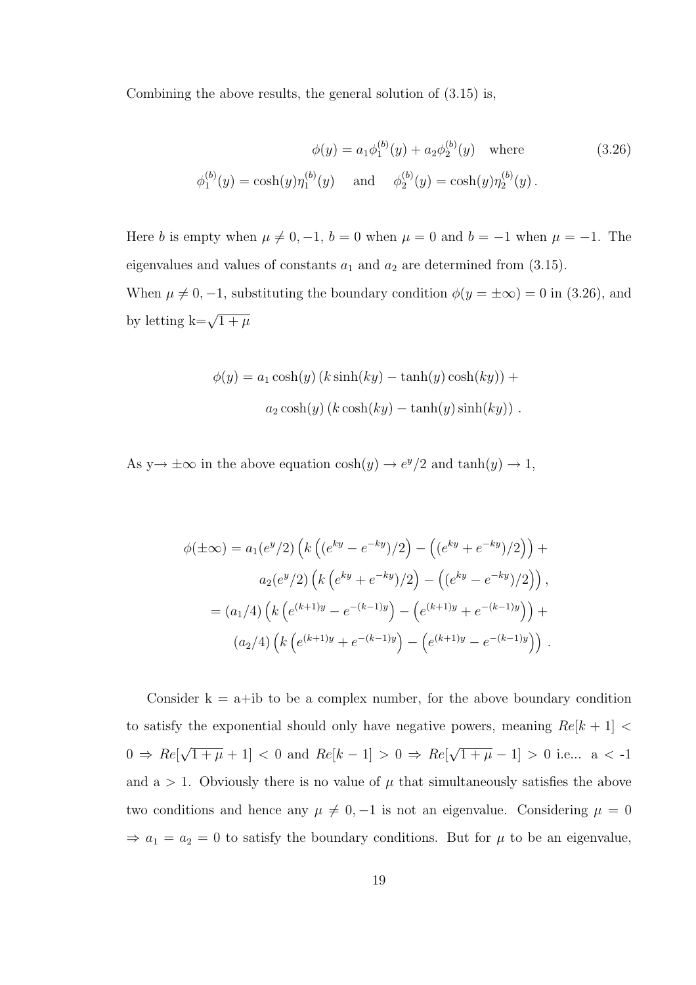Combining the above results, the general solution of (3.15) is,

$$
\phi(y) = a_1 \phi_1^{(b)}(y) + a_2 \phi_2^{(b)}(y) \quad \text{where}
$$
\n
$$
\phi_1^{(b)}(y) = \cosh(y)\eta_1^{(b)}(y) \quad \text{and} \quad \phi_2^{(b)}(y) = \cosh(y)\eta_2^{(b)}(y).
$$
\n(3.26)

Here b is empty when  $\mu \neq 0, -1, b = 0$  when  $\mu = 0$  and  $b = -1$  when  $\mu = -1$ . The eigenvalues and values of constants  $a_1$  and  $a_2$  are determined from (3.15). When  $\mu \neq 0, -1$ , substituting the boundary condition  $\phi(y = \pm \infty) = 0$  in (3.26), and by letting  $k = \sqrt{1 + \mu}$ 

$$
\phi(y) = a_1 \cosh(y) (k \sinh(ky) - \tanh(y) \cosh(ky)) +
$$

$$
a_2 \cosh(y) (k \cosh(ky) - \tanh(y) \sinh(ky)).
$$

As  $y \rightarrow \pm \infty$  in the above equation  $\cosh(y) \rightarrow e^y/2$  and  $\tanh(y) \rightarrow 1$ ,

$$
\phi(\pm \infty) = a_1(e^y/2) \left( k \left( (e^{ky} - e^{-ky})/2 \right) - \left( (e^{ky} + e^{-ky})/2 \right) \right) +
$$
  

$$
a_2(e^y/2) \left( k \left( e^{ky} + e^{-ky})/2 \right) - \left( (e^{ky} - e^{-ky})/2 \right) \right),
$$
  

$$
= (a_1/4) \left( k \left( e^{(k+1)y} - e^{-(k-1)y} \right) - \left( e^{(k+1)y} + e^{-(k-1)y} \right) \right) +
$$
  

$$
(a_2/4) \left( k \left( e^{(k+1)y} + e^{-(k-1)y} \right) - \left( e^{(k+1)y} - e^{-(k-1)y} \right) \right).
$$

Consider  $k = a + ib$  to be a complex number, for the above boundary condition to satisfy the exponential should only have negative powers, meaning  $Re[k+1]$  <  $0 \Rightarrow Re$ √  $\overline{1+\mu}+1|<0$  and  $Re[k-1]>0 \Rightarrow Re[k]$ √  $\overline{1+\mu}-1$  > 0 i.e... a < -1 and a  $> 1$ . Obviously there is no value of  $\mu$  that simultaneously satisfies the above two conditions and hence any  $\mu \neq 0, -1$  is not an eigenvalue. Considering  $\mu = 0$  $\Rightarrow a_1 = a_2 = 0$  to satisfy the boundary conditions. But for  $\mu$  to be an eigenvalue,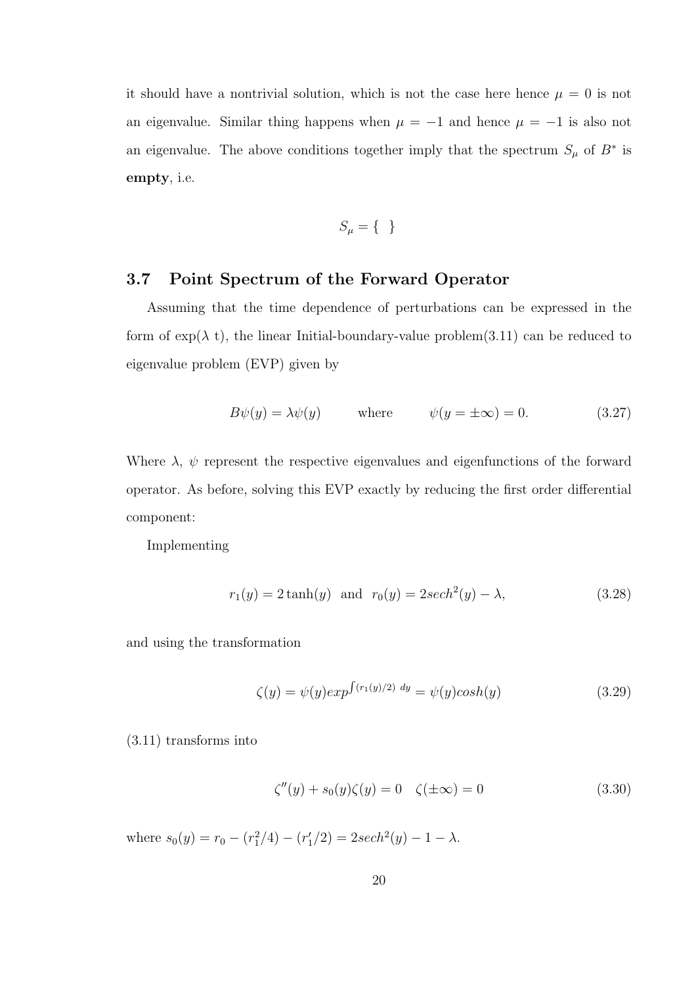it should have a nontrivial solution, which is not the case here hence  $\mu = 0$  is not an eigenvalue. Similar thing happens when  $\mu = -1$  and hence  $\mu = -1$  is also not an eigenvalue. The above conditions together imply that the spectrum  $S_{\mu}$  of  $B^*$  is empty, i.e.

$$
S_{\mu} = \{ \}
$$

#### 3.7 Point Spectrum of the Forward Operator

Assuming that the time dependence of perturbations can be expressed in the form of  $\exp(\lambda t)$ , the linear Initial-boundary-value problem(3.11) can be reduced to eigenvalue problem (EVP) given by

$$
B\psi(y) = \lambda\psi(y) \qquad \text{where} \qquad \psi(y = \pm\infty) = 0. \tag{3.27}
$$

Where  $\lambda$ ,  $\psi$  represent the respective eigenvalues and eigenfunctions of the forward operator. As before, solving this EVP exactly by reducing the first order differential component:

Implementing

$$
r_1(y) = 2 \tanh(y)
$$
 and  $r_0(y) = 2 \sech^2(y) - \lambda,$  (3.28)

and using the transformation

$$
\zeta(y) = \psi(y) \exp^{\int (r_1(y)/2) \ dy} = \psi(y) \cosh(y) \tag{3.29}
$$

(3.11) transforms into

$$
\zeta''(y) + s_0(y)\zeta(y) = 0 \quad \zeta(\pm \infty) = 0 \tag{3.30}
$$

where  $s_0(y) = r_0 - (r_1^2/4) - (r_1^{\prime}/2) = 2sech^2(y) - 1 - \lambda$ .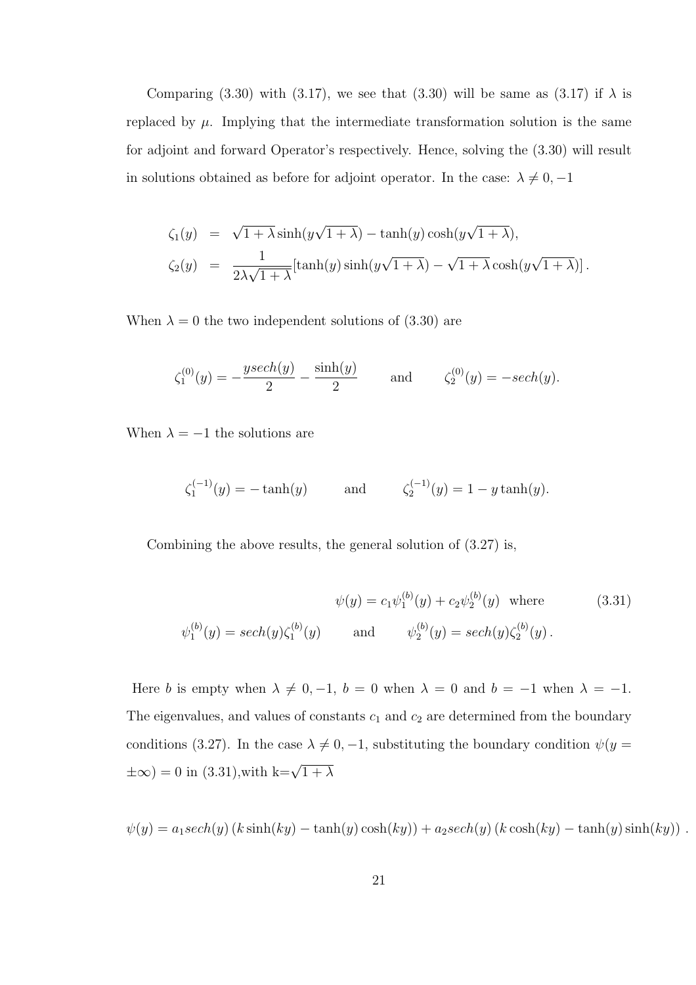Comparing (3.30) with (3.17), we see that (3.30) will be same as (3.17) if  $\lambda$  is replaced by  $\mu$ . Implying that the intermediate transformation solution is the same for adjoint and forward Operator's respectively. Hence, solving the (3.30) will result in solutions obtained as before for adjoint operator. In the case:  $\lambda \neq 0, -1$ 

$$
\zeta_1(y) = \sqrt{1 + \lambda} \sinh(y\sqrt{1 + \lambda}) - \tanh(y)\cosh(y\sqrt{1 + \lambda}),
$$
  

$$
\zeta_2(y) = \frac{1}{2\lambda\sqrt{1 + \lambda}}[\tanh(y)\sinh(y\sqrt{1 + \lambda}) - \sqrt{1 + \lambda}\cosh(y\sqrt{1 + \lambda})].
$$

When  $\lambda = 0$  the two independent solutions of (3.30) are

$$
\zeta_1^{(0)}(y) = -\frac{ysech(y)}{2} - \frac{\sinh(y)}{2}
$$
 and  $\zeta_2^{(0)}(y) = -sech(y).$ 

When  $\lambda = -1$  the solutions are

$$
\zeta_1^{(-1)}(y) = -\tanh(y)
$$
 and  $\zeta_2^{(-1)}(y) = 1 - y \tanh(y).$ 

Combining the above results, the general solution of (3.27) is,

$$
\psi(y) = c_1 \psi_1^{(b)}(y) + c_2 \psi_2^{(b)}(y) \quad \text{where} \quad (3.31)
$$

$$
\psi_1^{(b)}(y) = sech(y)\zeta_1^{(b)}(y) \quad \text{and} \quad \psi_2^{(b)}(y) = sech(y)\zeta_2^{(b)}(y).
$$

Here b is empty when  $\lambda \neq 0, -1$ ,  $b = 0$  when  $\lambda = 0$  and  $b = -1$  when  $\lambda = -1$ . The eigenvalues, and values of constants  $c_1$  and  $c_2$  are determined from the boundary conditions (3.27). In the case  $\lambda \neq 0, -1$ , substituting the boundary condition  $\psi(y =$  $\pm \infty$ ) = 0 in (3.31), with k= $\sqrt{1+\lambda}$ 

$$
\psi(y) = a_1 sech(y) (k \sinh(ky) - \tanh(y) \cosh(ky)) + a_2 sech(y) (k \cosh(ky) - \tanh(y) \sinh(ky)).
$$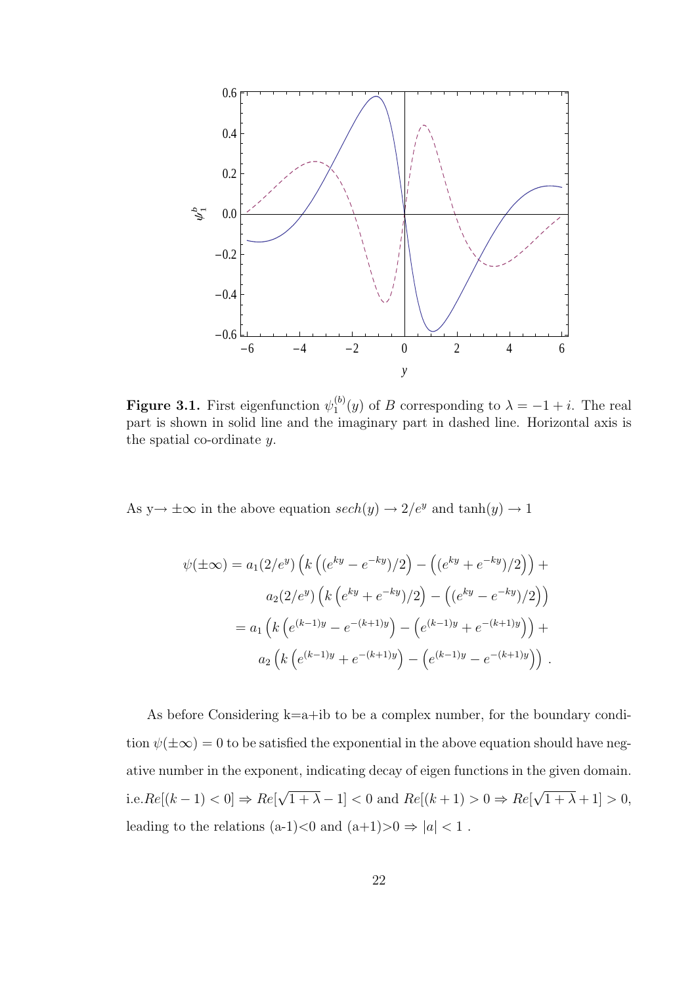

Figure 3.1. First eigenfunction  $\psi_1^{(b)}$  $1^{(0)}(y)$  of B corresponding to  $\lambda = -1 + i$ . The real part is shown in solid line and the imaginary part in dashed line. Horizontal axis is the spatial co-ordinate y.

As  $y \to \pm \infty$  in the above equation  $sech(y) \to 2/e^y$  and  $tanh(y) \to 1$ 

$$
\psi(\pm \infty) = a_1(2/e^y) \left( k \left( (e^{ky} - e^{-ky})/2 \right) - \left( (e^{ky} + e^{-ky})/2 \right) \right) +
$$
  

$$
a_2(2/e^y) \left( k \left( e^{ky} + e^{-ky})/2 \right) - \left( (e^{ky} - e^{-ky})/2 \right) \right)
$$
  

$$
= a_1 \left( k \left( e^{(k-1)y} - e^{-(k+1)y} \right) - \left( e^{(k-1)y} + e^{-(k+1)y} \right) \right) +
$$
  

$$
a_2 \left( k \left( e^{(k-1)y} + e^{-(k+1)y} \right) - \left( e^{(k-1)y} - e^{-(k+1)y} \right) \right).
$$

As before Considering k=a+ib to be a complex number, for the boundary condition  $\psi(\pm\infty) = 0$  to be satisfied the exponential in the above equation should have negative number in the exponent, indicating decay of eigen functions in the given domain. i.e. $Re[(k-1) < 0] \Rightarrow Re[$ √  $\overline{1 + \lambda} - 1$  < 0 and  $Re[(k + 1) > 0 \Rightarrow Re[$ √  $\overline{1 + \lambda} + 1 > 0$ , leading to the relations (a-1)<0 and (a+1)>0  $\Rightarrow$   $|a|<1$  .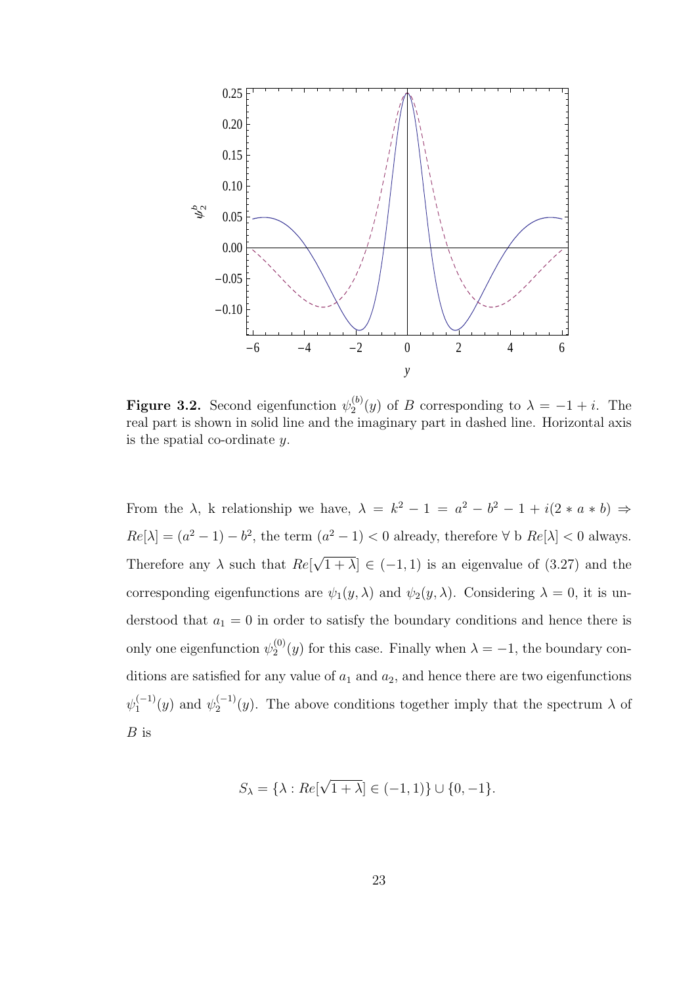

**Figure 3.2.** Second eigenfunction  $\psi_2^{(b)}$  $2^{(0)}(y)$  of B corresponding to  $\lambda = -1 + i$ . The real part is shown in solid line and the imaginary part in dashed line. Horizontal axis is the spatial co-ordinate y.

From the  $\lambda$ , k relationship we have,  $\lambda = k^2 - 1 = a^2 - b^2 - 1 + i(2 * a * b) \Rightarrow$  $Re[\lambda] = (a^2 - 1) - b^2$ , the term  $(a^2 - 1) < 0$  already, therefore  $\forall$  b  $Re[\lambda] < 0$  always. Therefore any  $\lambda$  such that  $Re[$ √  $\overline{1 + \lambda} \in (-1, 1)$  is an eigenvalue of  $(3.27)$  and the corresponding eigenfunctions are  $\psi_1(y,\lambda)$  and  $\psi_2(y,\lambda)$ . Considering  $\lambda = 0$ , it is understood that  $a_1 = 0$  in order to satisfy the boundary conditions and hence there is only one eigenfunction  $\psi_2^{(0)}$  $2^{(0)}(y)$  for this case. Finally when  $\lambda = -1$ , the boundary conditions are satisfied for any value of  $a_1$  and  $a_2$ , and hence there are two eigenfunctions  $\psi_1^{(-1)}$  $y_1^{(-1)}(y)$  and  $\psi_2^{(-1)}$  $\chi_2^{(-1)}(y)$ . The above conditions together imply that the spectrum  $\lambda$  of B is

$$
S_{\lambda} = \{\lambda : Re[\sqrt{1 + \lambda}] \in (-1, 1)\} \cup \{0, -1\}.
$$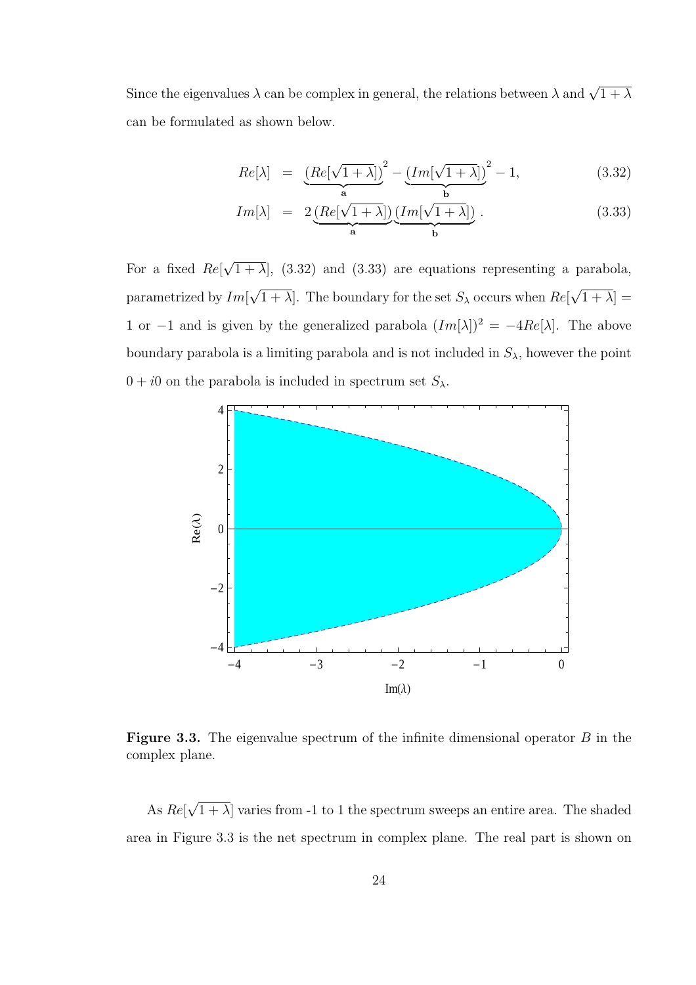Since the eigenvalues  $\lambda$  can be complex in general, the relations between  $\lambda$  and  $\sqrt{1+\lambda}$ can be formulated as shown below.

$$
Re[\lambda] = \underbrace{(Re[\sqrt{1+\lambda}])}^{2} - \underbrace{(Im[\sqrt{1+\lambda}])}^{2} - 1,
$$
\n(3.32)

$$
Im[\lambda] = 2\underbrace{(Re[\sqrt{1+\lambda}])}_{\mathbf{a}}\underbrace{(Im[\sqrt{1+\lambda}])}_{\mathbf{b}}.
$$
\n(3.33)

For a fixed  $Re[$ √  $(1 + \lambda)$ ,  $(3.32)$  and  $(3.33)$  are equations representing a parabola, parametrized by Im[ √  $[1 + \lambda]$ . The boundary for the set  $S_{\lambda}$  occurs when  $Re[$ √  $1 + \lambda$ ] = 1 or −1 and is given by the generalized parabola  $(Im[\lambda])^2 = -4Re[\lambda]$ . The above boundary parabola is a limiting parabola and is not included in  $S_{\lambda}$ , however the point  $0 + i0$  on the parabola is included in spectrum set  $S_{\lambda}$ .



**Figure 3.3.** The eigenvalue spectrum of the infinite dimensional operator  $B$  in the complex plane.

As Re[ √  $(1 + \lambda)$  varies from -1 to 1 the spectrum sweeps an entire area. The shaded area in Figure 3.3 is the net spectrum in complex plane. The real part is shown on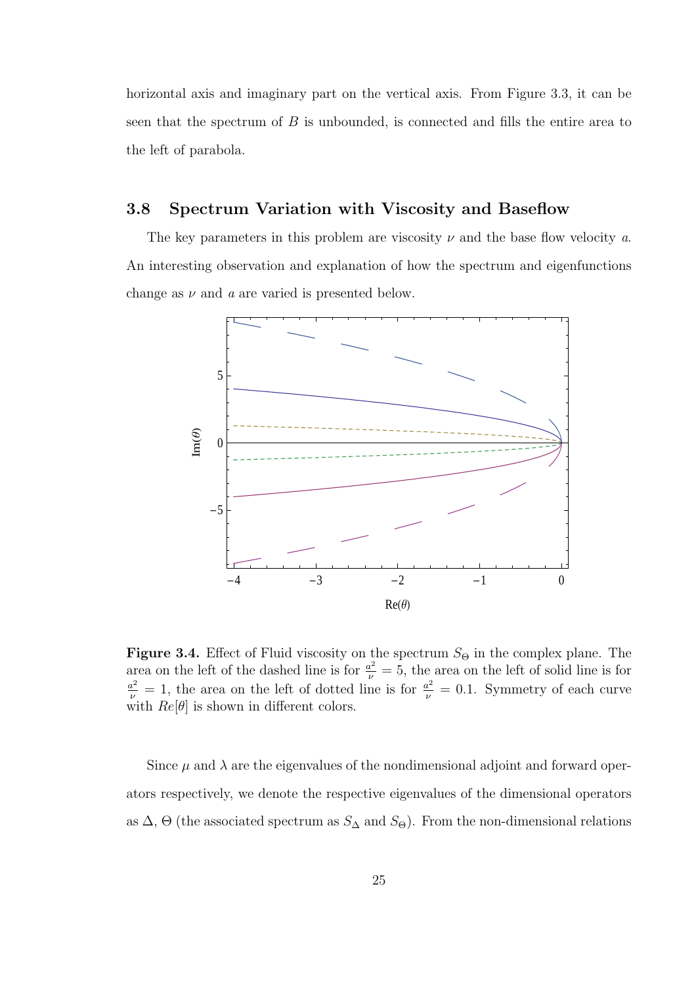horizontal axis and imaginary part on the vertical axis. From Figure 3.3, it can be seen that the spectrum of B is unbounded, is connected and fills the entire area to the left of parabola.

## 3.8 Spectrum Variation with Viscosity and Baseflow

The key parameters in this problem are viscosity  $\nu$  and the base flow velocity a. An interesting observation and explanation of how the spectrum and eigenfunctions change as  $\nu$  and  $\alpha$  are varied is presented below.



**Figure 3.4.** Effect of Fluid viscosity on the spectrum  $S_{\Theta}$  in the complex plane. The area on the left of the dashed line is for  $\frac{a^2}{\nu} = 5$ , the area on the left of solid line is for  $\frac{a^2}{\nu} = 1$ , the area on the left of dotted line is for  $\frac{a^2}{\nu} = 0.1$ . Symmetry of each curve with  $Re[\theta]$  is shown in different colors.

Since  $\mu$  and  $\lambda$  are the eigenvalues of the nondimensional adjoint and forward operators respectively, we denote the respective eigenvalues of the dimensional operators as  $\Delta$ ,  $\Theta$  (the associated spectrum as  $S_{\Delta}$  and  $S_{\Theta}$ ). From the non-dimensional relations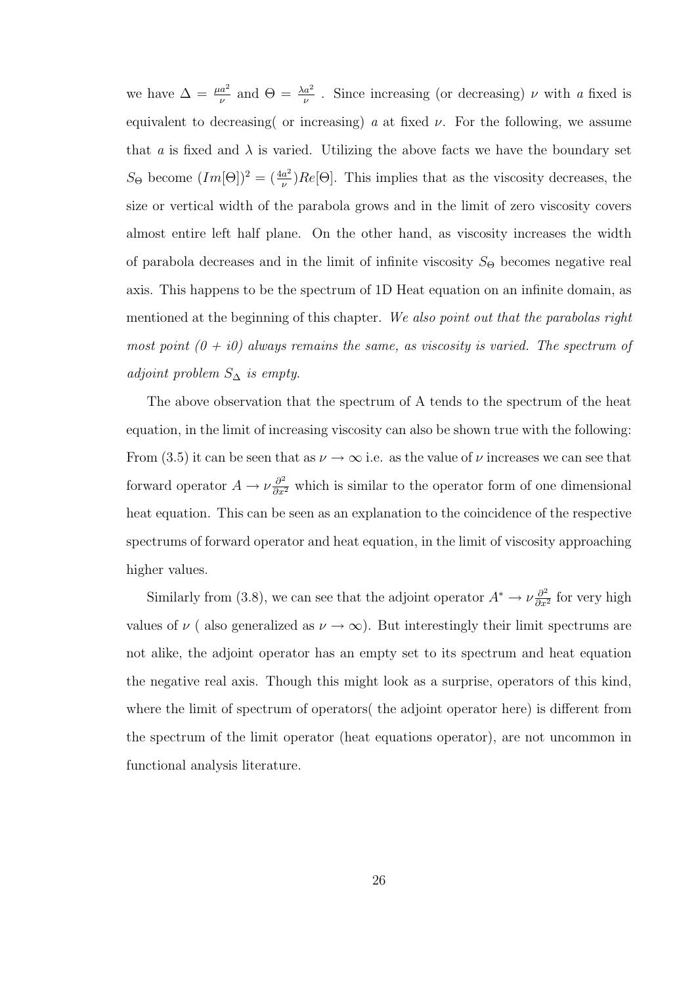we have  $\Delta = \frac{\mu a^2}{\nu}$  and  $\Theta = \frac{\lambda a^2}{\nu}$ . Since increasing (or decreasing)  $\nu$  with a fixed is equivalent to decreasing or increasing) a at fixed  $\nu$ . For the following, we assume that a is fixed and  $\lambda$  is varied. Utilizing the above facts we have the boundary set  $S_{\Theta}$  become  $(Im[\Theta])^2 = (\frac{4a^2}{\nu})$  $\frac{a^2}{\nu}$ )  $Re[\Theta]$ . This implies that as the viscosity decreases, the size or vertical width of the parabola grows and in the limit of zero viscosity covers almost entire left half plane. On the other hand, as viscosity increases the width of parabola decreases and in the limit of infinite viscosity  $S_{\Theta}$  becomes negative real axis. This happens to be the spectrum of 1D Heat equation on an infinite domain, as mentioned at the beginning of this chapter. We also point out that the parabolas right most point  $(0 + i0)$  always remains the same, as viscosity is varied. The spectrum of adjoint problem  $S_\Delta$  is empty.

The above observation that the spectrum of A tends to the spectrum of the heat equation, in the limit of increasing viscosity can also be shown true with the following: From (3.5) it can be seen that as  $\nu \to \infty$  i.e. as the value of  $\nu$  increases we can see that forward operator  $A \to \nu \frac{\partial^2}{\partial x^2}$  which is similar to the operator form of one dimensional heat equation. This can be seen as an explanation to the coincidence of the respective spectrums of forward operator and heat equation, in the limit of viscosity approaching higher values.

Similarly from (3.8), we can see that the adjoint operator  $A^* \to \nu \frac{\partial^2}{\partial x^2}$  $\frac{\partial^2}{\partial x^2}$  for very high values of  $\nu$  ( also generalized as  $\nu \to \infty$ ). But interestingly their limit spectrums are not alike, the adjoint operator has an empty set to its spectrum and heat equation the negative real axis. Though this might look as a surprise, operators of this kind, where the limit of spectrum of operators( the adjoint operator here) is different from the spectrum of the limit operator (heat equations operator), are not uncommon in functional analysis literature.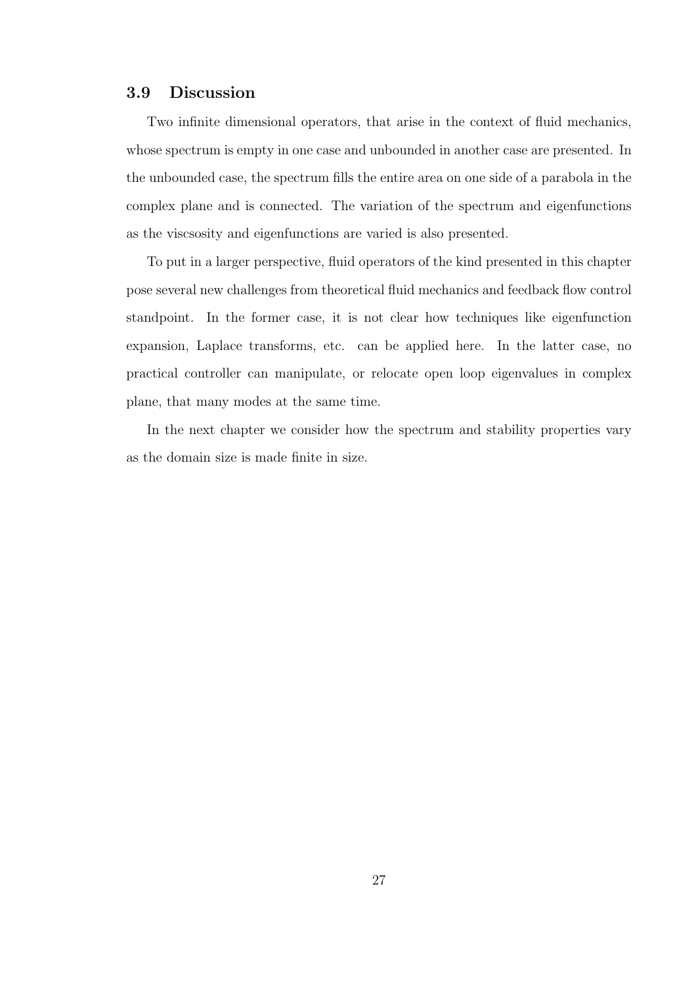## 3.9 Discussion

Two infinite dimensional operators, that arise in the context of fluid mechanics, whose spectrum is empty in one case and unbounded in another case are presented. In the unbounded case, the spectrum fills the entire area on one side of a parabola in the complex plane and is connected. The variation of the spectrum and eigenfunctions as the viscsosity and eigenfunctions are varied is also presented.

To put in a larger perspective, fluid operators of the kind presented in this chapter pose several new challenges from theoretical fluid mechanics and feedback flow control standpoint. In the former case, it is not clear how techniques like eigenfunction expansion, Laplace transforms, etc. can be applied here. In the latter case, no practical controller can manipulate, or relocate open loop eigenvalues in complex plane, that many modes at the same time.

In the next chapter we consider how the spectrum and stability properties vary as the domain size is made finite in size.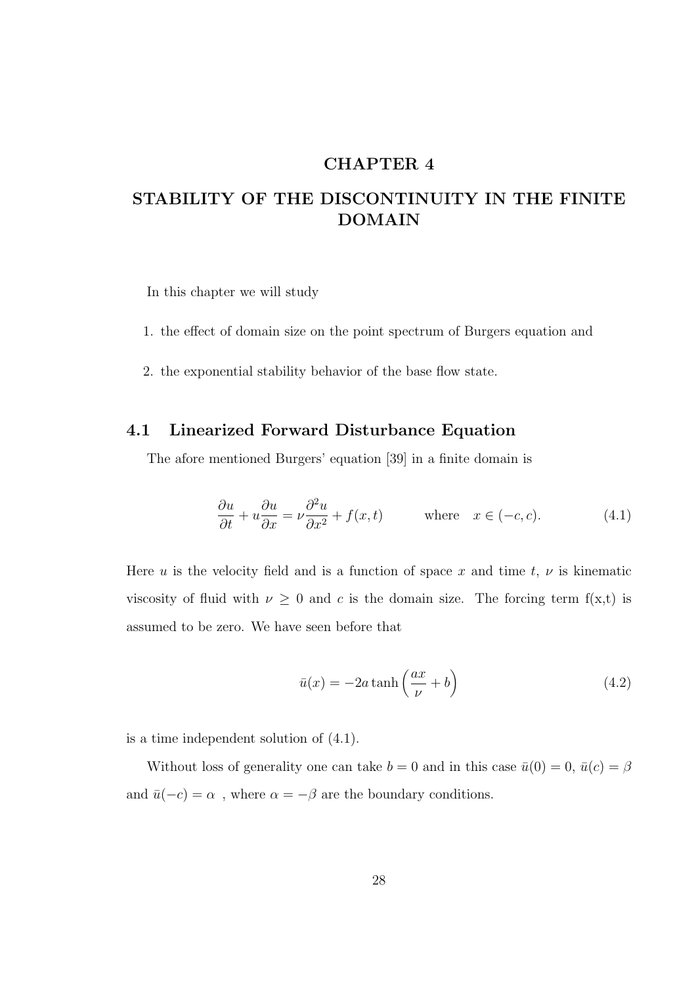## CHAPTER 4

# STABILITY OF THE DISCONTINUITY IN THE FINITE DOMAIN

In this chapter we will study

- 1. the effect of domain size on the point spectrum of Burgers equation and
- 2. the exponential stability behavior of the base flow state.

## 4.1 Linearized Forward Disturbance Equation

The afore mentioned Burgers' equation [39] in a finite domain is

$$
\frac{\partial u}{\partial t} + u \frac{\partial u}{\partial x} = \nu \frac{\partial^2 u}{\partial x^2} + f(x, t) \quad \text{where} \quad x \in (-c, c). \tag{4.1}
$$

Here u is the velocity field and is a function of space x and time t,  $\nu$  is kinematic viscosity of fluid with  $\nu \geq 0$  and c is the domain size. The forcing term f(x,t) is assumed to be zero. We have seen before that

$$
\bar{u}(x) = -2a \tanh\left(\frac{ax}{\nu} + b\right) \tag{4.2}
$$

is a time independent solution of (4.1).

Without loss of generality one can take  $b = 0$  and in this case  $\bar{u}(0) = 0$ ,  $\bar{u}(c) = \beta$ and  $\bar{u}(-c) = \alpha$  , where  $\alpha = -\beta$  are the boundary conditions.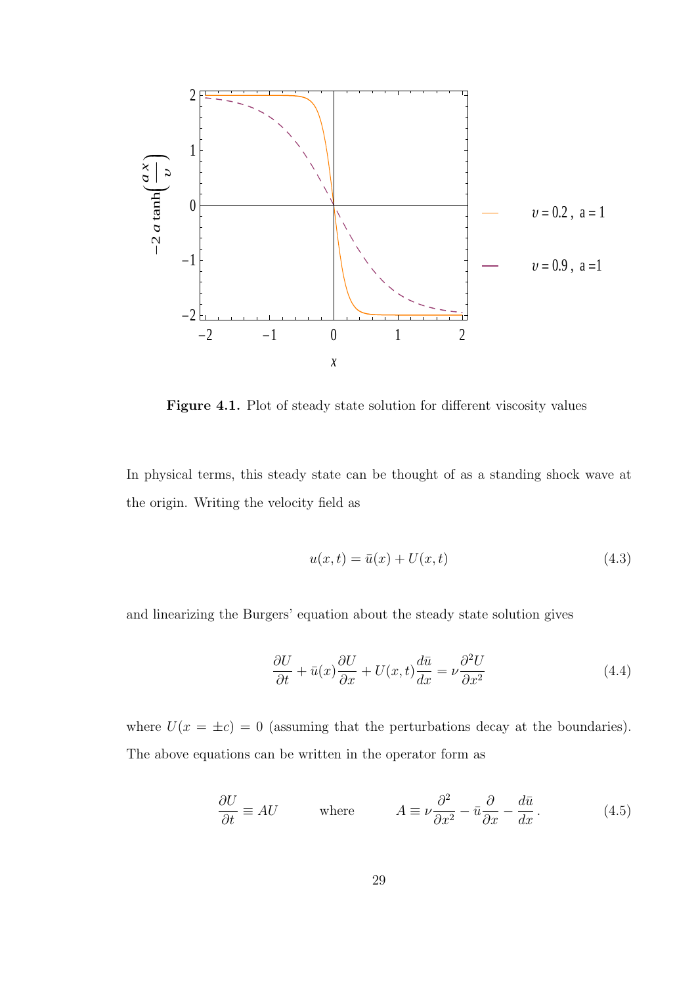

Figure 4.1. Plot of steady state solution for different viscosity values

In physical terms, this steady state can be thought of as a standing shock wave at the origin. Writing the velocity field as

$$
u(x,t) = \bar{u}(x) + U(x,t)
$$
\n(4.3)

and linearizing the Burgers' equation about the steady state solution gives

$$
\frac{\partial U}{\partial t} + \bar{u}(x)\frac{\partial U}{\partial x} + U(x,t)\frac{d\bar{u}}{dx} = \nu \frac{\partial^2 U}{\partial x^2}
$$
(4.4)

where  $U(x = \pm c) = 0$  (assuming that the perturbations decay at the boundaries). The above equations can be written in the operator form as

$$
\frac{\partial U}{\partial t} \equiv AU \qquad \text{where} \qquad A \equiv \nu \frac{\partial^2}{\partial x^2} - \bar{u} \frac{\partial}{\partial x} - \frac{d\bar{u}}{dx}.
$$
 (4.5)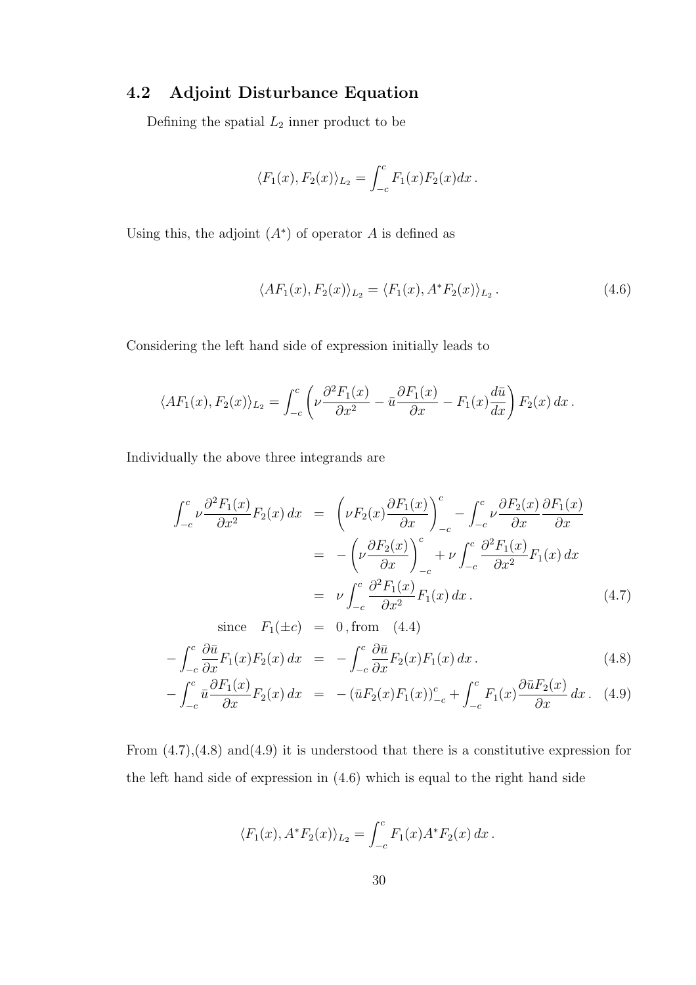## 4.2 Adjoint Disturbance Equation

Defining the spatial  $L_2$  inner product to be

$$
\langle F_1(x), F_2(x) \rangle_{L_2} = \int_{-c}^c F_1(x) F_2(x) dx.
$$

Using this, the adjoint  $(A^*)$  of operator A is defined as

$$
\langle AF_1(x), F_2(x) \rangle_{L_2} = \langle F_1(x), A^* F_2(x) \rangle_{L_2}.
$$
\n(4.6)

Considering the left hand side of expression initially leads to

$$
\langle AF_1(x), F_2(x) \rangle_{L_2} = \int_{-c}^c \left( \nu \frac{\partial^2 F_1(x)}{\partial x^2} - \bar{u} \frac{\partial F_1(x)}{\partial x} - F_1(x) \frac{d\bar{u}}{dx} \right) F_2(x) dx.
$$

Individually the above three integrands are

$$
\int_{-c}^{c} \nu \frac{\partial^2 F_1(x)}{\partial x^2} F_2(x) dx = \left( \nu F_2(x) \frac{\partial F_1(x)}{\partial x} \right)_{-c}^{c} - \int_{-c}^{c} \nu \frac{\partial F_2(x)}{\partial x} \frac{\partial F_1(x)}{\partial x}
$$

$$
= -\left( \nu \frac{\partial F_2(x)}{\partial x} \right)_{-c}^{c} + \nu \int_{-c}^{c} \frac{\partial^2 F_1(x)}{\partial x^2} F_1(x) dx
$$

$$
= \nu \int_{-c}^{c} \frac{\partial^2 F_1(x)}{\partial x^2} F_1(x) dx.
$$
(4.7)

since 
$$
F_1(\pm c) = 0
$$
, from (4.4)  
\n
$$
-\int_{-c}^{c} \frac{\partial \bar{u}}{\partial x} F_1(x) F_2(x) dx = -\int_{-c}^{c} \frac{\partial \bar{u}}{\partial x} F_2(x) F_1(x) dx.
$$
\n(4.8)  
\n
$$
\int_{-c}^{c} \frac{\partial F_1(x)}{\partial x} F_2(x) dx = -\int_{-c}^{c} \frac{\partial \bar{u}}{\partial x} F_2(x) F_1(x) dx.
$$

$$
-\int_{-c}^{c} \bar{u} \frac{\partial F_1(x)}{\partial x} F_2(x) dx = -(\bar{u}F_2(x)F_1(x))_{-c}^c + \int_{-c}^{c} F_1(x) \frac{\partial \bar{u}F_2(x)}{\partial x} dx.
$$
 (4.9)

From  $(4.7)$ , $(4.8)$  and $(4.9)$  it is understood that there is a constitutive expression for the left hand side of expression in (4.6) which is equal to the right hand side

$$
\langle F_1(x), A^* F_2(x) \rangle_{L_2} = \int_{-c}^c F_1(x) A^* F_2(x) dx.
$$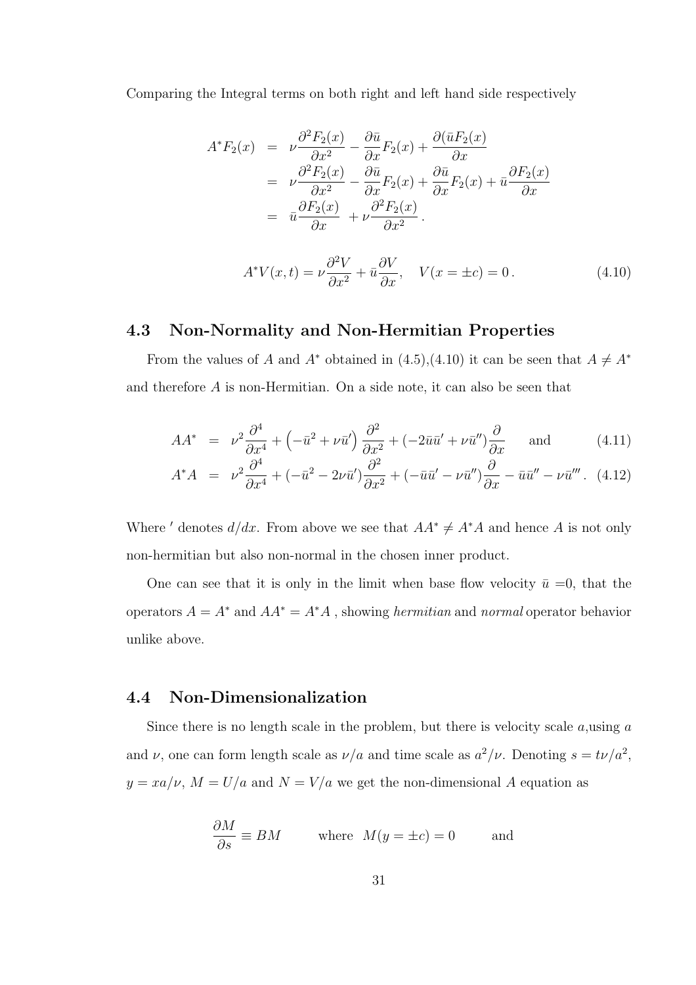Comparing the Integral terms on both right and left hand side respectively

$$
A^*F_2(x) = \nu \frac{\partial^2 F_2(x)}{\partial x^2} - \frac{\partial \bar{u}}{\partial x} F_2(x) + \frac{\partial (\bar{u}F_2(x))}{\partial x}
$$
  
=  $\nu \frac{\partial^2 F_2(x)}{\partial x^2} - \frac{\partial \bar{u}}{\partial x} F_2(x) + \frac{\partial \bar{u}}{\partial x} F_2(x) + \bar{u} \frac{\partial F_2(x)}{\partial x}$   
=  $\bar{u} \frac{\partial F_2(x)}{\partial x} + \nu \frac{\partial^2 F_2(x)}{\partial x^2}.$ 

$$
A^*V(x,t) = \nu \frac{\partial^2 V}{\partial x^2} + \bar{u} \frac{\partial V}{\partial x}, \quad V(x = \pm c) = 0.
$$
 (4.10)

## 4.3 Non-Normality and Non-Hermitian Properties

From the values of A and  $A^*$  obtained in (4.5),(4.10) it can be seen that  $A \neq A^*$ and therefore A is non-Hermitian. On a side note, it can also be seen that

$$
AA^* = \nu^2 \frac{\partial^4}{\partial x^4} + \left(-\bar{u}^2 + \nu \bar{u}'\right) \frac{\partial^2}{\partial x^2} + \left(-2\bar{u}\bar{u}' + \nu \bar{u}''\right) \frac{\partial}{\partial x} \quad \text{and} \quad (4.11)
$$

$$
A^*A = \nu^2 \frac{\partial^4}{\partial x^4} + (-\bar{u}^2 - 2\nu \bar{u}') \frac{\partial^2}{\partial x^2} + (-\bar{u}\bar{u}' - \nu \bar{u}'') \frac{\partial}{\partial x} - \bar{u}\bar{u}'' - \nu \bar{u}'''.
$$
 (4.12)

Where ' denotes  $d/dx$ . From above we see that  $AA^* \neq A^*A$  and hence A is not only non-hermitian but also non-normal in the chosen inner product.

One can see that it is only in the limit when base flow velocity  $\bar{u} = 0$ , that the operators  $A = A^*$  and  $AA^* = A^*A$ , showing *hermitian* and *normal* operator behavior unlike above.

## 4.4 Non-Dimensionalization

Since there is no length scale in the problem, but there is velocity scale  $a$ , using  $a$ and  $\nu$ , one can form length scale as  $\nu/a$  and time scale as  $a^2/\nu$ . Denoting  $s = t\nu/a^2$ ,  $y = xa/\nu$ ,  $M = U/a$  and  $N = V/a$  we get the non-dimensional A equation as

$$
\frac{\partial M}{\partial s} \equiv BM \qquad \text{where} \quad M(y = \pm c) = 0 \qquad \text{and}
$$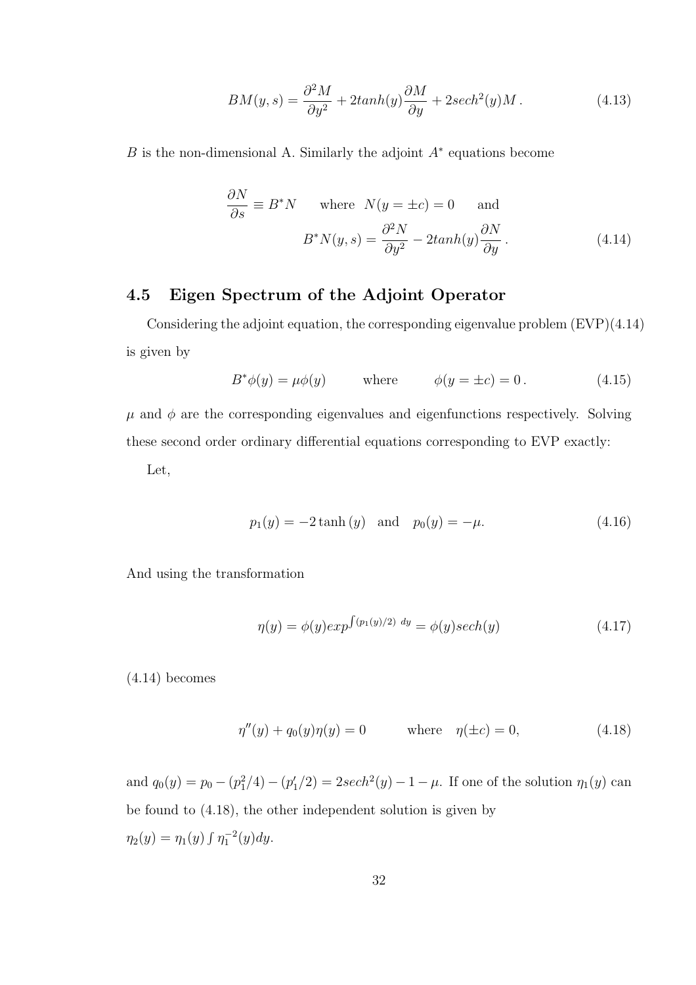$$
BM(y,s) = \frac{\partial^2 M}{\partial y^2} + 2tanh(y)\frac{\partial M}{\partial y} + 2sech^2(y)M.
$$
 (4.13)

B is the non-dimensional A. Similarly the adjoint  $A^*$  equations become

$$
\frac{\partial N}{\partial s} \equiv B^* N \quad \text{where} \quad N(y = \pm c) = 0 \quad \text{and}
$$

$$
B^* N(y, s) = \frac{\partial^2 N}{\partial y^2} - 2 \tanh(y) \frac{\partial N}{\partial y}.
$$
(4.14)

## 4.5 Eigen Spectrum of the Adjoint Operator

Considering the adjoint equation, the corresponding eigenvalue problem (EVP)(4.14) is given by

$$
B^*\phi(y) = \mu\phi(y) \qquad \text{where} \qquad \phi(y = \pm c) = 0. \tag{4.15}
$$

 $\mu$  and  $\phi$  are the corresponding eigenvalues and eigenfunctions respectively. Solving these second order ordinary differential equations corresponding to EVP exactly:

Let,

$$
p_1(y) = -2 \tanh(y)
$$
 and  $p_0(y) = -\mu.$  (4.16)

And using the transformation

$$
\eta(y) = \phi(y) \exp^{\int (p_1(y)/2) \, dy} = \phi(y) \sech(y) \tag{4.17}
$$

(4.14) becomes

$$
\eta''(y) + q_0(y)\eta(y) = 0 \quad \text{where} \quad \eta(\pm c) = 0,
$$
\n(4.18)

and  $q_0(y) = p_0 - (p_1^2/4) - (p_1^2/2) = 2sech^2(y) - 1 - \mu$ . If one of the solution  $\eta_1(y)$  can be found to (4.18), the other independent solution is given by  $\eta_2(y) = \eta_1(y) \int \eta_1^{-2}(y) dy.$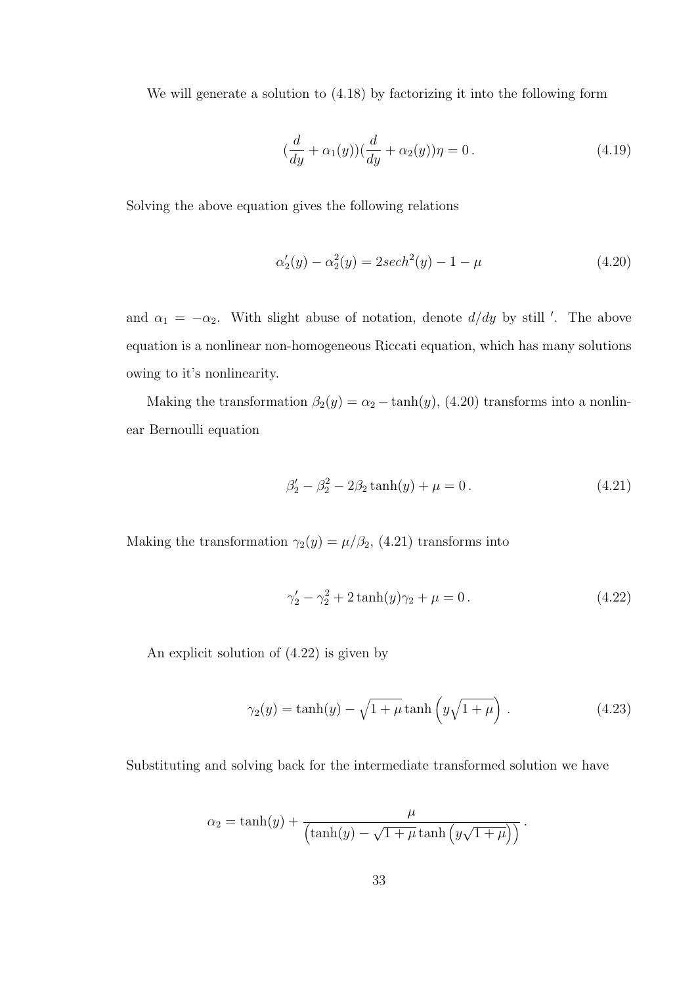We will generate a solution to (4.18) by factorizing it into the following form

$$
(\frac{d}{dy} + \alpha_1(y))(\frac{d}{dy} + \alpha_2(y))\eta = 0.
$$
 (4.19)

Solving the above equation gives the following relations

$$
\alpha_2'(y) - \alpha_2^2(y) = 2sech^2(y) - 1 - \mu \tag{4.20}
$$

and  $\alpha_1 = -\alpha_2$ . With slight abuse of notation, denote  $d/dy$  by still '. The above equation is a nonlinear non-homogeneous Riccati equation, which has many solutions owing to it's nonlinearity.

Making the transformation  $\beta_2(y) = \alpha_2 - \tanh(y)$ , (4.20) transforms into a nonlinear Bernoulli equation

$$
\beta_2' - \beta_2^2 - 2\beta_2 \tanh(y) + \mu = 0. \tag{4.21}
$$

Making the transformation  $\gamma_2(y) = \mu/\beta_2$ , (4.21) transforms into

$$
\gamma_2' - \gamma_2^2 + 2\tanh(y)\gamma_2 + \mu = 0.
$$
 (4.22)

An explicit solution of (4.22) is given by

$$
\gamma_2(y) = \tanh(y) - \sqrt{1 + \mu} \tanh\left(y\sqrt{1 + \mu}\right). \tag{4.23}
$$

Substituting and solving back for the intermediate transformed solution we have

$$
\alpha_2 = \tanh(y) + \frac{\mu}{\left(\tanh(y) - \sqrt{1 + \mu} \tanh\left(y\sqrt{1 + \mu}\right)\right)}.
$$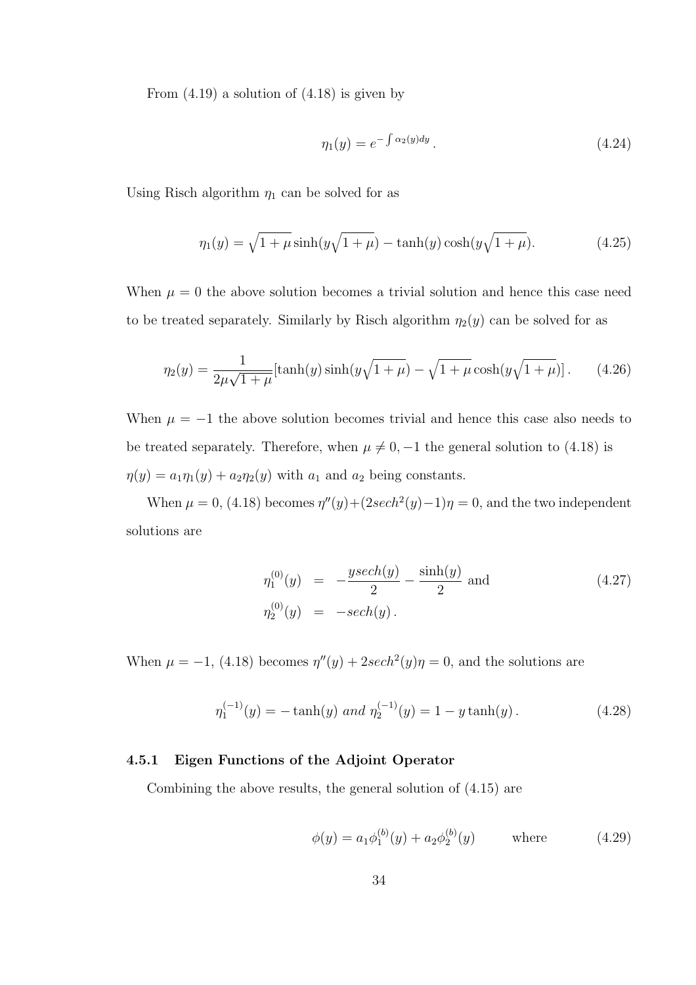From  $(4.19)$  a solution of  $(4.18)$  is given by

$$
\eta_1(y) = e^{-\int \alpha_2(y) dy} \,. \tag{4.24}
$$

Using Risch algorithm  $\eta_1$  can be solved for as

$$
\eta_1(y) = \sqrt{1 + \mu} \sinh(y\sqrt{1 + \mu}) - \tanh(y)\cosh(y\sqrt{1 + \mu}).
$$
\n(4.25)

When  $\mu = 0$  the above solution becomes a trivial solution and hence this case need to be treated separately. Similarly by Risch algorithm  $\eta_2(y)$  can be solved for as

$$
\eta_2(y) = \frac{1}{2\mu\sqrt{1+\mu}}[\tanh(y)\sinh(y\sqrt{1+\mu}) - \sqrt{1+\mu}\cosh(y\sqrt{1+\mu})].
$$
 (4.26)

When  $\mu = -1$  the above solution becomes trivial and hence this case also needs to be treated separately. Therefore, when  $\mu \neq 0, -1$  the general solution to (4.18) is  $\eta(y) = a_1 \eta_1(y) + a_2 \eta_2(y)$  with  $a_1$  and  $a_2$  being constants.

When  $\mu = 0$ , (4.18) becomes  $\eta''(y) + (2sech^2(y) - 1)\eta = 0$ , and the two independent solutions are

$$
\eta_1^{(0)}(y) = -\frac{y\sech(y)}{2} - \frac{\sinh(y)}{2} \text{ and}
$$
\n
$$
\eta_2^{(0)}(y) = -\sech(y).
$$
\n(4.27)

When  $\mu = -1$ , (4.18) becomes  $\eta''(y) + 2sech^2(y)\eta = 0$ , and the solutions are

$$
\eta_1^{(-1)}(y) = -\tanh(y) \text{ and } \eta_2^{(-1)}(y) = 1 - y \tanh(y). \tag{4.28}
$$

#### 4.5.1 Eigen Functions of the Adjoint Operator

Combining the above results, the general solution of (4.15) are

$$
\phi(y) = a_1 \phi_1^{(b)}(y) + a_2 \phi_2^{(b)}(y) \quad \text{where} \quad (4.29)
$$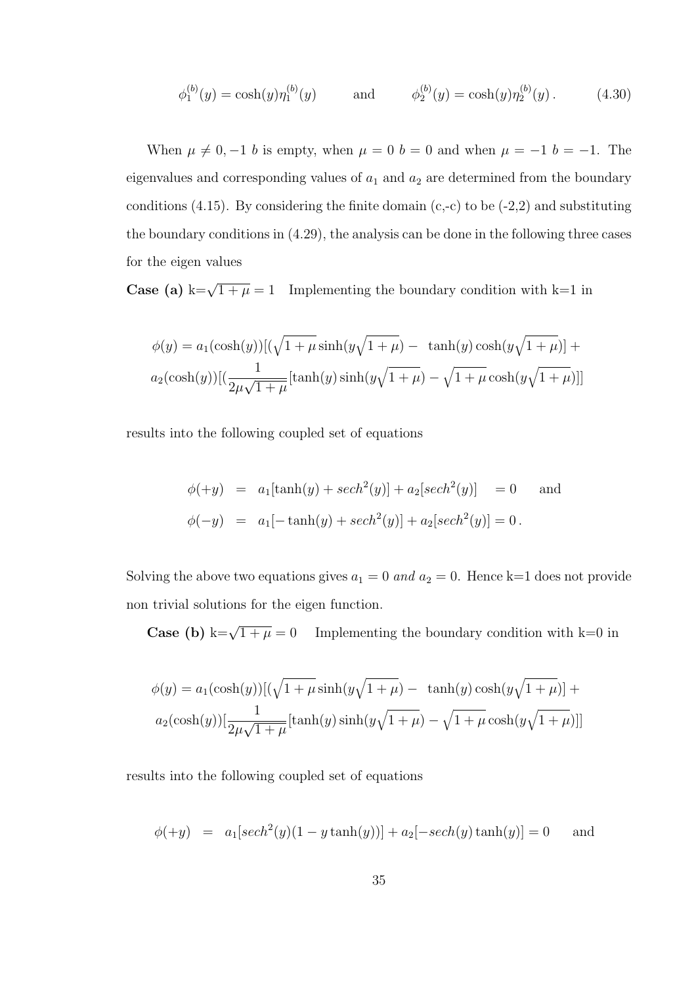$$
\phi_1^{(b)}(y) = \cosh(y)\eta_1^{(b)}(y) \quad \text{and} \quad \phi_2^{(b)}(y) = \cosh(y)\eta_2^{(b)}(y). \quad (4.30)
$$

When  $\mu \neq 0, -1$  b is empty, when  $\mu = 0$  b = 0 and when  $\mu = -1$  b = -1. The eigenvalues and corresponding values of  $a_1$  and  $a_2$  are determined from the boundary conditions  $(4.15)$ . By considering the finite domain  $(c,-c)$  to be  $(-2,2)$  and substituting the boundary conditions in (4.29), the analysis can be done in the following three cases for the eigen values

**Case (a)** k= $\sqrt{1+\mu} = 1$  Implementing the boundary condition with k=1 in

$$
\phi(y) = a_1(\cosh(y))[(\sqrt{1+\mu}\sinh(y\sqrt{1+\mu}) - \tanh(y)\cosh(y\sqrt{1+\mu})] + a_2(\cosh(y))[(\frac{1}{2\mu\sqrt{1+\mu}}[\tanh(y)\sinh(y\sqrt{1+\mu}) - \sqrt{1+\mu}\cosh(y\sqrt{1+\mu})]]
$$

results into the following coupled set of equations

$$
\phi(+y) = a_1[\tanh(y) + sech^2(y)] + a_2[sech^2(y)] = 0 \text{ and}
$$
  

$$
\phi(-y) = a_1[-\tanh(y) + sech^2(y)] + a_2[sech^2(y)] = 0.
$$

Solving the above two equations gives  $a_1 = 0$  and  $a_2 = 0$ . Hence k=1 does not provide non trivial solutions for the eigen function.

Case (b) k= $\sqrt{1+\mu} = 0$ Implementing the boundary condition with  $k=0$  in

$$
\phi(y) = a_1(\cosh(y))[(\sqrt{1+\mu}\sinh(y\sqrt{1+\mu}) - \tanh(y)\cosh(y\sqrt{1+\mu})] +
$$
  

$$
a_2(\cosh(y))[\frac{1}{2\mu\sqrt{1+\mu}}[\tanh(y)\sinh(y\sqrt{1+\mu}) - \sqrt{1+\mu}\cosh(y\sqrt{1+\mu})]]
$$

results into the following coupled set of equations

$$
\phi(+y) = a_1[sech^2(y)(1 - y \tanh(y))] + a_2[-sech(y) \tanh(y)] = 0
$$
 and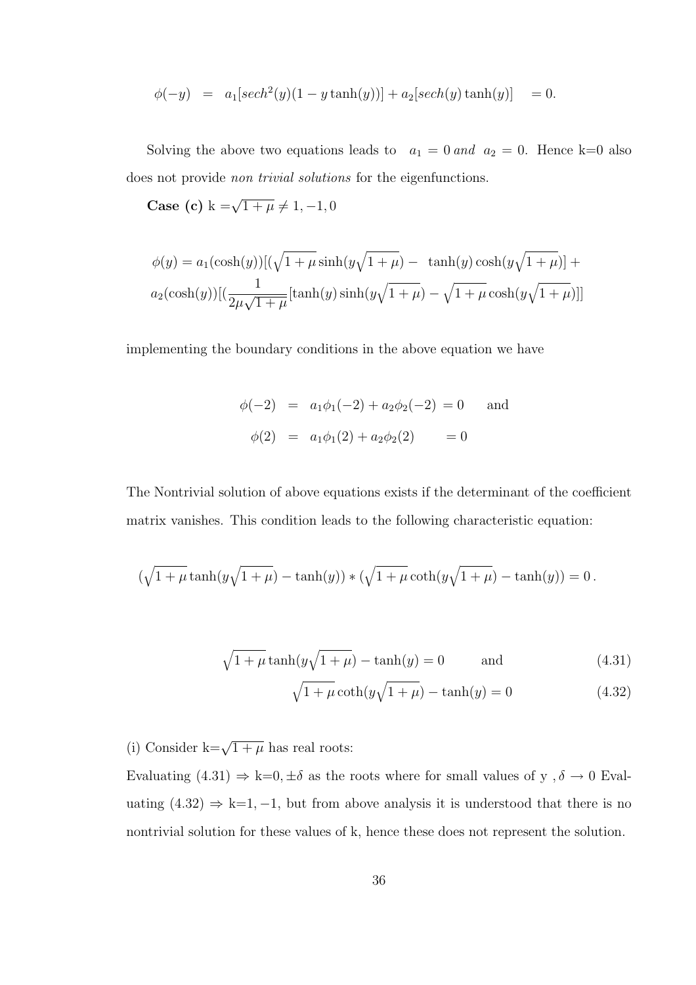$$
\phi(-y) = a_1[sech^2(y)(1 - y \tanh(y))] + a_2[sech(y) \tanh(y)] = 0.
$$

Solving the above two equations leads to  $a_1 = 0$  and  $a_2 = 0$ . Hence k=0 also does not provide non trivial solutions for the eigenfunctions.

Case (c)  $k = \sqrt{1 + \mu} \neq 1, -1, 0$ 

$$
\phi(y) = a_1(\cosh(y))[(\sqrt{1+\mu}\sinh(y\sqrt{1+\mu}) - \tanh(y)\cosh(y\sqrt{1+\mu})] + a_2(\cosh(y))[(\frac{1}{2\mu\sqrt{1+\mu}}[\tanh(y)\sinh(y\sqrt{1+\mu}) - \sqrt{1+\mu}\cosh(y\sqrt{1+\mu})]]
$$

implementing the boundary conditions in the above equation we have

$$
\phi(-2) = a_1\phi_1(-2) + a_2\phi_2(-2) = 0 \text{ and}
$$
  

$$
\phi(2) = a_1\phi_1(2) + a_2\phi_2(2) = 0
$$

The Nontrivial solution of above equations exists if the determinant of the coefficient matrix vanishes. This condition leads to the following characteristic equation:

$$
(\sqrt{1+\mu} \tanh(y\sqrt{1+\mu}) - \tanh(y)) * (\sqrt{1+\mu} \coth(y\sqrt{1+\mu}) - \tanh(y)) = 0.
$$

$$
\sqrt{1 + \mu} \tanh(y\sqrt{1 + \mu}) - \tanh(y) = 0 \quad \text{and} \quad (4.31)
$$

$$
\sqrt{1+\mu}\coth(y\sqrt{1+\mu}) - \tanh(y) = 0
$$
\n(4.32)

(i) Consider  $k=\sqrt{1+\mu}$  has real roots:

Evaluating (4.31)  $\Rightarrow$  k=0,  $\pm \delta$  as the roots where for small values of y ,  $\delta \to 0$  Evaluating  $(4.32) \Rightarrow k=1, -1$ , but from above analysis it is understood that there is no nontrivial solution for these values of k, hence these does not represent the solution.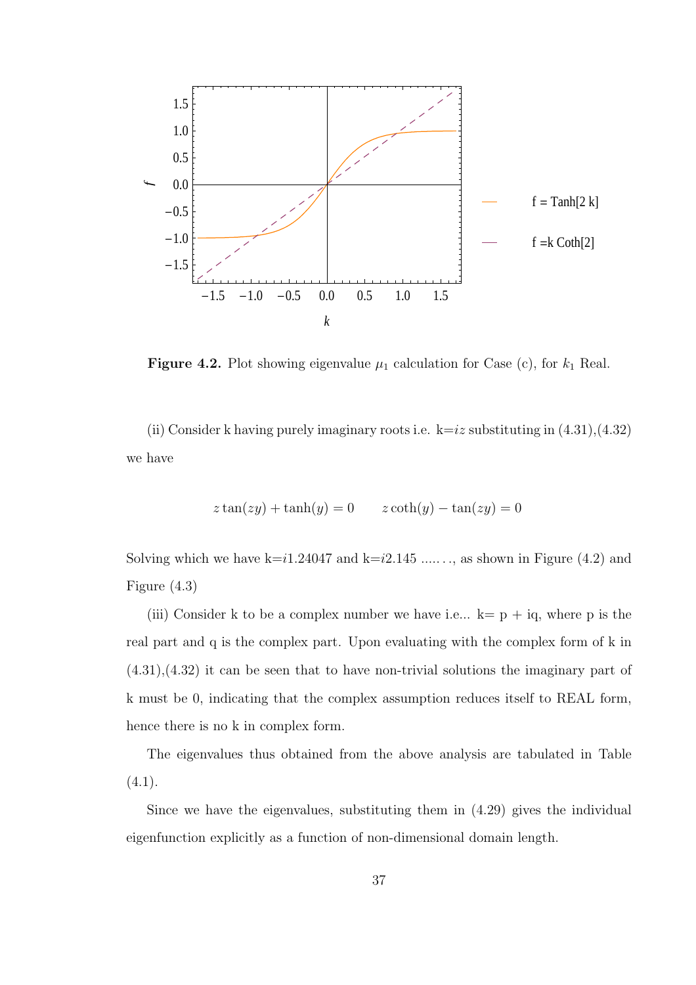

**Figure 4.2.** Plot showing eigenvalue  $\mu_1$  calculation for Case (c), for  $k_1$  Real.

(ii) Consider k having purely imaginary roots i.e.  $k=iz$  substituting in  $(4.31),(4.32)$ we have

$$
z \tan(zy) + \tanh(y) = 0 \qquad z \coth(y) - \tan(zy) = 0
$$

Solving which we have  $k=i1.24047$  and  $k=i2.145$  ......, as shown in Figure (4.2) and Figure (4.3)

(iii) Consider k to be a complex number we have i.e...  $k=p + iq$ , where p is the real part and q is the complex part. Upon evaluating with the complex form of k in (4.31),(4.32) it can be seen that to have non-trivial solutions the imaginary part of k must be 0, indicating that the complex assumption reduces itself to REAL form, hence there is no k in complex form.

The eigenvalues thus obtained from the above analysis are tabulated in Table  $(4.1).$ 

Since we have the eigenvalues, substituting them in (4.29) gives the individual eigenfunction explicitly as a function of non-dimensional domain length.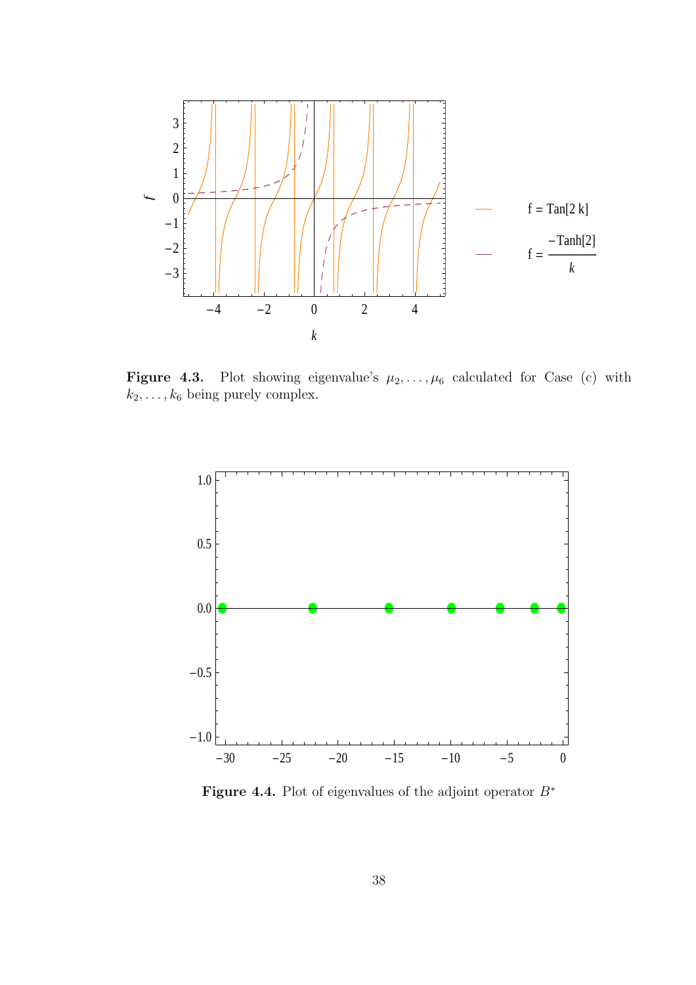

Figure 4.3. Plot showing eigenvalue's  $\mu_2, \ldots, \mu_6$  calculated for Case (c) with  $k_2, \ldots, k_6$  being purely complex.



Figure 4.4. Plot of eigenvalues of the adjoint operator  $B^*$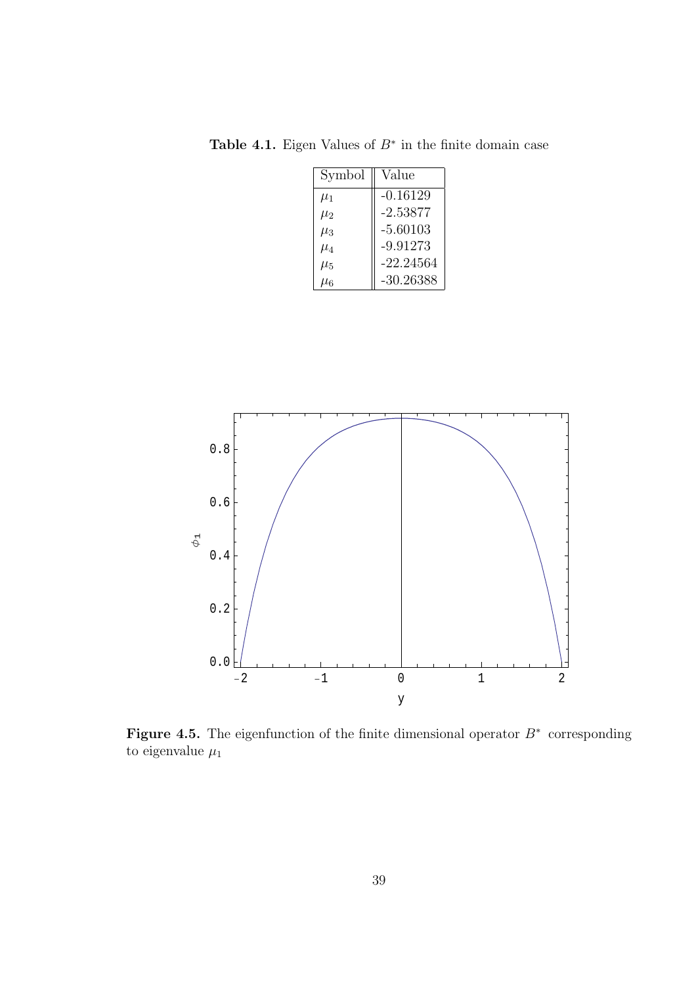Table 4.1. Eigen Values of  $B^*$  in the finite domain case

| Symbol    | Value      |
|-----------|------------|
| $\mu_1$   | $-0.16129$ |
| $\mu_2$   | $-2.53877$ |
| $\mu_3$   | $-5.60103$ |
| $\mu_4$   | $-9.91273$ |
| $\mu_5$   | -22.24564  |
| $\mu_{6}$ | -30.26388  |



Figure 4.5. The eigenfunction of the finite dimensional operator  $B^*$  corresponding to eigenvalue  $\mu_1$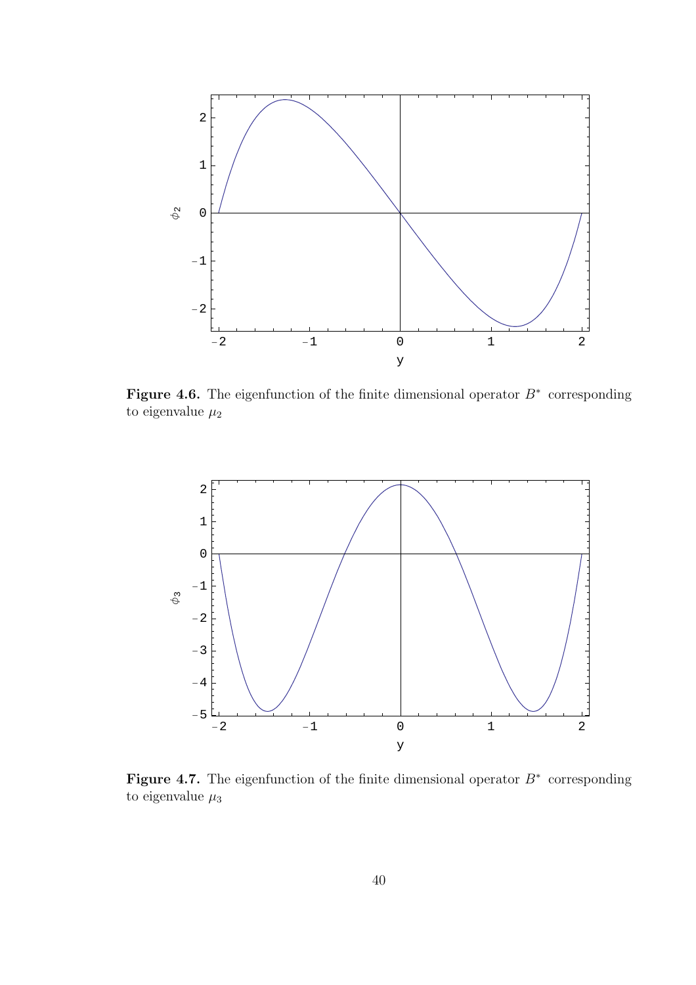

Figure 4.6. The eigenfunction of the finite dimensional operator  $B^*$  corresponding to eigenvalue  $\mu_2$ 



Figure 4.7. The eigenfunction of the finite dimensional operator  $B^*$  corresponding to eigenvalue  $\mu_3$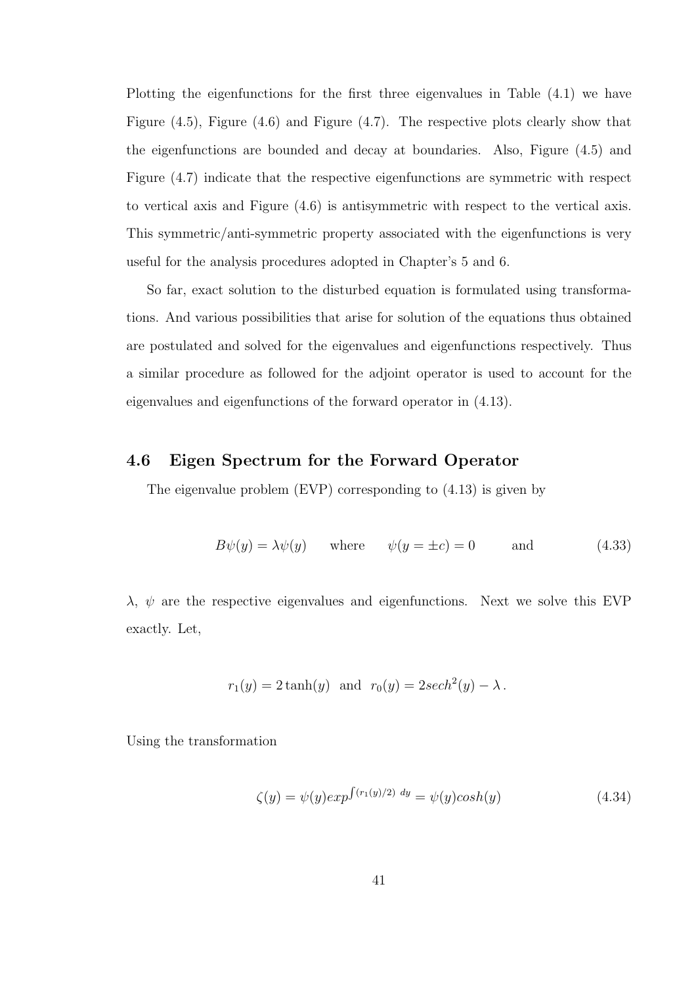Plotting the eigenfunctions for the first three eigenvalues in Table (4.1) we have Figure (4.5), Figure (4.6) and Figure (4.7). The respective plots clearly show that the eigenfunctions are bounded and decay at boundaries. Also, Figure (4.5) and Figure (4.7) indicate that the respective eigenfunctions are symmetric with respect to vertical axis and Figure (4.6) is antisymmetric with respect to the vertical axis. This symmetric/anti-symmetric property associated with the eigenfunctions is very useful for the analysis procedures adopted in Chapter's 5 and 6.

So far, exact solution to the disturbed equation is formulated using transformations. And various possibilities that arise for solution of the equations thus obtained are postulated and solved for the eigenvalues and eigenfunctions respectively. Thus a similar procedure as followed for the adjoint operator is used to account for the eigenvalues and eigenfunctions of the forward operator in (4.13).

### 4.6 Eigen Spectrum for the Forward Operator

The eigenvalue problem (EVP) corresponding to (4.13) is given by

$$
B\psi(y) = \lambda\psi(y) \quad \text{where} \quad \psi(y = \pm c) = 0 \quad \text{and} \quad (4.33)
$$

 $\lambda$ ,  $\psi$  are the respective eigenvalues and eigenfunctions. Next we solve this EVP exactly. Let,

$$
r_1(y) = 2 \tanh(y)
$$
 and  $r_0(y) = 2 \operatorname{sech}^2(y) - \lambda$ .

Using the transformation

$$
\zeta(y) = \psi(y) \exp^{\int (r_1(y)/2) \ dy} = \psi(y) \cosh(y) \tag{4.34}
$$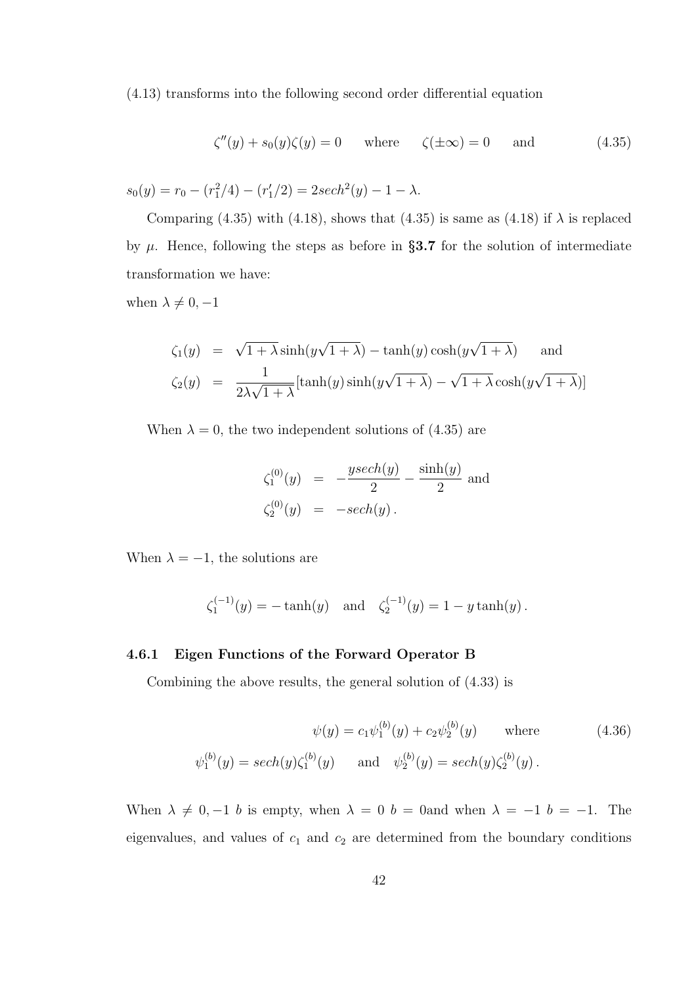(4.13) transforms into the following second order differential equation

$$
\zeta''(y) + s_0(y)\zeta(y) = 0 \quad \text{where} \quad \zeta(\pm \infty) = 0 \quad \text{and} \quad (4.35)
$$

$$
s_0(y) = r_0 - (r_1^2/4) - (r_1'/2) = 2sech2(y) - 1 - \lambda.
$$

Comparing (4.35) with (4.18), shows that (4.35) is same as (4.18) if  $\lambda$  is replaced by  $\mu$ . Hence, following the steps as before in §3.7 for the solution of intermediate transformation we have:

when  $\lambda \neq 0, -1$ 

$$
\zeta_1(y) = \sqrt{1 + \lambda} \sinh(y\sqrt{1 + \lambda}) - \tanh(y)\cosh(y\sqrt{1 + \lambda}) \quad \text{and}
$$
  

$$
\zeta_2(y) = \frac{1}{2\lambda\sqrt{1 + \lambda}}[\tanh(y)\sinh(y\sqrt{1 + \lambda}) - \sqrt{1 + \lambda}\cosh(y\sqrt{1 + \lambda})]
$$

When  $\lambda = 0$ , the two independent solutions of (4.35) are

$$
\zeta_1^{(0)}(y) = -\frac{y \sech(y)}{2} - \frac{\sinh(y)}{2}
$$
 and  

$$
\zeta_2^{(0)}(y) = -\sech(y).
$$

When  $\lambda = -1$ , the solutions are

$$
\zeta_1^{(-1)}(y) = -\tanh(y)
$$
 and  $\zeta_2^{(-1)}(y) = 1 - y \tanh(y)$ .

#### 4.6.1 Eigen Functions of the Forward Operator B

Combining the above results, the general solution of (4.33) is

$$
\psi(y) = c_1 \psi_1^{(b)}(y) + c_2 \psi_2^{(b)}(y) \quad \text{where} \quad (4.36)
$$
  

$$
\psi_1^{(b)}(y) = sech(y)\zeta_1^{(b)}(y) \quad \text{and} \quad \psi_2^{(b)}(y) = sech(y)\zeta_2^{(b)}(y).
$$

When  $\lambda \neq 0, -1$  b is empty, when  $\lambda = 0$  b = 0and when  $\lambda = -1$  b = -1. The eigenvalues, and values of  $c_1$  and  $c_2$  are determined from the boundary conditions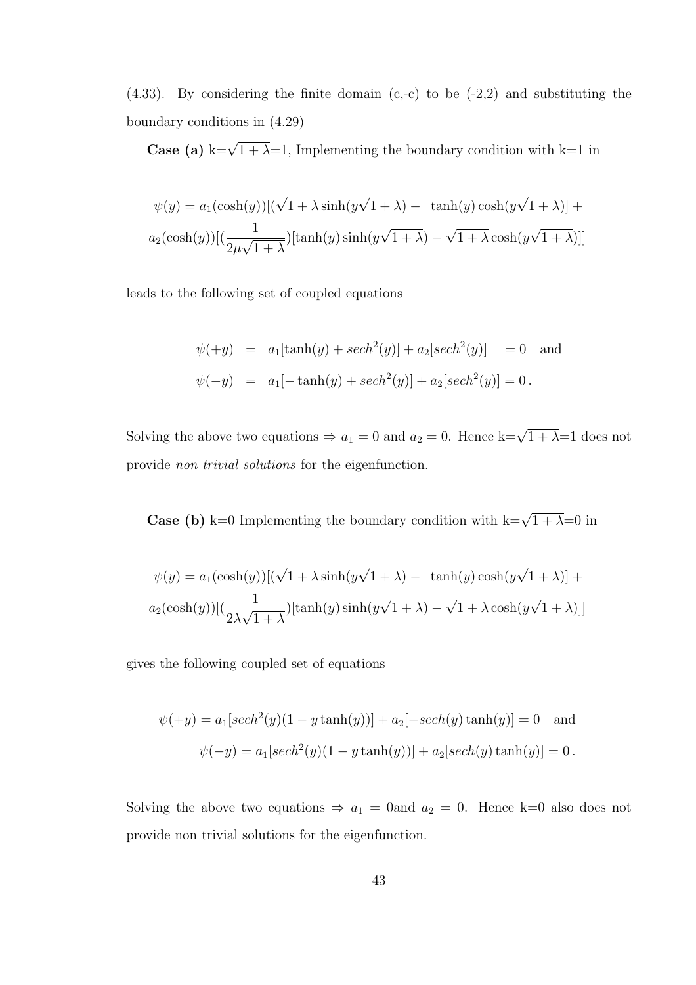$(4.33)$ . By considering the finite domain  $(c,-c)$  to be  $(-2,2)$  and substituting the boundary conditions in (4.29)

**Case (a)** k= $\sqrt{1 + \lambda}$ =1, Implementing the boundary condition with k=1 in

$$
\psi(y) = a_1(\cosh(y))[(\sqrt{1+\lambda}\sinh(y\sqrt{1+\lambda}) - \tanh(y)\cosh(y\sqrt{1+\lambda})] + a_2(\cosh(y))[(\frac{1}{2\mu\sqrt{1+\lambda}})[\tanh(y)\sinh(y\sqrt{1+\lambda}) - \sqrt{1+\lambda}\cosh(y\sqrt{1+\lambda})]]
$$

leads to the following set of coupled equations

$$
\psi(+y) = a_1[\tanh(y) + sech^2(y)] + a_2[sech^2(y)] = 0 \text{ and}
$$
  

$$
\psi(-y) = a_1[-\tanh(y) + sech^2(y)] + a_2[sech^2(y)] = 0.
$$

Solving the above two equations  $\Rightarrow a_1 = 0$  and  $a_2 = 0$ . Hence k= $\sqrt{1 + \lambda} = 1$  does not provide non trivial solutions for the eigenfunction.

**Case (b)** k=0 Implementing the boundary condition with k= $\sqrt{1 + \lambda}$ =0 in

$$
\psi(y) = a_1(\cosh(y))[(\sqrt{1+\lambda}\sinh(y\sqrt{1+\lambda}) - \tanh(y)\cosh(y\sqrt{1+\lambda})] + a_2(\cosh(y))[(\frac{1}{2\lambda\sqrt{1+\lambda}})[\tanh(y)\sinh(y\sqrt{1+\lambda}) - \sqrt{1+\lambda}\cosh(y\sqrt{1+\lambda})]]
$$

gives the following coupled set of equations

$$
\psi(+y) = a_1[sech^2(y)(1 - y \tanh(y))] + a_2[-sech(y) \tanh(y)] = 0 \text{ and}
$$
  

$$
\psi(-y) = a_1[sech^2(y)(1 - y \tanh(y))] + a_2[sech(y) \tanh(y)] = 0.
$$

Solving the above two equations  $\Rightarrow a_1 = 0$  and  $a_2 = 0$ . Hence k=0 also does not provide non trivial solutions for the eigenfunction.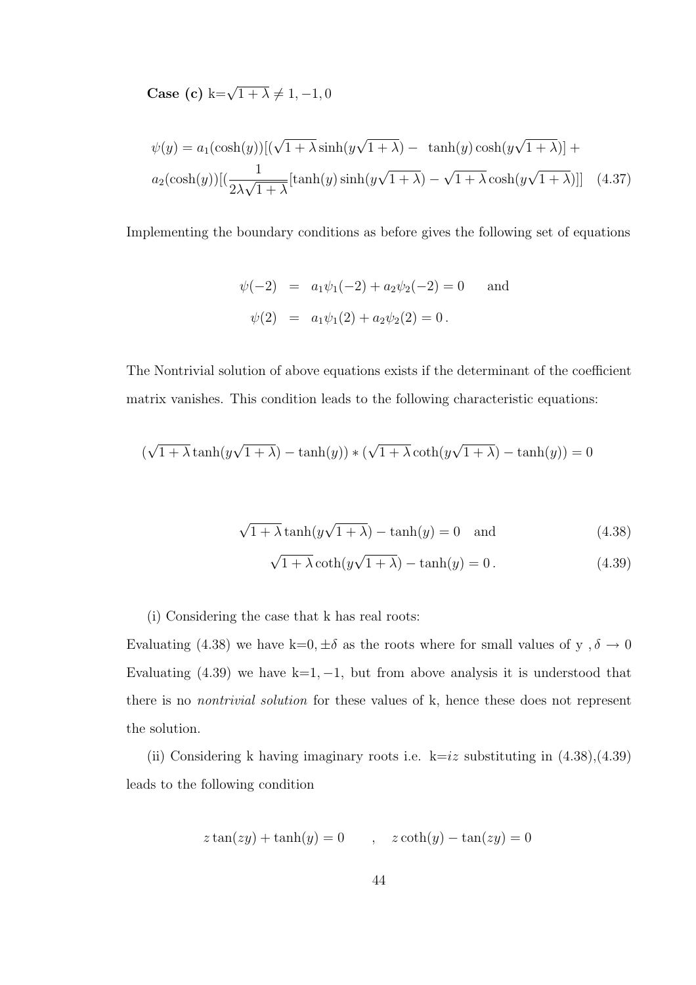Case (c)  $k=\sqrt{1+\lambda}\neq 1, -1, 0$ 

$$
\psi(y) = a_1(\cosh(y))[(\sqrt{1+\lambda}\sinh(y\sqrt{1+\lambda}) - \tanh(y)\cosh(y\sqrt{1+\lambda})] + a_2(\cosh(y))[(\frac{1}{2\lambda\sqrt{1+\lambda}}[\tanh(y)\sinh(y\sqrt{1+\lambda}) - \sqrt{1+\lambda}\cosh(y\sqrt{1+\lambda})]] \quad (4.37)
$$

Implementing the boundary conditions as before gives the following set of equations

$$
\psi(-2) = a_1\psi_1(-2) + a_2\psi_2(-2) = 0 \text{ and}
$$
  

$$
\psi(2) = a_1\psi_1(2) + a_2\psi_2(2) = 0.
$$

The Nontrivial solution of above equations exists if the determinant of the coefficient matrix vanishes. This condition leads to the following characteristic equations:

$$
(\sqrt{1+\lambda}\tanh(y\sqrt{1+\lambda})-\tanh(y))*(\sqrt{1+\lambda}\coth(y\sqrt{1+\lambda})-\tanh(y))=0
$$

$$
\sqrt{1 + \lambda} \tanh(y\sqrt{1 + \lambda}) - \tanh(y) = 0 \quad \text{and} \tag{4.38}
$$

$$
\sqrt{1 + \lambda} \coth(y\sqrt{1 + \lambda}) - \tanh(y) = 0.
$$
 (4.39)

(i) Considering the case that k has real roots:

Evaluating (4.38) we have k=0,  $\pm \delta$  as the roots where for small values of y ,  $\delta \to 0$ Evaluating  $(4.39)$  we have k=1, -1, but from above analysis it is understood that there is no nontrivial solution for these values of k, hence these does not represent the solution.

(ii) Considering k having imaginary roots i.e.  $k=iz$  substituting in  $(4.38)$ , $(4.39)$ leads to the following condition

$$
z \tan(zy) + \tanh(y) = 0 \qquad , \quad z \coth(y) - \tan(zy) = 0
$$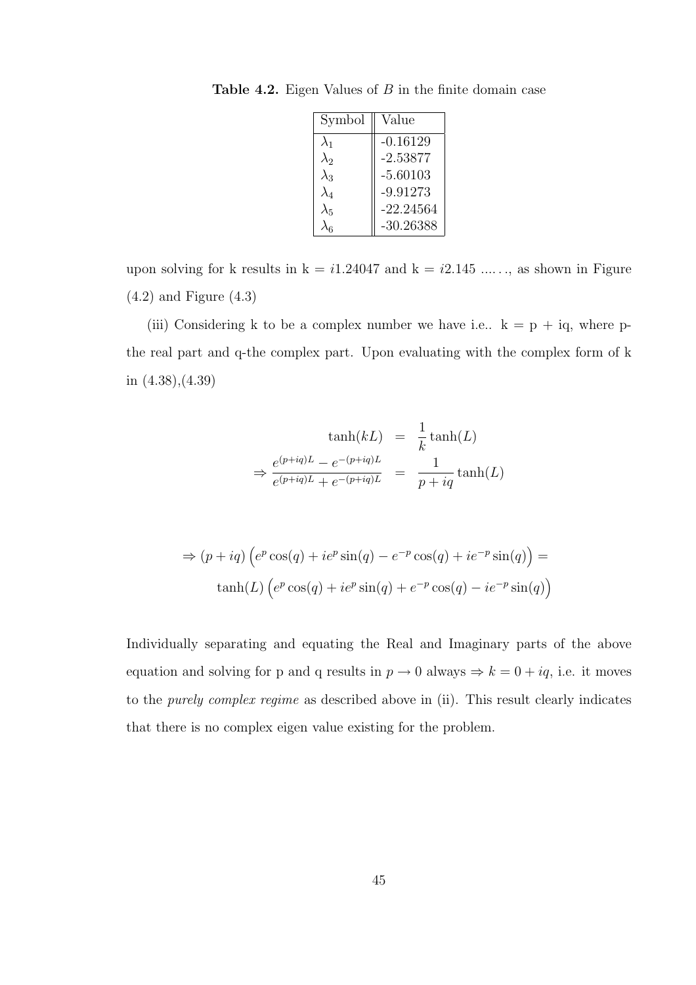| Symbol      | Value       |
|-------------|-------------|
| $\lambda_1$ | $-0.16129$  |
| $\lambda_2$ | $-2.53877$  |
| $\lambda_3$ | $-5.60103$  |
| $\lambda_4$ | $-9.91273$  |
| $\lambda_5$ | $-22.24564$ |
|             | $-30.26388$ |

Table 4.2. Eigen Values of  $B$  in the finite domain case

upon solving for k results in  $k = i1.24047$  and  $k = i2.145$  ....., as shown in Figure (4.2) and Figure (4.3)

(iii) Considering k to be a complex number we have i.e..  $k = p + iq$ , where pthe real part and q-the complex part. Upon evaluating with the complex form of k in (4.38),(4.39)

$$
\tanh(kL) = \frac{1}{k}\tanh(L)
$$

$$
\Rightarrow \frac{e^{(p+iq)L} - e^{-(p+iq)L}}{e^{(p+iq)L} + e^{-(p+iq)L}} = \frac{1}{p+iq}\tanh(L)
$$

$$
\Rightarrow (p + iq) \left( e^p \cos(q) + ie^p \sin(q) - e^{-p} \cos(q) + ie^{-p} \sin(q) \right) =
$$
  
\n
$$
\tanh(L) \left( e^p \cos(q) + ie^p \sin(q) + e^{-p} \cos(q) - ie^{-p} \sin(q) \right)
$$

Individually separating and equating the Real and Imaginary parts of the above equation and solving for p and q results in  $p \to 0$  always  $\Rightarrow k = 0 + iq$ , i.e. it moves to the purely complex regime as described above in (ii). This result clearly indicates that there is no complex eigen value existing for the problem.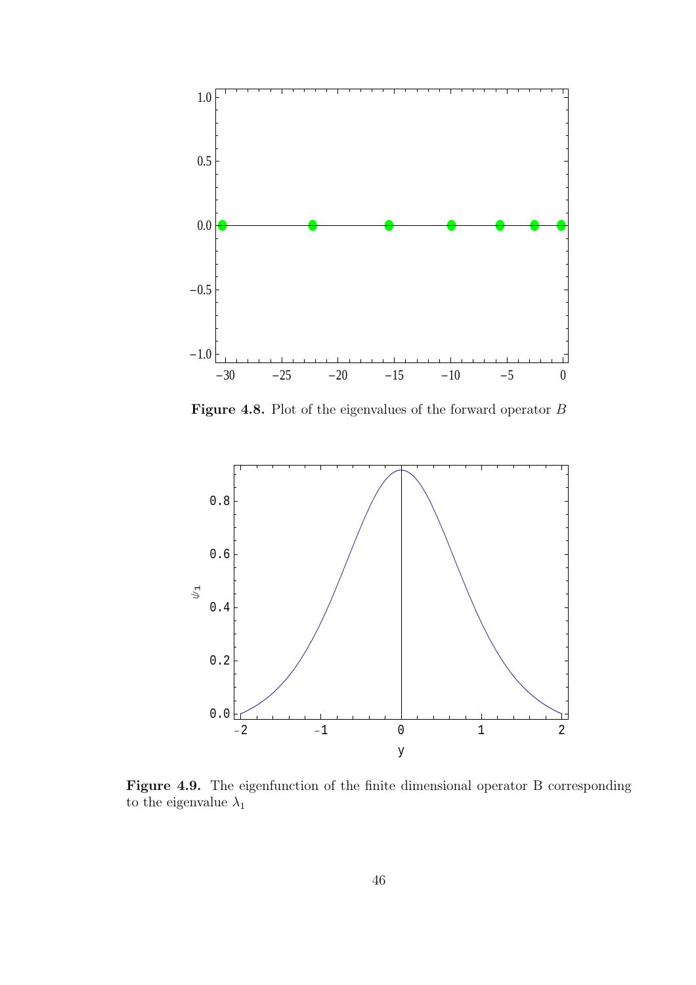

Figure 4.8. Plot of the eigenvalues of the forward operator  $B$ 



Figure 4.9. The eigenfunction of the finite dimensional operator B corresponding to the eigenvalue  $\lambda_1$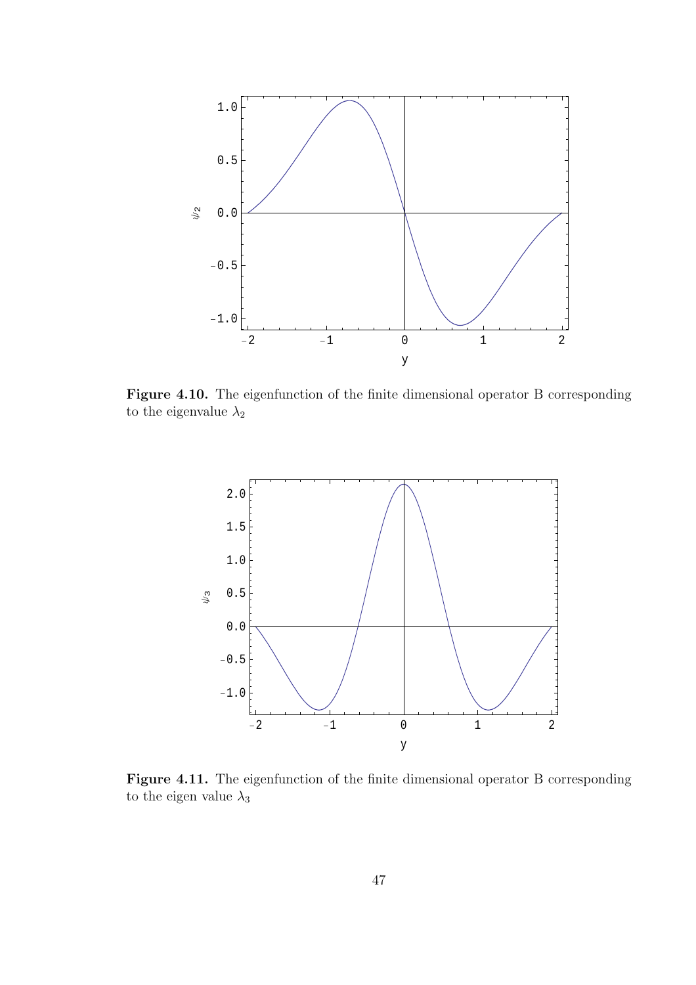

Figure 4.10. The eigenfunction of the finite dimensional operator B corresponding to the eigenvalue  $\lambda_2$ 



Figure 4.11. The eigenfunction of the finite dimensional operator B corresponding to the eigen value  $\lambda_3$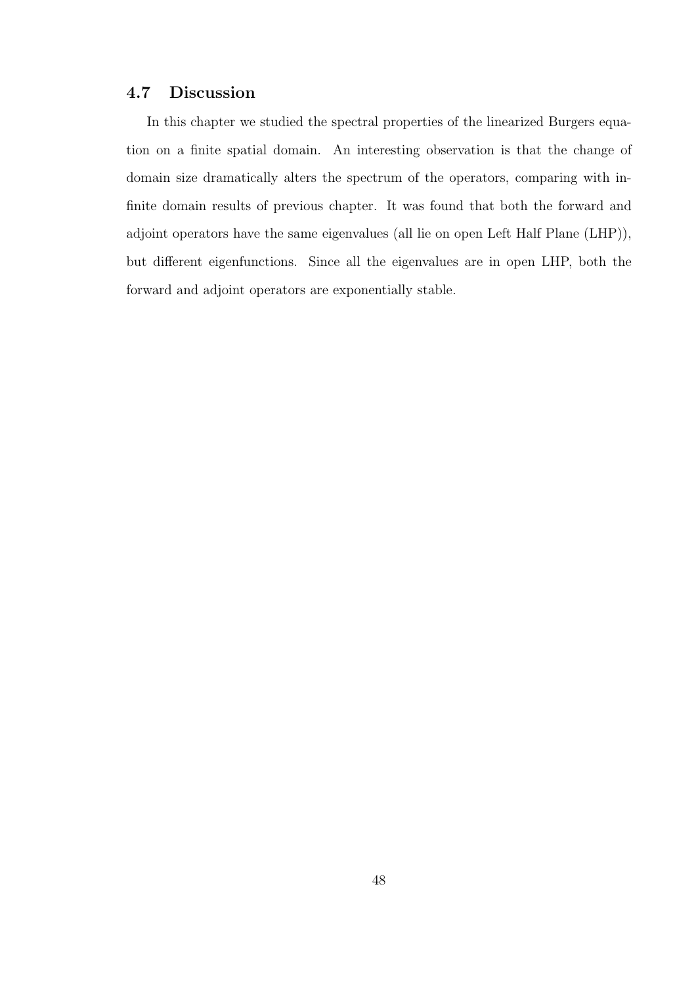## 4.7 Discussion

In this chapter we studied the spectral properties of the linearized Burgers equation on a finite spatial domain. An interesting observation is that the change of domain size dramatically alters the spectrum of the operators, comparing with infinite domain results of previous chapter. It was found that both the forward and adjoint operators have the same eigenvalues (all lie on open Left Half Plane (LHP)), but different eigenfunctions. Since all the eigenvalues are in open LHP, both the forward and adjoint operators are exponentially stable.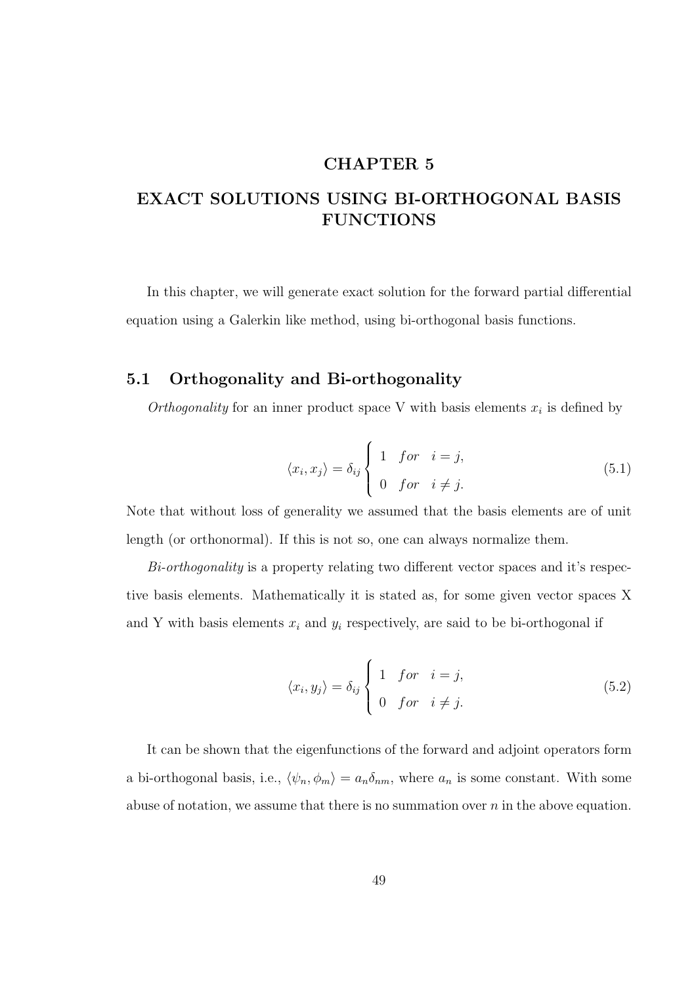## CHAPTER 5

# EXACT SOLUTIONS USING BI-ORTHOGONAL BASIS **FUNCTIONS**

In this chapter, we will generate exact solution for the forward partial differential equation using a Galerkin like method, using bi-orthogonal basis functions.

## 5.1 Orthogonality and Bi-orthogonality

Orthogonality for an inner product space V with basis elements  $x_i$  is defined by

$$
\langle x_i, x_j \rangle = \delta_{ij} \begin{cases} 1 & \text{for} \quad i = j, \\ 0 & \text{for} \quad i \neq j. \end{cases} \tag{5.1}
$$

Note that without loss of generality we assumed that the basis elements are of unit length (or orthonormal). If this is not so, one can always normalize them.

Bi-orthogonality is a property relating two different vector spaces and it's respective basis elements. Mathematically it is stated as, for some given vector spaces X and Y with basis elements  $x_i$  and  $y_i$  respectively, are said to be bi-orthogonal if

$$
\langle x_i, y_j \rangle = \delta_{ij} \begin{cases} 1 & \text{for } i = j, \\ 0 & \text{for } i \neq j. \end{cases}
$$
 (5.2)

It can be shown that the eigenfunctions of the forward and adjoint operators form a bi-orthogonal basis, i.e.,  $\langle \psi_n, \phi_m \rangle = a_n \delta_{nm}$ , where  $a_n$  is some constant. With some abuse of notation, we assume that there is no summation over  $n$  in the above equation.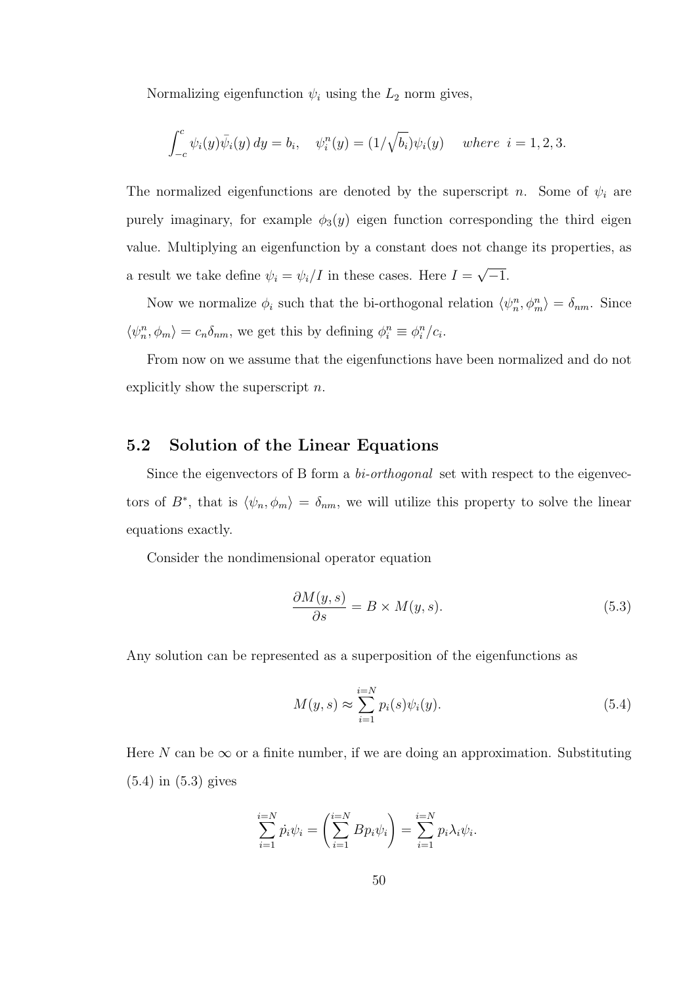Normalizing eigenfunction  $\psi_i$  using the  $L_2$  norm gives,

$$
\int_{-c}^{c} \psi_i(y)\bar{\psi}_i(y) \, dy = b_i, \quad \psi_i^n(y) = (1/\sqrt{b_i})\psi_i(y) \quad \text{where } i = 1, 2, 3.
$$

The normalized eigenfunctions are denoted by the superscript n. Some of  $\psi_i$  are purely imaginary, for example  $\phi_3(y)$  eigen function corresponding the third eigen value. Multiplying an eigenfunction by a constant does not change its properties, as a result we take define  $\psi_i = \psi_i/I$  in these cases. Here  $I =$ √  $\overline{-1}$ .

Now we normalize  $\phi_i$  such that the bi-orthogonal relation  $\langle \psi_n^n, \phi_m^n \rangle = \delta_{nm}$ . Since  $\langle \psi_n^n, \phi_m \rangle = c_n \delta_{nm}$ , we get this by defining  $\phi_i^n \equiv \phi_i^n/c_i$ .

From now on we assume that the eigenfunctions have been normalized and do not explicitly show the superscript n.

## 5.2 Solution of the Linear Equations

Since the eigenvectors of B form a *bi-orthogonal* set with respect to the eigenvectors of  $B^*$ , that is  $\langle \psi_n, \phi_m \rangle = \delta_{nm}$ , we will utilize this property to solve the linear equations exactly.

Consider the nondimensional operator equation

$$
\frac{\partial M(y,s)}{\partial s} = B \times M(y,s). \tag{5.3}
$$

Any solution can be represented as a superposition of the eigenfunctions as

$$
M(y,s) \approx \sum_{i=1}^{i=N} p_i(s)\psi_i(y). \tag{5.4}
$$

Here N can be  $\infty$  or a finite number, if we are doing an approximation. Substituting (5.4) in (5.3) gives

$$
\sum_{i=1}^{i=N} \dot{p}_i \psi_i = \left(\sum_{i=1}^{i=N} B p_i \psi_i\right) = \sum_{i=1}^{i=N} p_i \lambda_i \psi_i.
$$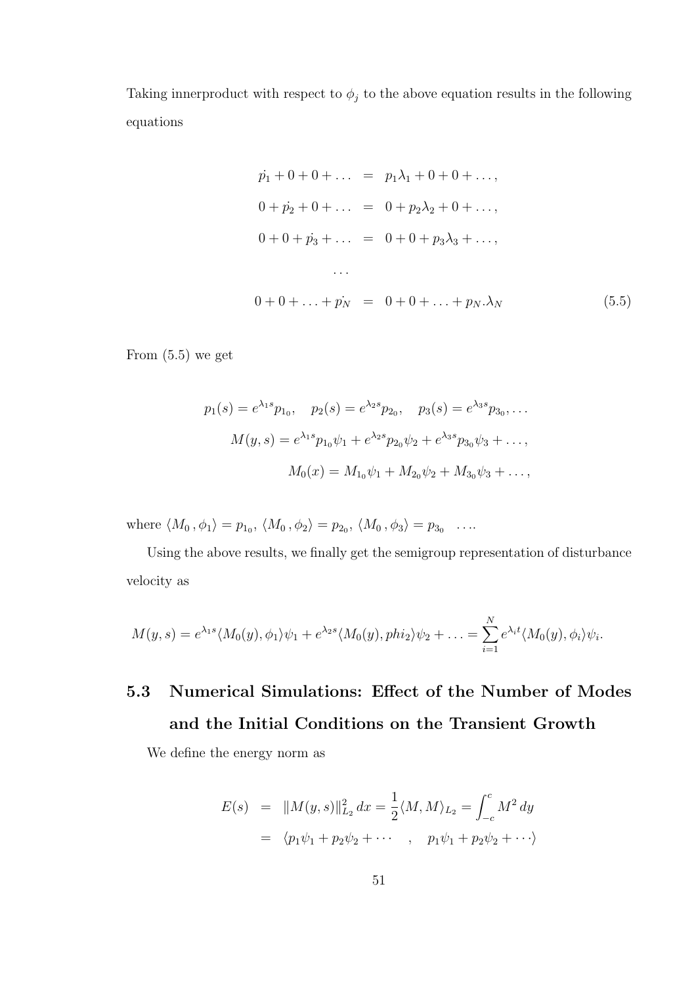Taking innerproduct with respect to  $\phi_j$  to the above equation results in the following equations

$$
\begin{aligned}\n\dot{p}_1 + 0 + 0 + \dots &= p_1 \lambda_1 + 0 + 0 + \dots, \\
0 + \dot{p}_2 + 0 + \dots &= 0 + p_2 \lambda_2 + 0 + \dots, \\
0 + 0 + \dot{p}_3 + \dots &= 0 + 0 + p_3 \lambda_3 + \dots, \\
\dots \\
0 + 0 + \dots + \dot{p}_N &= 0 + 0 + \dots + p_N \cdot \lambda_N\n\end{aligned}\n\tag{5.5}
$$

From  $(5.5)$  we get

$$
p_1(s) = e^{\lambda_1 s} p_{1_0}, \quad p_2(s) = e^{\lambda_2 s} p_{2_0}, \quad p_3(s) = e^{\lambda_3 s} p_{3_0}, \dots
$$

$$
M(y, s) = e^{\lambda_1 s} p_{1_0} \psi_1 + e^{\lambda_2 s} p_{2_0} \psi_2 + e^{\lambda_3 s} p_{3_0} \psi_3 + \dots,
$$

$$
M_0(x) = M_{1_0} \psi_1 + M_{2_0} \psi_2 + M_{3_0} \psi_3 + \dots,
$$

where  $\langle M_0, \phi_1 \rangle = p_{1_0}, \langle M_0, \phi_2 \rangle = p_{2_0}, \langle M_0, \phi_3 \rangle = p_{3_0} \dots$ 

Using the above results, we finally get the semigroup representation of disturbance velocity as

$$
M(y,s) = e^{\lambda_1 s} \langle M_0(y), \phi_1 \rangle \psi_1 + e^{\lambda_2 s} \langle M_0(y), p h i_2 \rangle \psi_2 + \ldots = \sum_{i=1}^N e^{\lambda_i t} \langle M_0(y), \phi_i \rangle \psi_i.
$$

5.3 Numerical Simulations: Effect of the Number of Modes and the Initial Conditions on the Transient Growth

We define the energy norm as

$$
E(s) = ||M(y, s)||_{L_2}^2 dx = \frac{1}{2} \langle M, M \rangle_{L_2} = \int_{-c}^{c} M^2 dy
$$
  
=  $\langle p_1 \psi_1 + p_2 \psi_2 + \cdots , p_1 \psi_1 + p_2 \psi_2 + \cdots \rangle$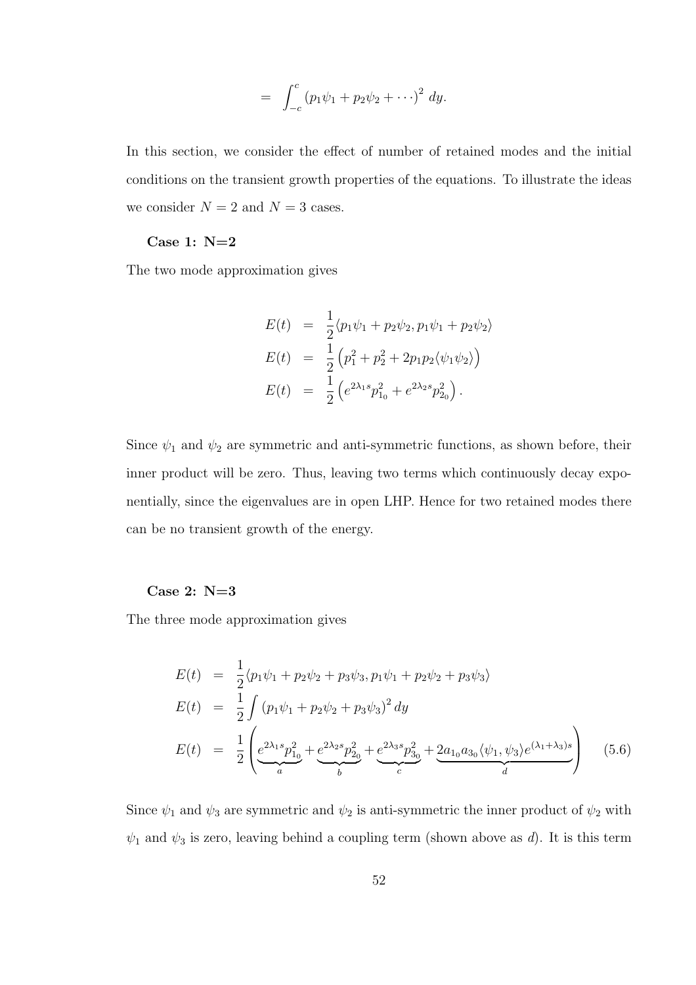$$
= \int_{-c}^{c} (p_1 \psi_1 + p_2 \psi_2 + \cdots)^2 dy.
$$

In this section, we consider the effect of number of retained modes and the initial conditions on the transient growth properties of the equations. To illustrate the ideas we consider  $N = 2$  and  $N = 3$  cases.

#### Case 1: N=2

The two mode approximation gives

$$
E(t) = \frac{1}{2} \langle p_1 \psi_1 + p_2 \psi_2, p_1 \psi_1 + p_2 \psi_2 \rangle
$$
  
\n
$$
E(t) = \frac{1}{2} \left( p_1^2 + p_2^2 + 2p_1 p_2 \langle \psi_1 \psi_2 \rangle \right)
$$
  
\n
$$
E(t) = \frac{1}{2} \left( e^{2\lambda_1 s} p_{1_0}^2 + e^{2\lambda_2 s} p_{2_0}^2 \right).
$$

Since  $\psi_1$  and  $\psi_2$  are symmetric and anti-symmetric functions, as shown before, their inner product will be zero. Thus, leaving two terms which continuously decay exponentially, since the eigenvalues are in open LHP. Hence for two retained modes there can be no transient growth of the energy.

#### Case 2: N=3

The three mode approximation gives

$$
E(t) = \frac{1}{2} \langle p_1 \psi_1 + p_2 \psi_2 + p_3 \psi_3, p_1 \psi_1 + p_2 \psi_2 + p_3 \psi_3 \rangle
$$
  
\n
$$
E(t) = \frac{1}{2} \int (p_1 \psi_1 + p_2 \psi_2 + p_3 \psi_3)^2 dy
$$
  
\n
$$
E(t) = \frac{1}{2} \left( e^{2\lambda_1 s} p_{10}^2 + e^{2\lambda_2 s} p_{20}^2 + e^{2\lambda_3 s} p_{30}^2 + 2a_{10} a_{30} \langle \psi_1, \psi_3 \rangle e^{(\lambda_1 + \lambda_3)s} \right)
$$
(5.6)

Since  $\psi_1$  and  $\psi_3$  are symmetric and  $\psi_2$  is anti-symmetric the inner product of  $\psi_2$  with  $\psi_1$  and  $\psi_3$  is zero, leaving behind a coupling term (shown above as d). It is this term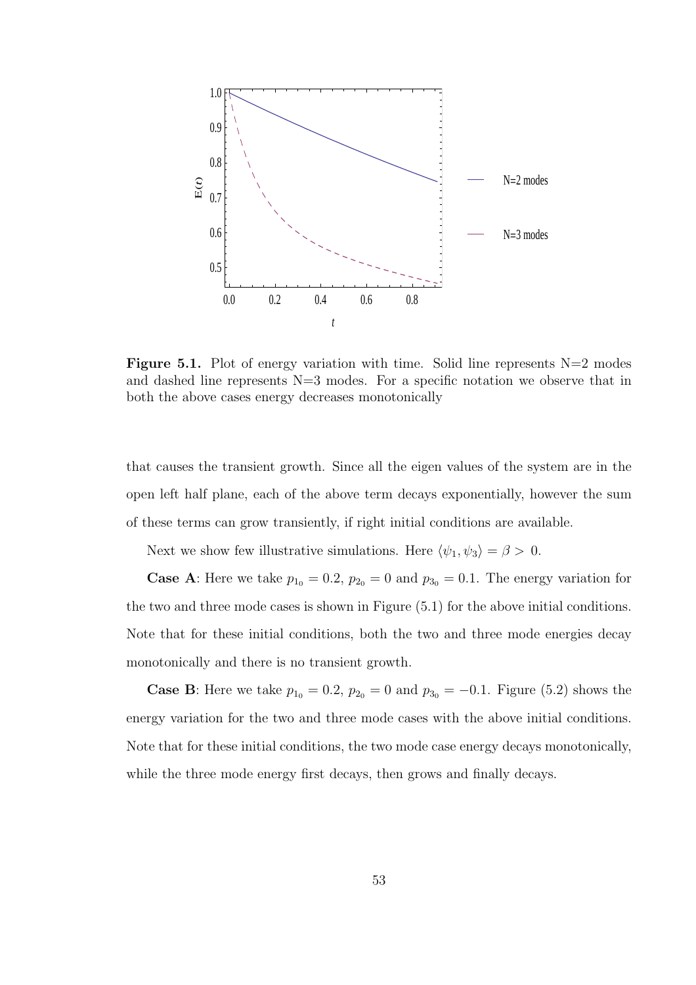

**Figure 5.1.** Plot of energy variation with time. Solid line represents  $N=2$  modes and dashed line represents N=3 modes. For a specific notation we observe that in both the above cases energy decreases monotonically

that causes the transient growth. Since all the eigen values of the system are in the open left half plane, each of the above term decays exponentially, however the sum of these terms can grow transiently, if right initial conditions are available.

Next we show few illustrative simulations. Here  $\langle \psi_1, \psi_3 \rangle = \beta > 0$ .

**Case A:** Here we take  $p_{10} = 0.2$ ,  $p_{20} = 0$  and  $p_{30} = 0.1$ . The energy variation for the two and three mode cases is shown in Figure (5.1) for the above initial conditions. Note that for these initial conditions, both the two and three mode energies decay monotonically and there is no transient growth.

**Case B:** Here we take  $p_{10} = 0.2$ ,  $p_{20} = 0$  and  $p_{30} = -0.1$ . Figure (5.2) shows the energy variation for the two and three mode cases with the above initial conditions. Note that for these initial conditions, the two mode case energy decays monotonically, while the three mode energy first decays, then grows and finally decays.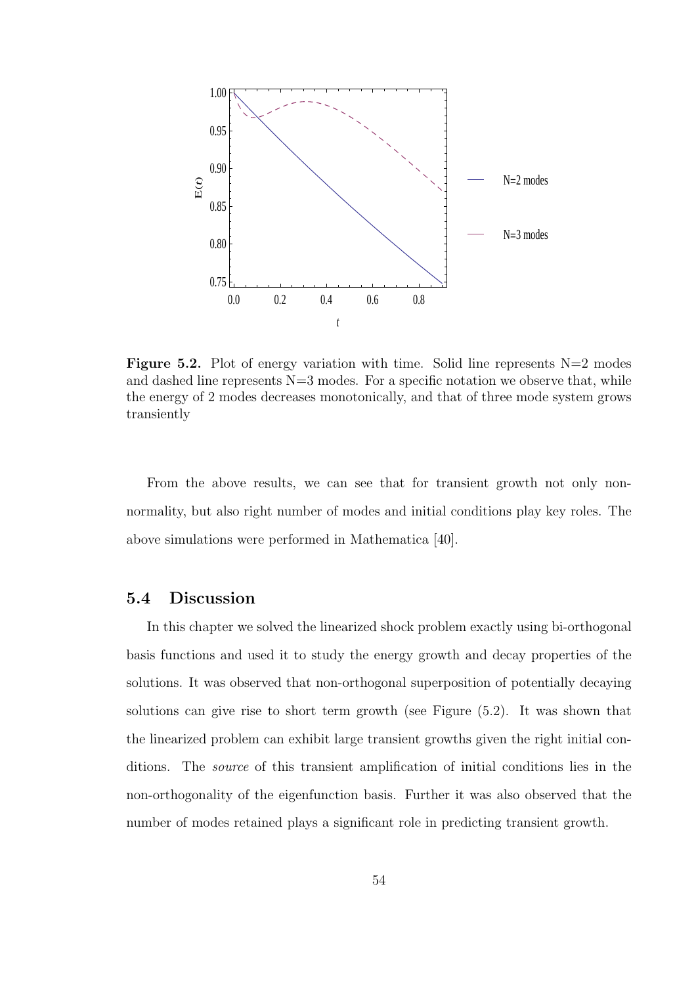

**Figure 5.2.** Plot of energy variation with time. Solid line represents  $N=2$  modes and dashed line represents  $N=3$  modes. For a specific notation we observe that, while the energy of 2 modes decreases monotonically, and that of three mode system grows transiently

From the above results, we can see that for transient growth not only nonnormality, but also right number of modes and initial conditions play key roles. The above simulations were performed in Mathematica [40].

## 5.4 Discussion

In this chapter we solved the linearized shock problem exactly using bi-orthogonal basis functions and used it to study the energy growth and decay properties of the solutions. It was observed that non-orthogonal superposition of potentially decaying solutions can give rise to short term growth (see Figure (5.2). It was shown that the linearized problem can exhibit large transient growths given the right initial conditions. The *source* of this transient amplification of initial conditions lies in the non-orthogonality of the eigenfunction basis. Further it was also observed that the number of modes retained plays a significant role in predicting transient growth.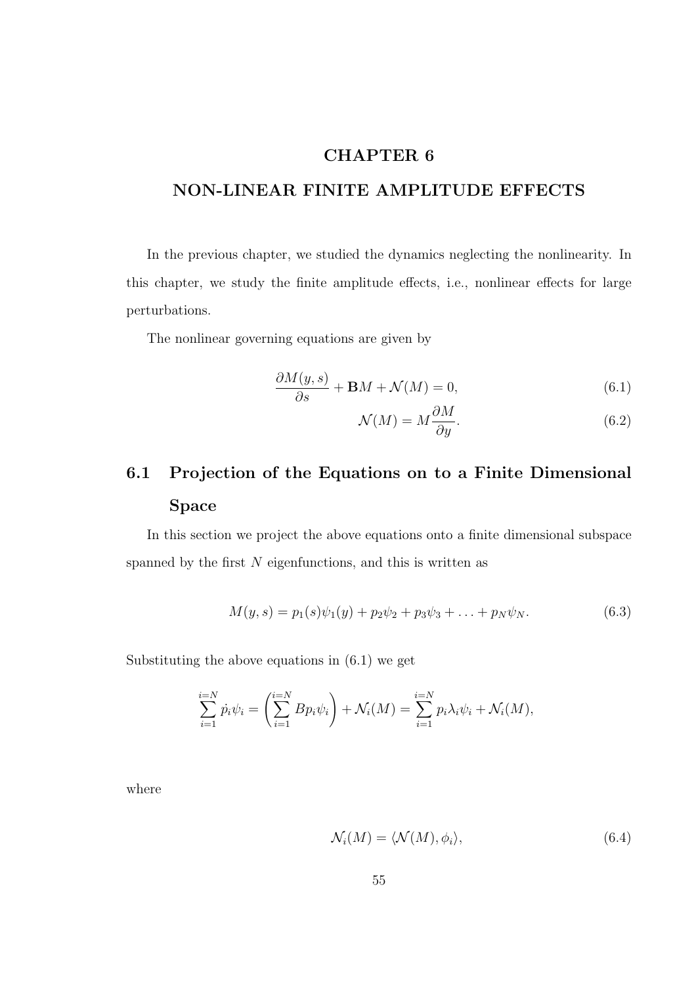## CHAPTER 6

# NON-LINEAR FINITE AMPLITUDE EFFECTS

In the previous chapter, we studied the dynamics neglecting the nonlinearity. In this chapter, we study the finite amplitude effects, i.e., nonlinear effects for large perturbations.

The nonlinear governing equations are given by

$$
\frac{\partial M(y,s)}{\partial s} + \mathbf{B}M + \mathcal{N}(M) = 0,\tag{6.1}
$$

$$
\mathcal{N}(M) = M \frac{\partial M}{\partial y}.\tag{6.2}
$$

# 6.1 Projection of the Equations on to a Finite Dimensional Space

In this section we project the above equations onto a finite dimensional subspace spanned by the first  $N$  eigenfunctions, and this is written as

$$
M(y,s) = p_1(s)\psi_1(y) + p_2\psi_2 + p_3\psi_3 + \ldots + p_N\psi_N.
$$
 (6.3)

Substituting the above equations in (6.1) we get

$$
\sum_{i=1}^{i=N} \dot{p}_i \psi_i = \left( \sum_{i=1}^{i=N} B p_i \psi_i \right) + \mathcal{N}_i(M) = \sum_{i=1}^{i=N} p_i \lambda_i \psi_i + \mathcal{N}_i(M),
$$

where

$$
\mathcal{N}_i(M) = \langle \mathcal{N}(M), \phi_i \rangle,\tag{6.4}
$$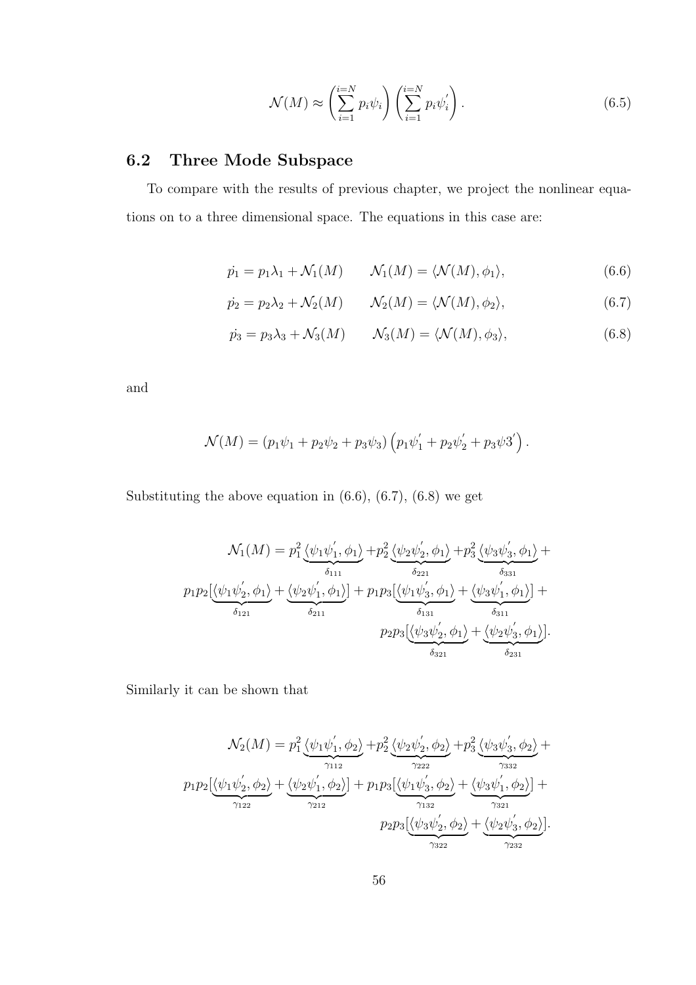$$
\mathcal{N}(M) \approx \left(\sum_{i=1}^{i=N} p_i \psi_i\right) \left(\sum_{i=1}^{i=N} p_i \psi_i'\right). \tag{6.5}
$$

# 6.2 Three Mode Subspace

To compare with the results of previous chapter, we project the nonlinear equations on to a three dimensional space. The equations in this case are:

$$
\dot{p}_1 = p_1 \lambda_1 + \mathcal{N}_1(M) \qquad \mathcal{N}_1(M) = \langle \mathcal{N}(M), \phi_1 \rangle,\tag{6.6}
$$

$$
\dot{p_2} = p_2 \lambda_2 + \mathcal{N}_2(M) \qquad \mathcal{N}_2(M) = \langle \mathcal{N}(M), \phi_2 \rangle, \tag{6.7}
$$

$$
\dot{p}_3 = p_3 \lambda_3 + \mathcal{N}_3(M) \qquad \mathcal{N}_3(M) = \langle \mathcal{N}(M), \phi_3 \rangle, \tag{6.8}
$$

and

$$
\mathcal{N}(M) = (p_1\psi_1 + p_2\psi_2 + p_3\psi_3) (p_1\psi_1' + p_2\psi_2' + p_3\psi_3').
$$

Substituting the above equation in  $(6.6)$ ,  $(6.7)$ ,  $(6.8)$  we get

$$
\mathcal{N}_1(M) = p_1^2 \underbrace{\langle \psi_1 \psi_1', \phi_1 \rangle}_{\delta_{111}} + p_2^2 \underbrace{\langle \psi_2 \psi_2', \phi_1 \rangle}_{\delta_{221}} + p_3^2 \underbrace{\langle \psi_3 \psi_3', \phi_1 \rangle}_{\delta_{331}} + p_1 p_2 \underbrace{\langle \psi_1 \psi_2', \phi_1 \rangle}_{\delta_{121}} + \underbrace{\langle \psi_2 \psi_1', \phi_1 \rangle}_{\delta_{211}} + p_1 p_3 \underbrace{\langle \psi_1 \psi_3', \phi_1 \rangle}_{\delta_{131}} + \underbrace{\langle \psi_3 \psi_1', \phi_1 \rangle}_{\delta_{311}} + p_2 p_3 \underbrace{\langle \psi_3 \psi_2', \phi_1 \rangle}_{\delta_{321}} + \underbrace{\langle \psi_2 \psi_3', \phi_1 \rangle}_{\delta_{231}}.
$$

Similarly it can be shown that

$$
\mathcal{N}_2(M) = p_1^2 \underbrace{\langle \psi_1 \psi_1', \phi_2 \rangle}_{\gamma_{112}} + p_2^2 \underbrace{\langle \psi_2 \psi_2', \phi_2 \rangle}_{\gamma_{222}} + p_3^2 \underbrace{\langle \psi_3 \psi_3', \phi_2 \rangle}_{\gamma_{332}} + p_1 p_2 \underbrace{\langle \psi_1 \psi_2', \phi_2 \rangle}_{\gamma_{122}} + \underbrace{\langle \psi_2 \psi_1', \phi_2 \rangle}_{\gamma_{132}}] + p_1 p_3 \underbrace{\langle \psi_1 \psi_3', \phi_2 \rangle}_{\gamma_{132}} + \underbrace{\langle \psi_3 \psi_1', \phi_2 \rangle}_{\gamma_{321}}] + p_2 p_3 \underbrace{\langle \psi_3 \psi_2', \phi_2 \rangle}_{\gamma_{322}} + \underbrace{\langle \psi_2 \psi_3', \phi_2 \rangle}_{\gamma_{232}}].
$$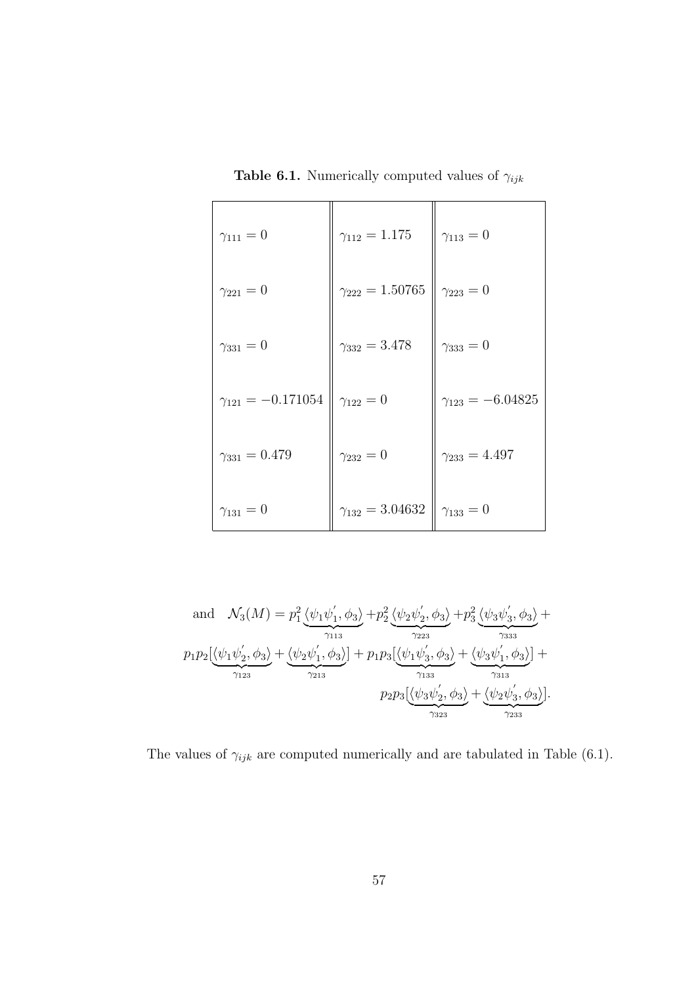**Table 6.1.** Numerically computed values of  $\gamma_{ijk}$ 

| $\gamma_{111} = 0$         | $\gamma_{112} = 1.175$   | $\gamma_{113} = 0$        |
|----------------------------|--------------------------|---------------------------|
| $\gamma_{221}=0$           | $\gamma_{222} = 1.50765$ | $\gamma_{223} = 0$        |
| $\gamma_{331} = 0$         | $\gamma_{332} = 3.478$   | $\gamma_{333} = 0$        |
| $\gamma_{121} = -0.171054$ | $\gamma_{122} = 0$       | $\gamma_{123} = -6.04825$ |
| $\gamma_{331} = 0.479$     | $\gamma_{232} = 0$       | $\gamma_{233} = 4.497$    |
| $\gamma_{131} = 0$         | $\gamma_{132} = 3.04632$ | $\gamma_{133} = 0$        |

and 
$$
\mathcal{N}_3(M) = p_1^2 \underbrace{\langle \psi_1 \psi_1', \phi_3 \rangle}_{\gamma_{113}} + p_2^2 \underbrace{\langle \psi_2 \psi_2', \phi_3 \rangle}_{\gamma_{223}} + p_3^2 \underbrace{\langle \psi_3 \psi_3', \phi_3 \rangle}_{\gamma_{333}} + p_1 p_2 \underbrace{\langle \psi_1 \psi_2', \phi_3 \rangle}_{\gamma_{123}} + \underbrace{\langle \psi_2 \psi_1', \phi_3 \rangle}_{\gamma_{213}}] + p_1 p_3 \underbrace{\langle \psi_1 \psi_3', \phi_3 \rangle}_{\gamma_{133}} + \underbrace{\langle \psi_3 \psi_1', \phi_3 \rangle}_{\gamma_{313}}] + p_2 p_3 \underbrace{\langle \psi_3 \psi_2', \phi_3 \rangle}_{\gamma_{323}} + \underbrace{\langle \psi_2 \psi_3', \phi_3 \rangle}_{\gamma_{233}}].
$$

The values of  $\gamma_{ijk}$  are computed numerically and are tabulated in Table (6.1).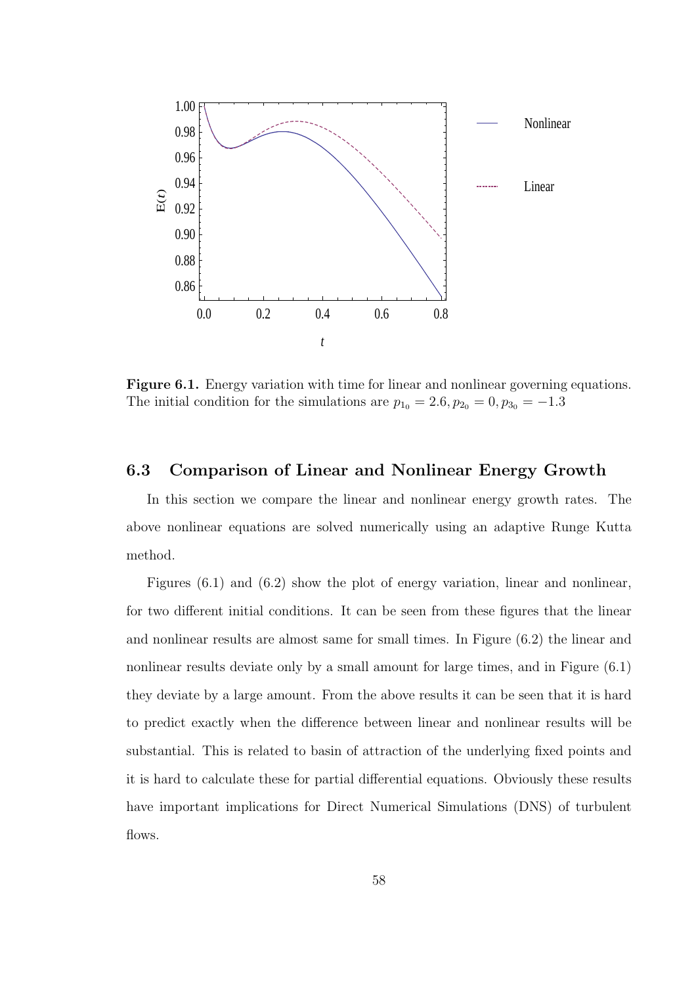

Figure 6.1. Energy variation with time for linear and nonlinear governing equations. The initial condition for the simulations are  $p_{10} = 2.6, p_{20} = 0, p_{30} = -1.3$ 

## 6.3 Comparison of Linear and Nonlinear Energy Growth

In this section we compare the linear and nonlinear energy growth rates. The above nonlinear equations are solved numerically using an adaptive Runge Kutta method.

Figures (6.1) and (6.2) show the plot of energy variation, linear and nonlinear, for two different initial conditions. It can be seen from these figures that the linear and nonlinear results are almost same for small times. In Figure (6.2) the linear and nonlinear results deviate only by a small amount for large times, and in Figure (6.1) they deviate by a large amount. From the above results it can be seen that it is hard to predict exactly when the difference between linear and nonlinear results will be substantial. This is related to basin of attraction of the underlying fixed points and it is hard to calculate these for partial differential equations. Obviously these results have important implications for Direct Numerical Simulations (DNS) of turbulent flows.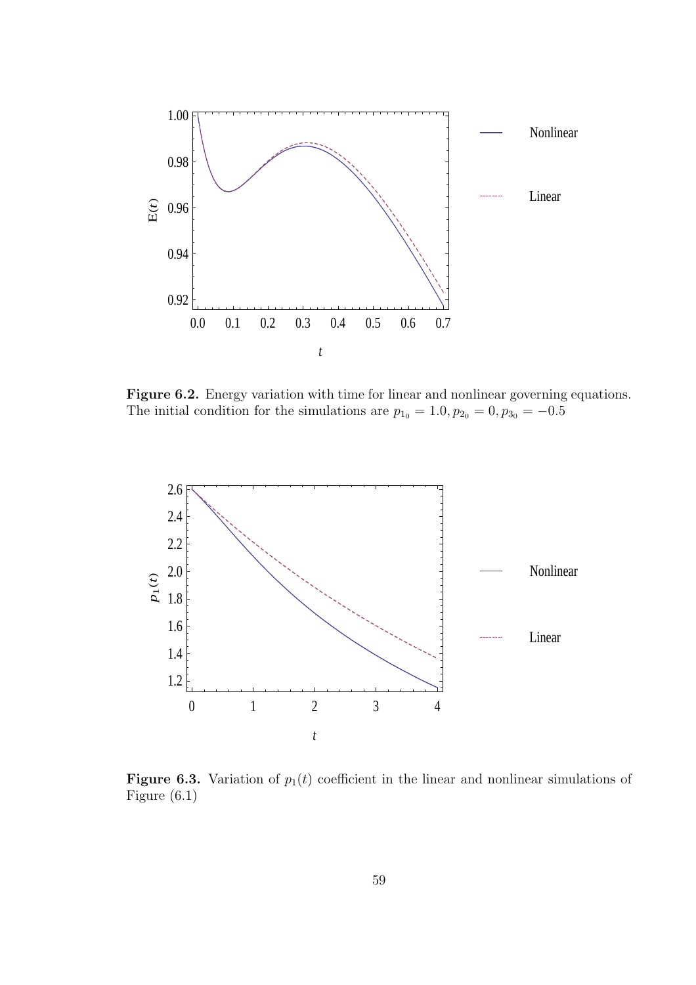

Figure 6.2. Energy variation with time for linear and nonlinear governing equations. The initial condition for the simulations are  $p_{10} = 1.0, p_{20} = 0, p_{30} = -0.5$ 



Figure 6.3. Variation of  $p_1(t)$  coefficient in the linear and nonlinear simulations of Figure (6.1)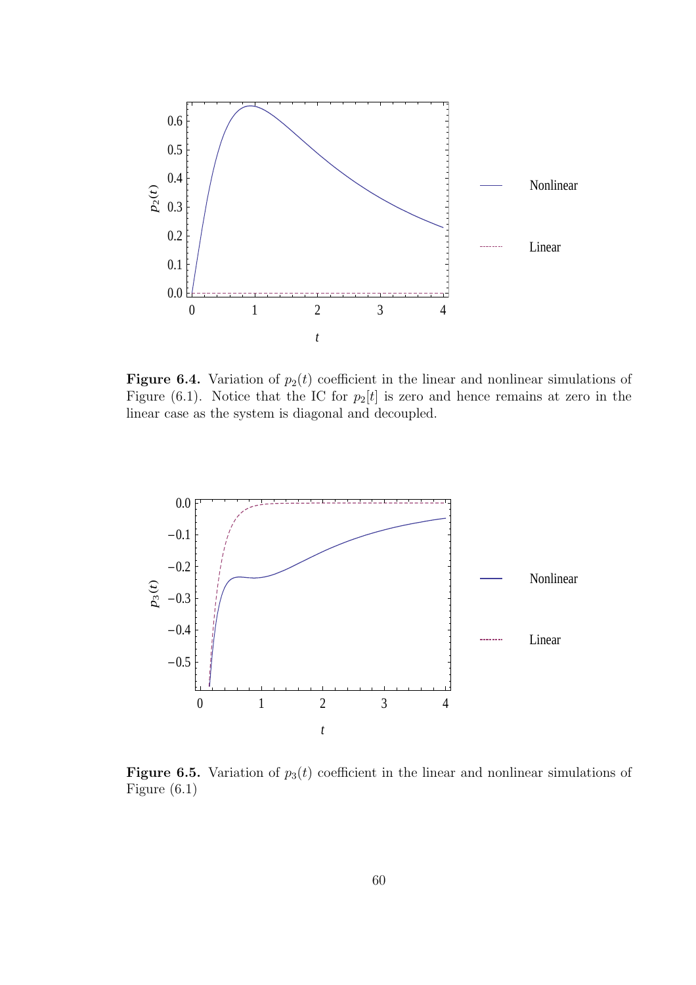

Figure 6.4. Variation of  $p_2(t)$  coefficient in the linear and nonlinear simulations of Figure (6.1). Notice that the IC for  $p_2[t]$  is zero and hence remains at zero in the linear case as the system is diagonal and decoupled.



**Figure 6.5.** Variation of  $p_3(t)$  coefficient in the linear and nonlinear simulations of Figure (6.1)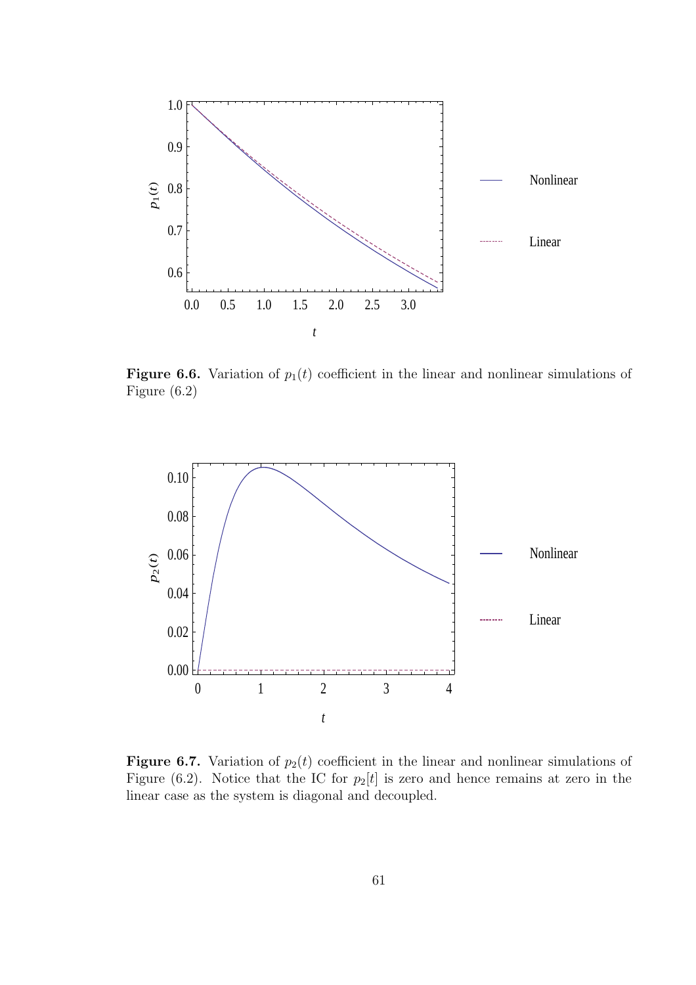

Figure 6.6. Variation of  $p_1(t)$  coefficient in the linear and nonlinear simulations of Figure (6.2)



Figure 6.7. Variation of  $p_2(t)$  coefficient in the linear and nonlinear simulations of Figure (6.2). Notice that the IC for  $p_2[t]$  is zero and hence remains at zero in the linear case as the system is diagonal and decoupled.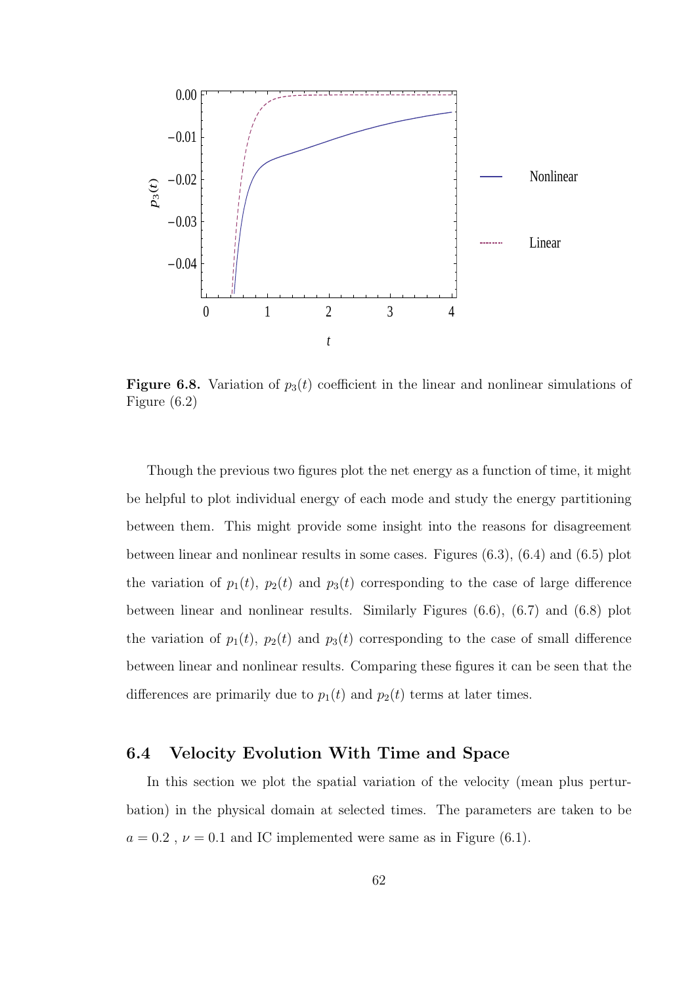

**Figure 6.8.** Variation of  $p_3(t)$  coefficient in the linear and nonlinear simulations of Figure (6.2)

Though the previous two figures plot the net energy as a function of time, it might be helpful to plot individual energy of each mode and study the energy partitioning between them. This might provide some insight into the reasons for disagreement between linear and nonlinear results in some cases. Figures (6.3), (6.4) and (6.5) plot the variation of  $p_1(t)$ ,  $p_2(t)$  and  $p_3(t)$  corresponding to the case of large difference between linear and nonlinear results. Similarly Figures (6.6), (6.7) and (6.8) plot the variation of  $p_1(t)$ ,  $p_2(t)$  and  $p_3(t)$  corresponding to the case of small difference between linear and nonlinear results. Comparing these figures it can be seen that the differences are primarily due to  $p_1(t)$  and  $p_2(t)$  terms at later times.

## 6.4 Velocity Evolution With Time and Space

In this section we plot the spatial variation of the velocity (mean plus perturbation) in the physical domain at selected times. The parameters are taken to be  $a = 0.2$ ,  $\nu = 0.1$  and IC implemented were same as in Figure (6.1).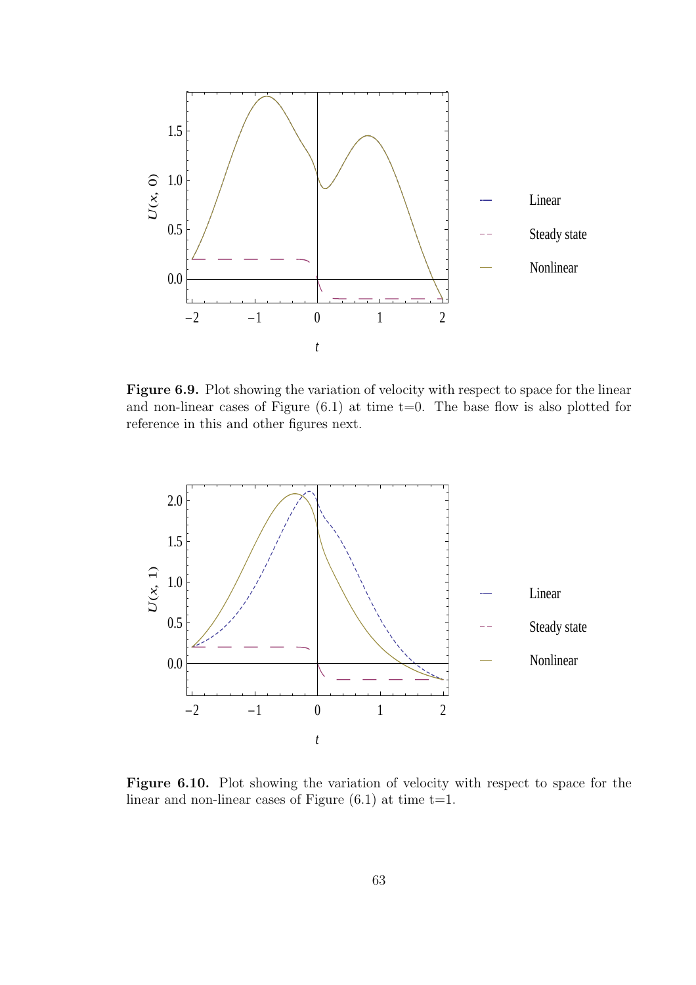

Figure 6.9. Plot showing the variation of velocity with respect to space for the linear and non-linear cases of Figure  $(6.1)$  at time  $t=0$ . The base flow is also plotted for reference in this and other figures next.



Figure 6.10. Plot showing the variation of velocity with respect to space for the linear and non-linear cases of Figure  $(6.1)$  at time t=1.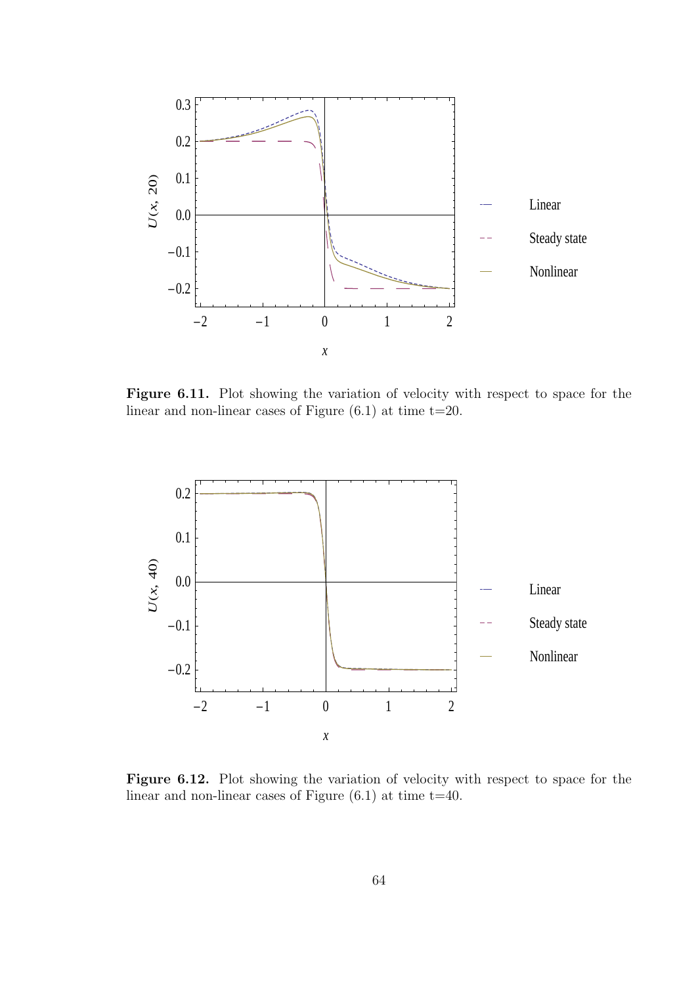

Figure 6.11. Plot showing the variation of velocity with respect to space for the linear and non-linear cases of Figure  $(6.1)$  at time  $t=20$ .



Figure 6.12. Plot showing the variation of velocity with respect to space for the linear and non-linear cases of Figure  $(6.1)$  at time  $t=40$ .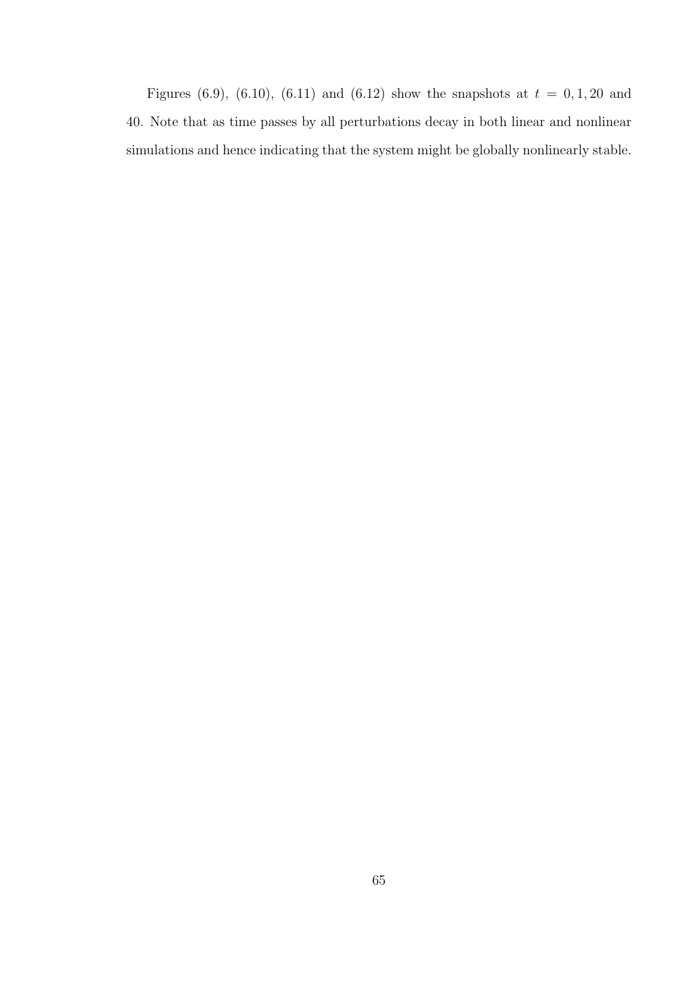Figures (6.9), (6.10), (6.11) and (6.12) show the snapshots at  $t = 0, 1, 20$  and 40. Note that as time passes by all perturbations decay in both linear and nonlinear simulations and hence indicating that the system might be globally nonlinearly stable.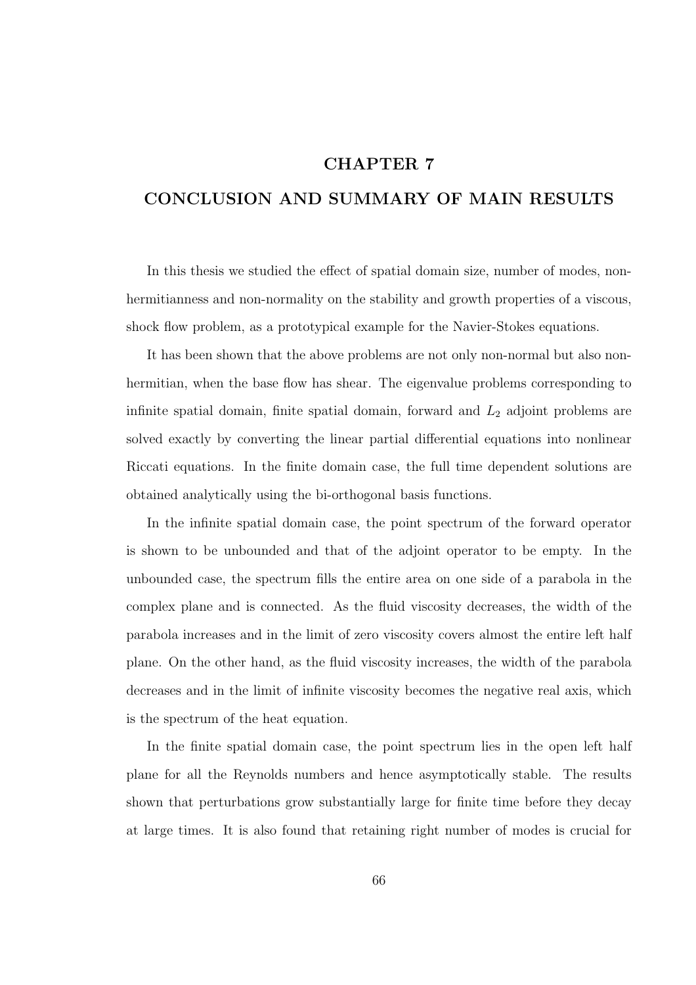## CHAPTER 7

## CONCLUSION AND SUMMARY OF MAIN RESULTS

In this thesis we studied the effect of spatial domain size, number of modes, nonhermitianness and non-normality on the stability and growth properties of a viscous, shock flow problem, as a prototypical example for the Navier-Stokes equations.

It has been shown that the above problems are not only non-normal but also nonhermitian, when the base flow has shear. The eigenvalue problems corresponding to infinite spatial domain, finite spatial domain, forward and  $L_2$  adjoint problems are solved exactly by converting the linear partial differential equations into nonlinear Riccati equations. In the finite domain case, the full time dependent solutions are obtained analytically using the bi-orthogonal basis functions.

In the infinite spatial domain case, the point spectrum of the forward operator is shown to be unbounded and that of the adjoint operator to be empty. In the unbounded case, the spectrum fills the entire area on one side of a parabola in the complex plane and is connected. As the fluid viscosity decreases, the width of the parabola increases and in the limit of zero viscosity covers almost the entire left half plane. On the other hand, as the fluid viscosity increases, the width of the parabola decreases and in the limit of infinite viscosity becomes the negative real axis, which is the spectrum of the heat equation.

In the finite spatial domain case, the point spectrum lies in the open left half plane for all the Reynolds numbers and hence asymptotically stable. The results shown that perturbations grow substantially large for finite time before they decay at large times. It is also found that retaining right number of modes is crucial for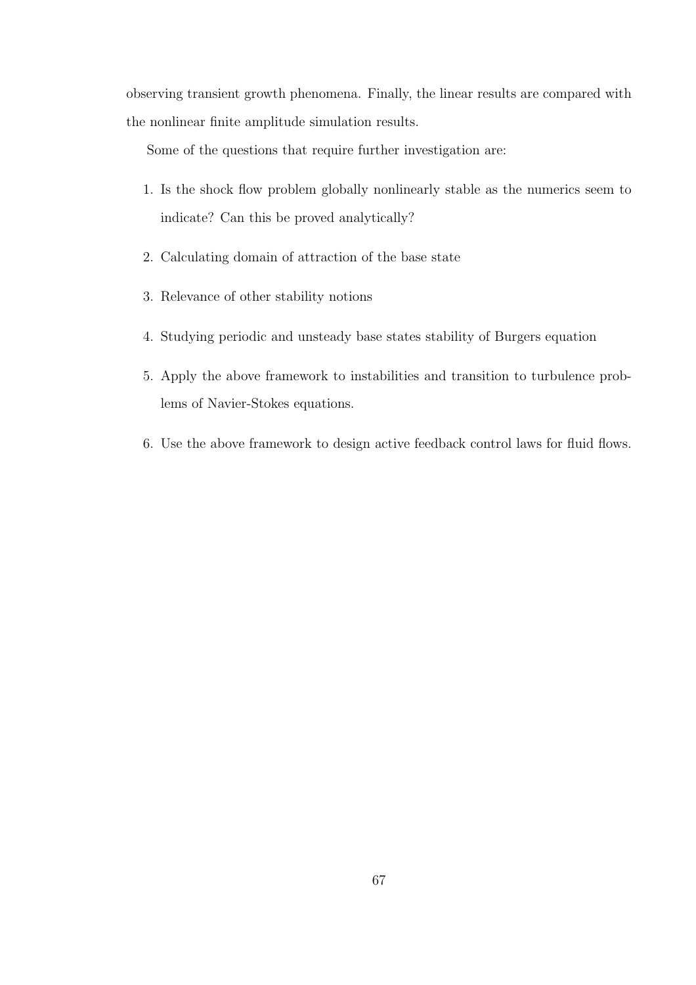observing transient growth phenomena. Finally, the linear results are compared with the nonlinear finite amplitude simulation results.

Some of the questions that require further investigation are:

- 1. Is the shock flow problem globally nonlinearly stable as the numerics seem to indicate? Can this be proved analytically?
- 2. Calculating domain of attraction of the base state
- 3. Relevance of other stability notions
- 4. Studying periodic and unsteady base states stability of Burgers equation
- 5. Apply the above framework to instabilities and transition to turbulence problems of Navier-Stokes equations.
- 6. Use the above framework to design active feedback control laws for fluid flows.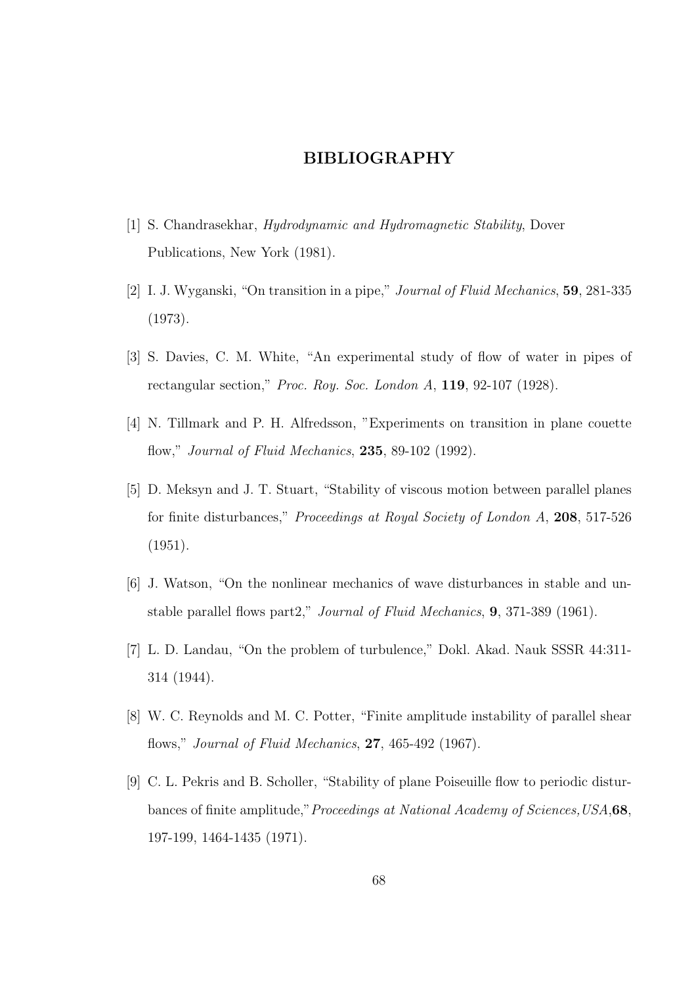## BIBLIOGRAPHY

- [1] S. Chandrasekhar, *Hydrodynamic and Hydromagnetic Stability*, Dover Publications, New York (1981).
- [2] I. J. Wyganski, "On transition in a pipe," Journal of Fluid Mechanics, 59, 281-335 (1973).
- [3] S. Davies, C. M. White, "An experimental study of flow of water in pipes of rectangular section," Proc. Roy. Soc. London A, 119, 92-107 (1928).
- [4] N. Tillmark and P. H. Alfredsson, "Experiments on transition in plane couette flow," Journal of Fluid Mechanics, 235, 89-102 (1992).
- [5] D. Meksyn and J. T. Stuart, "Stability of viscous motion between parallel planes for finite disturbances," Proceedings at Royal Society of London A, 208, 517-526 (1951).
- [6] J. Watson, "On the nonlinear mechanics of wave disturbances in stable and unstable parallel flows part2," Journal of Fluid Mechanics, 9, 371-389 (1961).
- [7] L. D. Landau, "On the problem of turbulence," Dokl. Akad. Nauk SSSR 44:311- 314 (1944).
- [8] W. C. Reynolds and M. C. Potter, "Finite amplitude instability of parallel shear flows," Journal of Fluid Mechanics, 27, 465-492 (1967).
- [9] C. L. Pekris and B. Scholler, "Stability of plane Poiseuille flow to periodic disturbances of finite amplitude," Proceedings at National Academy of Sciences, USA, 68, 197-199, 1464-1435 (1971).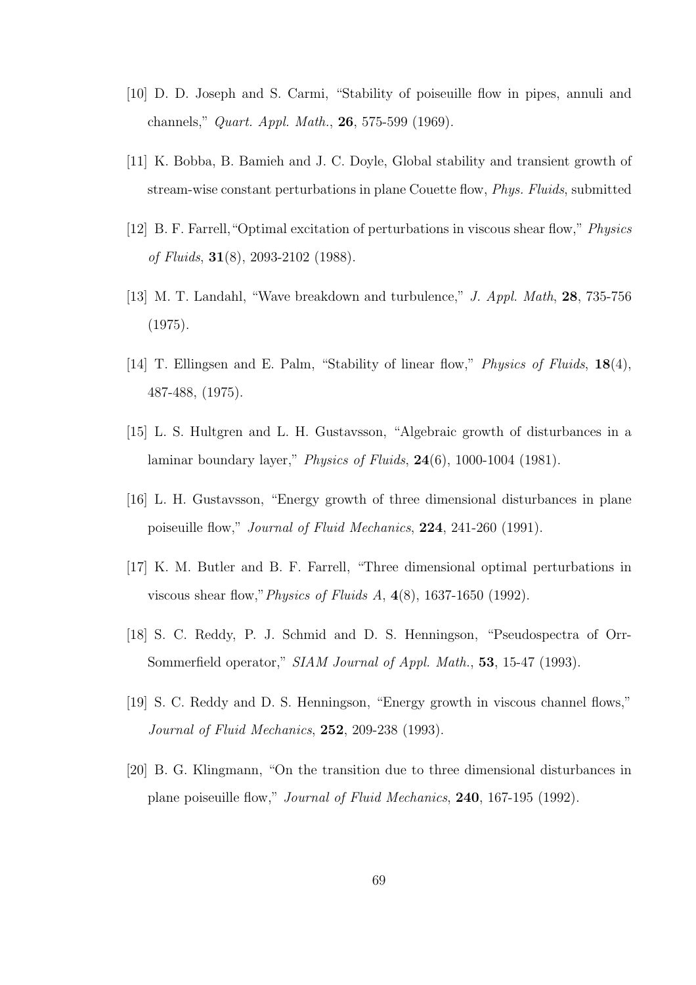- [10] D. D. Joseph and S. Carmi, "Stability of poiseuille flow in pipes, annuli and channels," Quart. Appl. Math., 26, 575-599 (1969).
- [11] K. Bobba, B. Bamieh and J. C. Doyle, Global stability and transient growth of stream-wise constant perturbations in plane Couette flow, Phys. Fluids, submitted
- [12] B. F. Farrell,"Optimal excitation of perturbations in viscous shear flow," Physics of Fluids,  $31(8)$ , 2093-2102 (1988).
- [13] M. T. Landahl, "Wave breakdown and turbulence," J. Appl. Math, 28, 735-756 (1975).
- [14] T. Ellingsen and E. Palm, "Stability of linear flow," Physics of Fluids, 18(4), 487-488, (1975).
- [15] L. S. Hultgren and L. H. Gustavsson, "Algebraic growth of disturbances in a laminar boundary layer," Physics of Fluids, 24(6), 1000-1004 (1981).
- [16] L. H. Gustavsson, "Energy growth of three dimensional disturbances in plane poiseuille flow," Journal of Fluid Mechanics, 224, 241-260 (1991).
- [17] K. M. Butler and B. F. Farrell, "Three dimensional optimal perturbations in viscous shear flow,"Physics of Fluids A, 4(8), 1637-1650 (1992).
- [18] S. C. Reddy, P. J. Schmid and D. S. Henningson, "Pseudospectra of Orr-Sommerfield operator," SIAM Journal of Appl. Math., **53**, 15-47 (1993).
- [19] S. C. Reddy and D. S. Henningson, "Energy growth in viscous channel flows," Journal of Fluid Mechanics, 252, 209-238 (1993).
- [20] B. G. Klingmann, "On the transition due to three dimensional disturbances in plane poiseuille flow," Journal of Fluid Mechanics, 240, 167-195 (1992).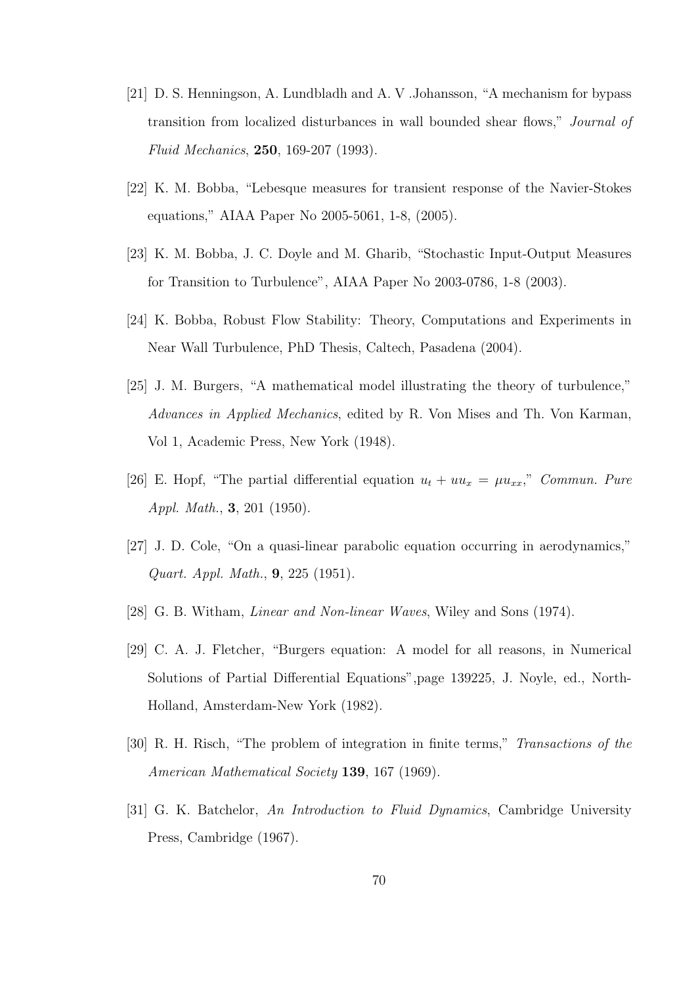- [21] D. S. Henningson, A. Lundbladh and A. V .Johansson, "A mechanism for bypass transition from localized disturbances in wall bounded shear flows," Journal of Fluid Mechanics, 250, 169-207 (1993).
- [22] K. M. Bobba, "Lebesque measures for transient response of the Navier-Stokes equations," AIAA Paper No 2005-5061, 1-8, (2005).
- [23] K. M. Bobba, J. C. Doyle and M. Gharib, "Stochastic Input-Output Measures for Transition to Turbulence", AIAA Paper No 2003-0786, 1-8 (2003).
- [24] K. Bobba, Robust Flow Stability: Theory, Computations and Experiments in Near Wall Turbulence, PhD Thesis, Caltech, Pasadena (2004).
- [25] J. M. Burgers, "A mathematical model illustrating the theory of turbulence," Advances in Applied Mechanics, edited by R. Von Mises and Th. Von Karman, Vol 1, Academic Press, New York (1948).
- [26] E. Hopf, "The partial differential equation  $u_t + uu_x = \mu u_{xx}$ ," Commun. Pure Appl. Math., 3, 201 (1950).
- [27] J. D. Cole, "On a quasi-linear parabolic equation occurring in aerodynamics," Quart. Appl. Math., 9, 225 (1951).
- [28] G. B. Witham, Linear and Non-linear Waves, Wiley and Sons (1974).
- [29] C. A. J. Fletcher, "Burgers equation: A model for all reasons, in Numerical Solutions of Partial Differential Equations",page 139225, J. Noyle, ed., North-Holland, Amsterdam-New York (1982).
- [30] R. H. Risch, "The problem of integration in finite terms," Transactions of the American Mathematical Society 139, 167 (1969).
- [31] G. K. Batchelor, An Introduction to Fluid Dynamics, Cambridge University Press, Cambridge (1967).